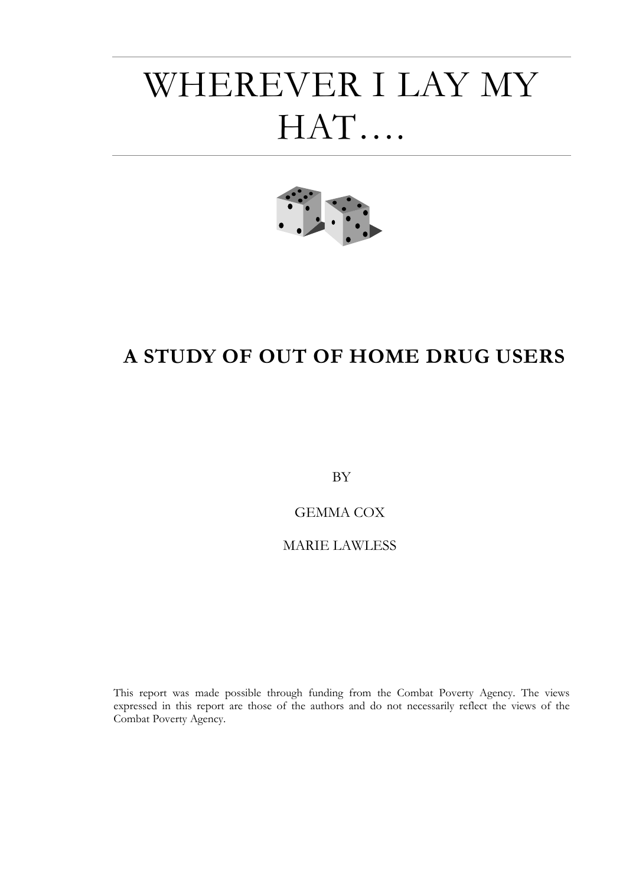## WHEREVER I LAY MY HAT….



### **A STUDY OF OUT OF HOME DRUG USERS**

BY

GEMMA COX

### MARIE LAWLESS

This report was made possible through funding from the Combat Poverty Agency. The views expressed in this report are those of the authors and do not necessarily reflect the views of the Combat Poverty Agency.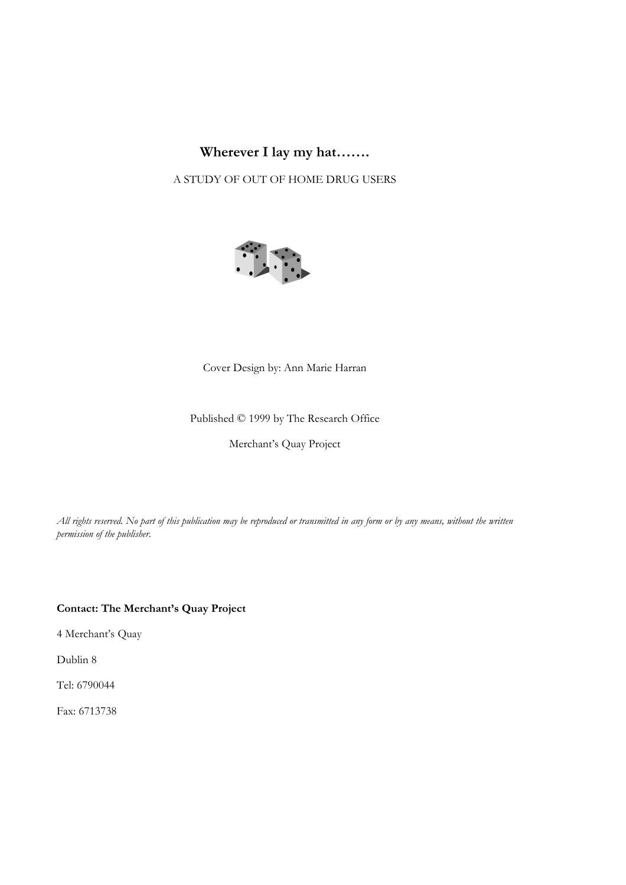### **Wherever I lay my hat…….**

A STUDY OF OUT OF HOME DRUG USERS



### Cover Design by: Ann Marie Harran

#### Published © 1999 by The Research Office

Merchant's Quay Project

*All rights reserved. No part of this publication may be reproduced or transmitted in any form or by any means, without the written permission of the publisher.*

### **Contact: The Merchant's Quay Project**

4 Merchant's Quay

Dublin 8

Tel: 6790044

Fax: 6713738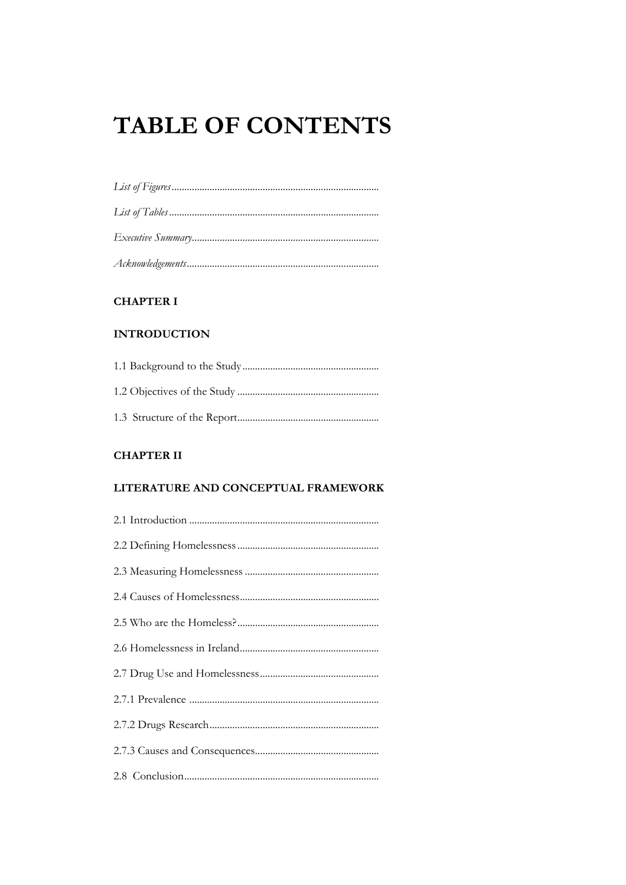### **TABLE OF CONTENTS**

### **CHAPTER I**

### **INTRODUCTION**

### **CHAPTER II**

### LITERATURE AND CONCEPTUAL FRAMEWORK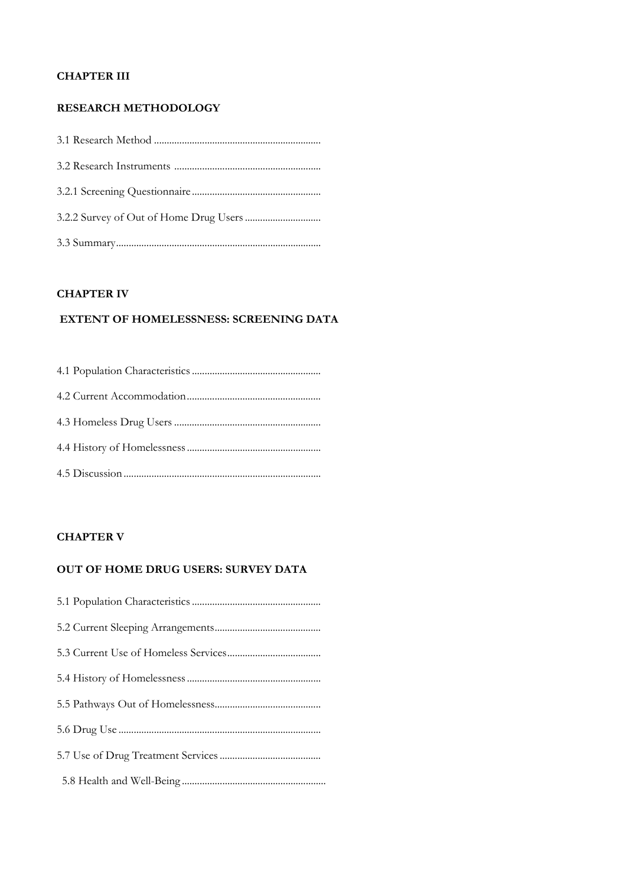### **CHAPTER III**

### **RESEARCH METHODOLOGY**

### **CHAPTER IV**

### **EXTENT OF HOMELESSNESS: SCREENING DATA**

### **CHAPTER V**

### **OUT OF HOME DRUG USERS: SURVEY DATA**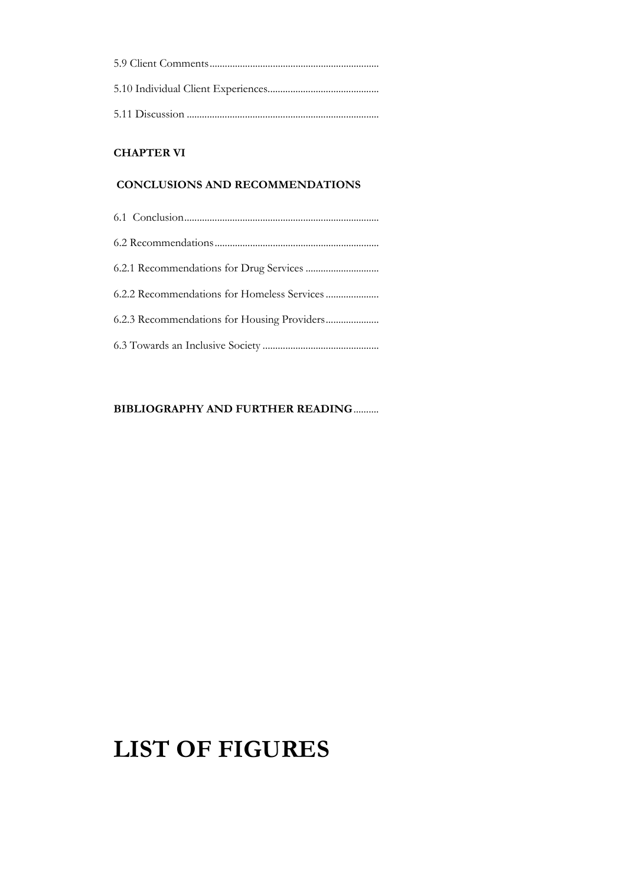### **CHAPTER VI**

### **CONCLUSIONS AND RECOMMENDATIONS**

### **BIBLIOGRAPHY AND FURTHER READING**..........

### **LIST OF FIGURES**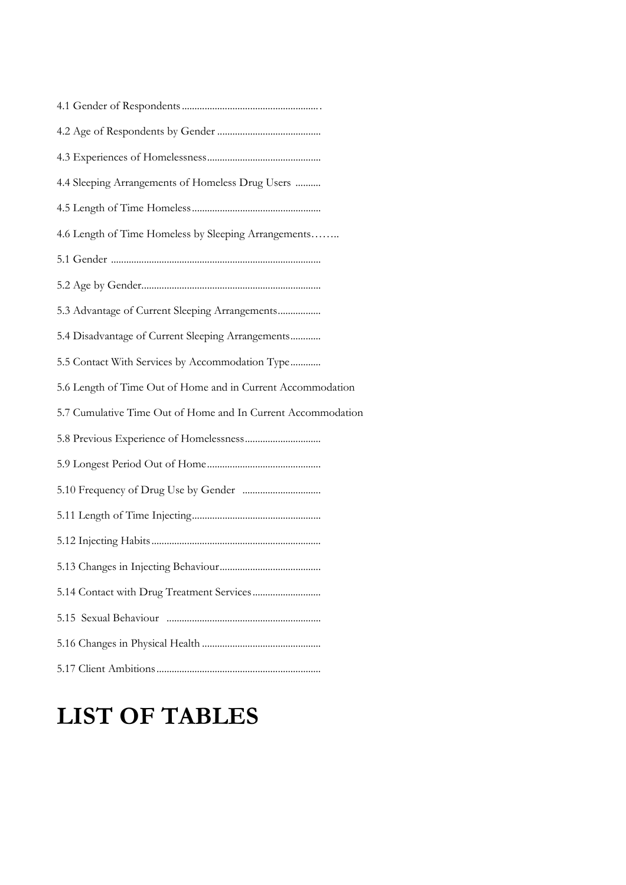| 4.4 Sleeping Arrangements of Homeless Drug Users             |
|--------------------------------------------------------------|
|                                                              |
| 4.6 Length of Time Homeless by Sleeping Arrangements         |
|                                                              |
|                                                              |
| 5.3 Advantage of Current Sleeping Arrangements               |
| 5.4 Disadvantage of Current Sleeping Arrangements            |
| 5.5 Contact With Services by Accommodation Type              |
| 5.6 Length of Time Out of Home and in Current Accommodation  |
| 5.7 Cumulative Time Out of Home and In Current Accommodation |
|                                                              |
|                                                              |
|                                                              |
|                                                              |
|                                                              |
| 5.13 Changes in Injecting Behaviour                          |
|                                                              |
|                                                              |
|                                                              |
|                                                              |

### **LIST OF TABLES**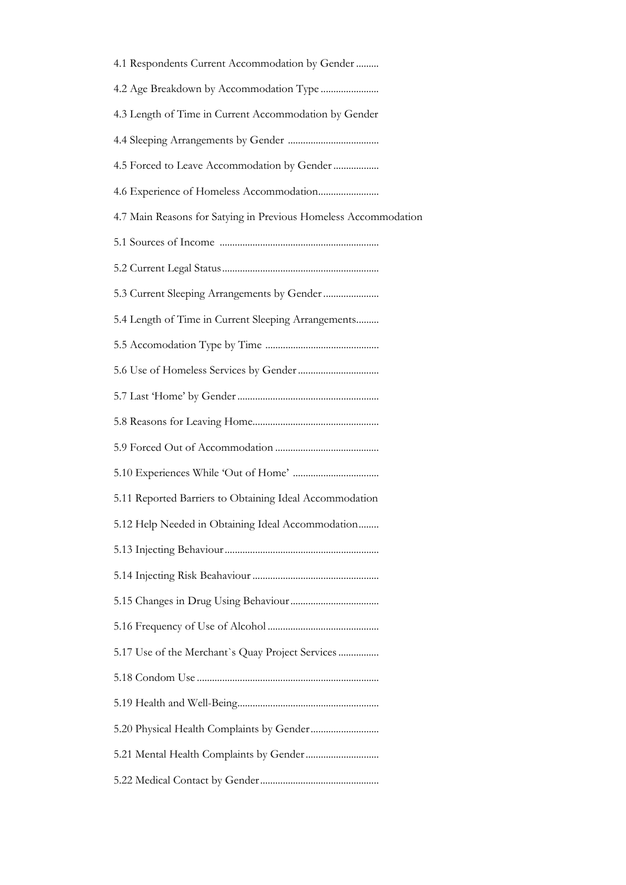| 4.1 Respondents Current Accommodation by Gender                 |
|-----------------------------------------------------------------|
|                                                                 |
| 4.3 Length of Time in Current Accommodation by Gender           |
|                                                                 |
| 4.5 Forced to Leave Accommodation by Gender                     |
|                                                                 |
| 4.7 Main Reasons for Satying in Previous Homeless Accommodation |
|                                                                 |
|                                                                 |
|                                                                 |
| 5.4 Length of Time in Current Sleeping Arrangements             |
|                                                                 |
|                                                                 |
|                                                                 |
|                                                                 |
|                                                                 |
|                                                                 |
| 5.11 Reported Barriers to Obtaining Ideal Accommodation         |
| 5.12 Help Needed in Obtaining Ideal Accommodation               |
|                                                                 |
|                                                                 |
|                                                                 |
|                                                                 |
| 5.17 Use of the Merchant's Quay Project Services                |
|                                                                 |
|                                                                 |
|                                                                 |
|                                                                 |
|                                                                 |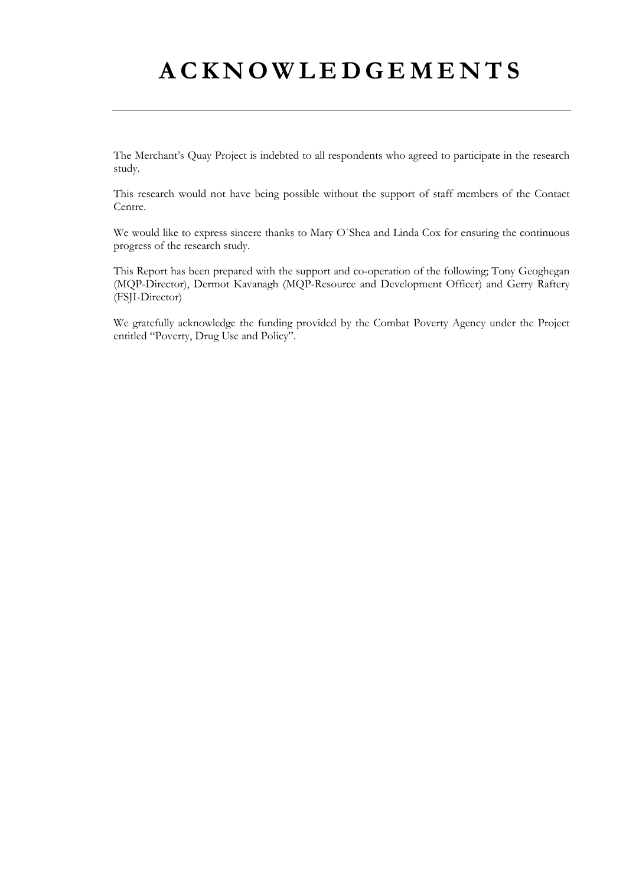### **ACKNOWLEDGEMENTS**

The Merchant's Quay Project is indebted to all respondents who agreed to participate in the research study.

This research would not have being possible without the support of staff members of the Contact Centre.

We would like to express sincere thanks to Mary O`Shea and Linda Cox for ensuring the continuous progress of the research study.

This Report has been prepared with the support and co-operation of the following; Tony Geoghegan (MQP-Director), Dermot Kavanagh (MQP-Resource and Development Officer) and Gerry Raftery (FSJI-Director)

We gratefully acknowledge the funding provided by the Combat Poverty Agency under the Project entitled "Poverty, Drug Use and Policy".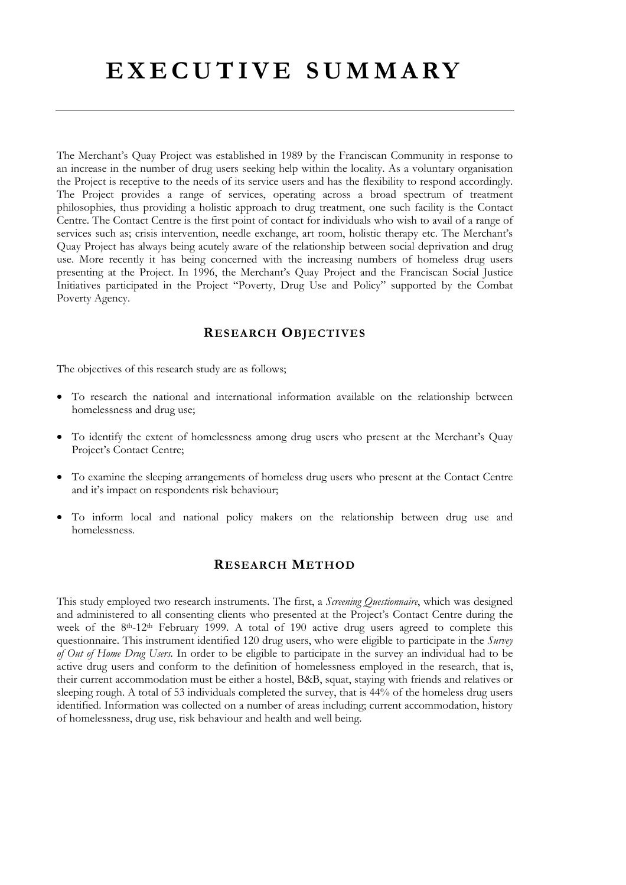The Merchant's Quay Project was established in 1989 by the Franciscan Community in response to an increase in the number of drug users seeking help within the locality. As a voluntary organisation the Project is receptive to the needs of its service users and has the flexibility to respond accordingly. The Project provides a range of services, operating across a broad spectrum of treatment philosophies, thus providing a holistic approach to drug treatment, one such facility is the Contact Centre. The Contact Centre is the first point of contact for individuals who wish to avail of a range of services such as; crisis intervention, needle exchange, art room, holistic therapy etc. The Merchant's Quay Project has always being acutely aware of the relationship between social deprivation and drug use. More recently it has being concerned with the increasing numbers of homeless drug users presenting at the Project. In 1996, the Merchant's Quay Project and the Franciscan Social Justice Initiatives participated in the Project "Poverty, Drug Use and Policy" supported by the Combat Poverty Agency.

### **RESEARCH OBJECTIVES**

The objectives of this research study are as follows;

- To research the national and international information available on the relationship between homelessness and drug use;
- To identify the extent of homelessness among drug users who present at the Merchant's Quay Project's Contact Centre;
- To examine the sleeping arrangements of homeless drug users who present at the Contact Centre and it's impact on respondents risk behaviour;
- To inform local and national policy makers on the relationship between drug use and homelessness.

### **RESEARCH METHOD**

This study employed two research instruments. The first, a *Screening Questionnaire*, which was designed and administered to all consenting clients who presented at the Project's Contact Centre during the week of the 8<sup>th</sup>-12<sup>th</sup> February 1999. A total of 190 active drug users agreed to complete this questionnaire. This instrument identified 120 drug users, who were eligible to participate in the *Survey of Out of Home Drug Users.* In order to be eligible to participate in the survey an individual had to be active drug users and conform to the definition of homelessness employed in the research, that is, their current accommodation must be either a hostel, B&B, squat, staying with friends and relatives or sleeping rough. A total of 53 individuals completed the survey, that is 44% of the homeless drug users identified. Information was collected on a number of areas including; current accommodation, history of homelessness, drug use, risk behaviour and health and well being.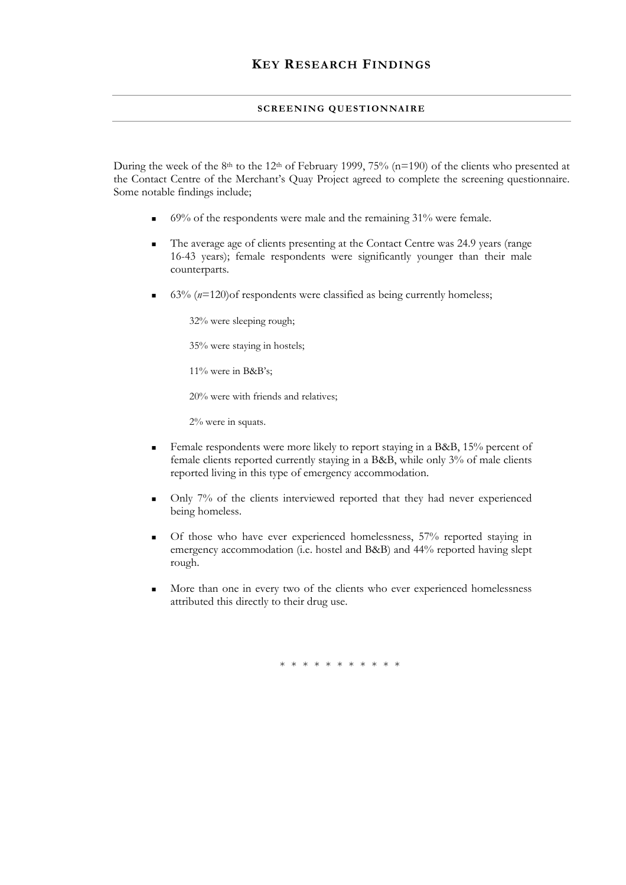#### **SCREENING QUESTIONNAIRE**

During the week of the 8<sup>th</sup> to the 12<sup>th</sup> of February 1999, 75% (n=190) of the clients who presented at the Contact Centre of the Merchant's Quay Project agreed to complete the screening questionnaire. Some notable findings include;

- $\blacksquare$  69% of the respondents were male and the remaining 31% were female.
- The average age of clients presenting at the Contact Centre was 24.9 years (range 16-43 years); female respondents were significantly younger than their male counterparts.
- 63% (*n*=120)of respondents were classified as being currently homeless;

32% were sleeping rough;

35% were staying in hostels;

11% were in B&B's;

20% were with friends and relatives;

2% were in squats.

- Female respondents were more likely to report staying in a B&B, 15% percent of female clients reported currently staying in a B&B, while only 3% of male clients reported living in this type of emergency accommodation.
- Only 7% of the clients interviewed reported that they had never experienced being homeless.
- Of those who have ever experienced homelessness, 57% reported staying in emergency accommodation (i.e. hostel and B&B) and 44% reported having slept rough.
- More than one in every two of the clients who ever experienced homelessness attributed this directly to their drug use.

\* \* \* \* \* \* \* \* \* \*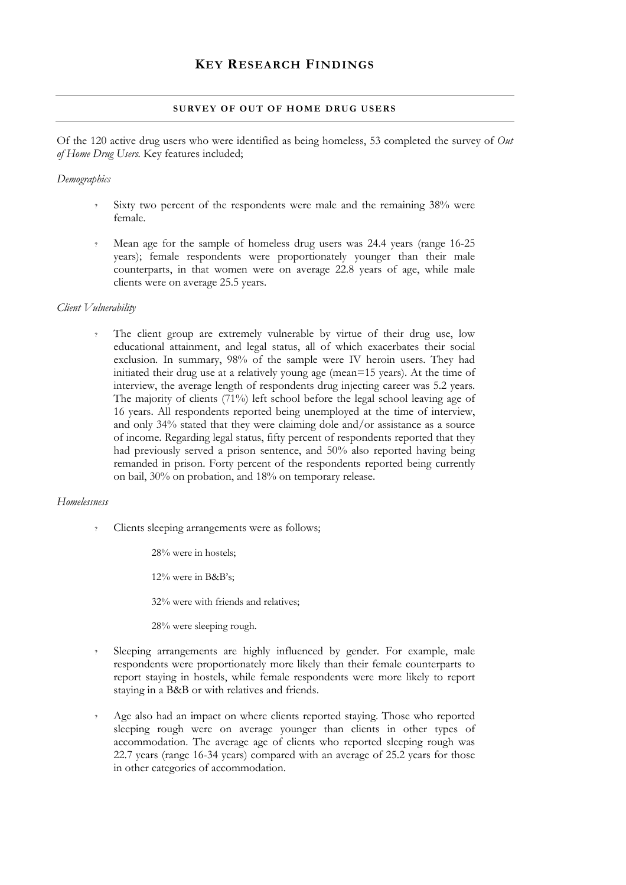#### **SURVEY OF OUT OF HOME DRUG USERS**

Of the 120 active drug users who were identified as being homeless, 53 completed the survey of *Out of Home Drug Users.* Key features included;

#### *Demographics*

- Sixty two percent of the respondents were male and the remaining 38% were female.
- ? Mean age for the sample of homeless drug users was 24.4 years (range 16-25 years); female respondents were proportionately younger than their male counterparts, in that women were on average 22.8 years of age, while male clients were on average 25.5 years.

#### *Client Vulnerability*

The client group are extremely vulnerable by virtue of their drug use, low educational attainment, and legal status, all of which exacerbates their social exclusion. In summary, 98% of the sample were IV heroin users. They had initiated their drug use at a relatively young age (mean=15 years). At the time of interview, the average length of respondents drug injecting career was 5.2 years. The majority of clients (71%) left school before the legal school leaving age of 16 years. All respondents reported being unemployed at the time of interview, and only 34% stated that they were claiming dole and/or assistance as a source of income. Regarding legal status, fifty percent of respondents reported that they had previously served a prison sentence, and 50% also reported having being remanded in prison. Forty percent of the respondents reported being currently on bail, 30% on probation, and 18% on temporary release.

#### *Homelessness*

? Clients sleeping arrangements were as follows;

28% were in hostels;

12% were in B&B's;

32% were with friends and relatives;

28% were sleeping rough.

- Sleeping arrangements are highly influenced by gender. For example, male respondents were proportionately more likely than their female counterparts to report staying in hostels, while female respondents were more likely to report staying in a B&B or with relatives and friends.
- Age also had an impact on where clients reported staying. Those who reported sleeping rough were on average younger than clients in other types of accommodation. The average age of clients who reported sleeping rough was 22.7 years (range 16-34 years) compared with an average of 25.2 years for those in other categories of accommodation.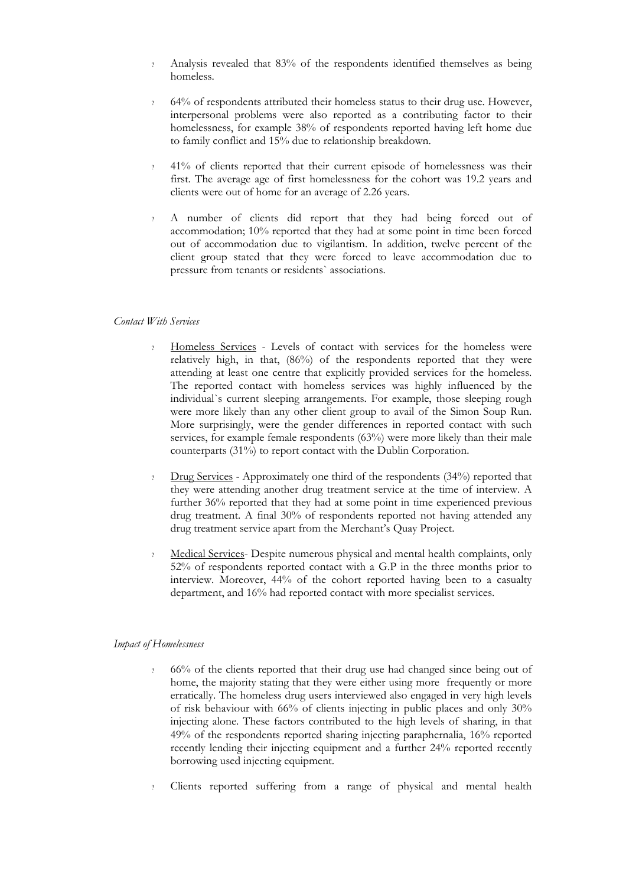- ? Analysis revealed that 83% of the respondents identified themselves as being homeless.
- ? 64% of respondents attributed their homeless status to their drug use. However, interpersonal problems were also reported as a contributing factor to their homelessness, for example 38% of respondents reported having left home due to family conflict and 15% due to relationship breakdown.
- ? 41% of clients reported that their current episode of homelessness was their first. The average age of first homelessness for the cohort was 19.2 years and clients were out of home for an average of 2.26 years.
- ? A number of clients did report that they had being forced out of accommodation; 10% reported that they had at some point in time been forced out of accommodation due to vigilantism. In addition, twelve percent of the client group stated that they were forced to leave accommodation due to pressure from tenants or residents` associations.

#### *Contact With Services*

- ? Homeless Services Levels of contact with services for the homeless were relatively high, in that, (86%) of the respondents reported that they were attending at least one centre that explicitly provided services for the homeless. The reported contact with homeless services was highly influenced by the individual`s current sleeping arrangements. For example, those sleeping rough were more likely than any other client group to avail of the Simon Soup Run. More surprisingly, were the gender differences in reported contact with such services, for example female respondents (63%) were more likely than their male counterparts (31%) to report contact with the Dublin Corporation.
- Drug Services Approximately one third of the respondents (34%) reported that they were attending another drug treatment service at the time of interview. A further 36% reported that they had at some point in time experienced previous drug treatment. A final 30% of respondents reported not having attended any drug treatment service apart from the Merchant's Quay Project.
- Medical Services- Despite numerous physical and mental health complaints, only 52% of respondents reported contact with a G.P in the three months prior to interview. Moreover, 44% of the cohort reported having been to a casualty department, and 16% had reported contact with more specialist services.

### *Impact of Homelessness*

- ? 66% of the clients reported that their drug use had changed since being out of home, the majority stating that they were either using more frequently or more erratically. The homeless drug users interviewed also engaged in very high levels of risk behaviour with 66% of clients injecting in public places and only 30% injecting alone. These factors contributed to the high levels of sharing, in that 49% of the respondents reported sharing injecting paraphernalia, 16% reported recently lending their injecting equipment and a further 24% reported recently borrowing used injecting equipment.
- ? Clients reported suffering from a range of physical and mental health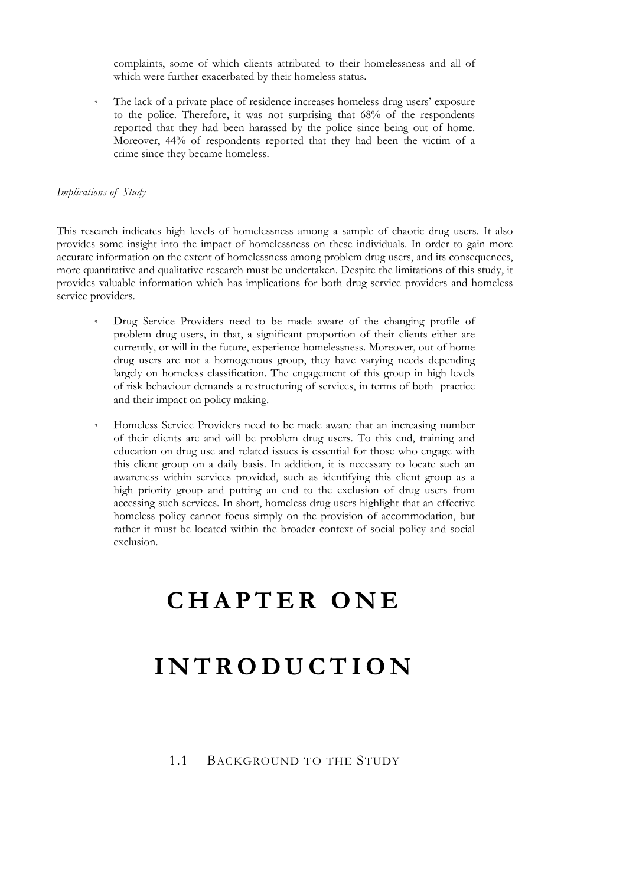complaints, some of which clients attributed to their homelessness and all of which were further exacerbated by their homeless status.

? The lack of a private place of residence increases homeless drug users' exposure to the police. Therefore, it was not surprising that 68% of the respondents reported that they had been harassed by the police since being out of home. Moreover, 44% of respondents reported that they had been the victim of a crime since they became homeless.

#### *Implications of Study*

This research indicates high levels of homelessness among a sample of chaotic drug users. It also provides some insight into the impact of homelessness on these individuals. In order to gain more accurate information on the extent of homelessness among problem drug users, and its consequences, more quantitative and qualitative research must be undertaken. Despite the limitations of this study, it provides valuable information which has implications for both drug service providers and homeless service providers.

- ? Drug Service Providers need to be made aware of the changing profile of problem drug users, in that, a significant proportion of their clients either are currently, or will in the future, experience homelessness. Moreover, out of home drug users are not a homogenous group, they have varying needs depending largely on homeless classification. The engagement of this group in high levels of risk behaviour demands a restructuring of services, in terms of both practice and their impact on policy making.
- ? Homeless Service Providers need to be made aware that an increasing number of their clients are and will be problem drug users. To this end, training and education on drug use and related issues is essential for those who engage with this client group on a daily basis. In addition, it is necessary to locate such an awareness within services provided, such as identifying this client group as a high priority group and putting an end to the exclusion of drug users from accessing such services. In short, homeless drug users highlight that an effective homeless policy cannot focus simply on the provision of accommodation, but rather it must be located within the broader context of social policy and social exclusion.

### **CHAPTER ONE**

### **INTRODUCTION**

1.1 BACKGROUND TO THE STUDY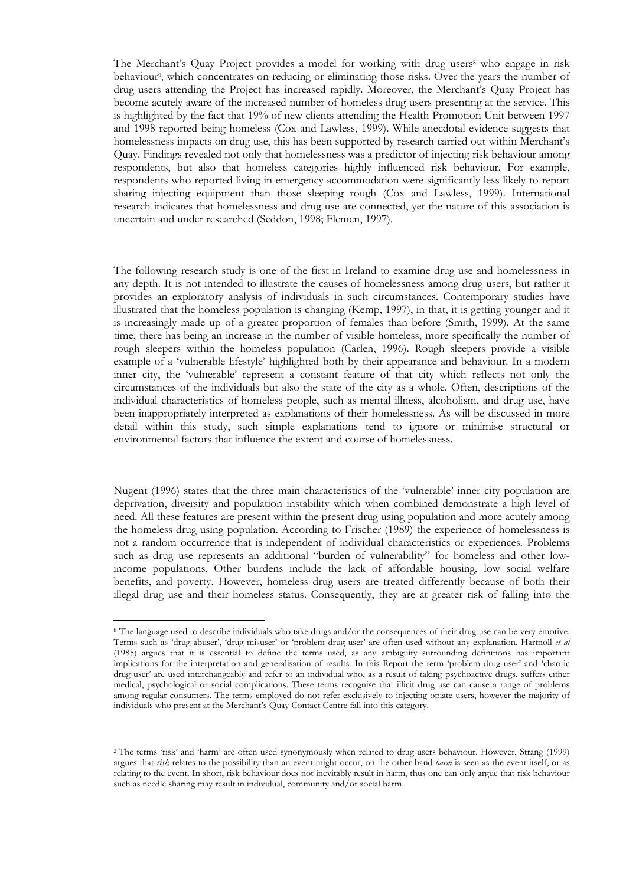The Merchant's Quay Project provides a model for working with drug users<sup>8</sup> who engage in risk behaviour<sup>9</sup>, which concentrates on reducing or eliminating those risks. Over the years the number of drug users attending the Project has increased rapidly. Moreover, the Merchant's Quay Project has become acutely aware of the increased number of homeless drug users presenting at the service. This is highlighted by the fact that 19% of new clients attending the Health Promotion Unit between 1997 and 1998 reported being homeless (Cox and Lawless, 1999). While anecdotal evidence suggests that homelessness impacts on drug use, this has been supported by research carried out within Merchant's Quay. Findings revealed not only that homelessness was a predictor of injecting risk behaviour among respondents, but also that homeless categories highly influenced risk behaviour. For example, respondents who reported living in emergency accommodation were significantly less likely to report sharing injecting equipment than those sleeping rough (Cox and Lawless, 1999). International research indicates that homelessness and drug use are connected, yet the nature of this association is uncertain and under researched (Seddon, 1998; Flemen, 1997).

The following research study is one of the first in Ireland to examine drug use and homelessness in any depth. It is not intended to illustrate the causes of homelessness among drug users, but rather it provides an exploratory analysis of individuals in such circumstances. Contemporary studies have illustrated that the homeless population is changing (Kemp, 1997), in that, it is getting younger and it is increasingly made up of a greater proportion of females than before (Smith, 1999). At the same time, there has being an increase in the number of visible homeless, more specifically the number of rough sleepers within the homeless population (Carlen, 1996). Rough sleepers provide a visible example of a 'vulnerable lifestyle' highlighted both by their appearance and behaviour. In a modern inner city, the 'vulnerable' represent a constant feature of that city which reflects not only the circumstances of the individuals but also the state of the city as a whole. Often, descriptions of the individual characteristics of homeless people, such as mental illness, alcoholism, and drug use, have been inappropriately interpreted as explanations of their homelessness. As will be discussed in more detail within this study, such simple explanations tend to ignore or minimise structural or environmental factors that influence the extent and course of homelessness.

Nugent (1996) states that the three main characteristics of the 'vulnerable' inner city population are deprivation, diversity and population instability which when combined demonstrate a high level of need. All these features are present within the present drug using population and more acutely among the homeless drug using population. According to Frischer (1989) the experience of homelessness is not a random occurrence that is independent of individual characteristics or experiences. Problems such as drug use represents an additional "burden of vulnerability" for homeless and other lowincome populations. Other burdens include the lack of affordable housing, low social welfare benefits, and poverty. However, homeless drug users are treated differently because of both their illegal drug use and their homeless status. Consequently, they are at greater risk of falling into the

 $\overline{a}$ 

<span id="page-14-0"></span><sup>8</sup> The language used to describe individuals who take drugs and/or the consequences of their drug use can be very emotive. Terms such as 'drug abuser', 'drug misuser' or 'problem drug user' are often used without any explanation. Hartnoll *et al* (1985) argues that it is essential to define the terms used, as any ambiguity surrounding definitions has important implications for the interpretation and generalisation of results. In this Report the term 'problem drug user' and 'chaotic drug user' are used interchangeably and refer to an individual who, as a result of taking psychoactive drugs, suffers either medical, psychological or social complications. These terms recognise that illicit drug use can cause a range of problems among regular consumers. The terms employed do not refer exclusively to injecting opiate users, however the majority of individuals who present at the Merchant's Quay Contact Centre fall into this category.

<span id="page-14-1"></span><sup>2</sup> The terms 'risk' and 'harm' are often used synonymously when related to drug users behaviour. However, Strang (1999) argues that *risk* relates to the possibility than an event might occur, on the other hand *harm* is seen as the event itself, or as relating to the event. In short, risk behaviour does not inevitably result in harm, thus one can only argue that risk behaviour such as needle sharing may result in individual, community and/or social harm.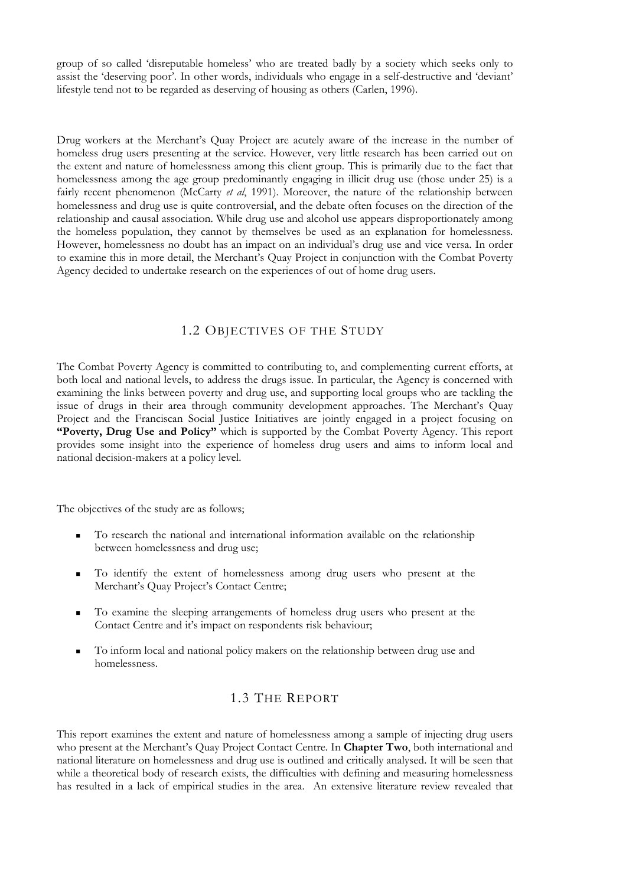group of so called 'disreputable homeless' who are treated badly by a society which seeks only to assist the 'deserving poor'. In other words, individuals who engage in a self-destructive and 'deviant' lifestyle tend not to be regarded as deserving of housing as others (Carlen, 1996).

Drug workers at the Merchant's Quay Project are acutely aware of the increase in the number of homeless drug users presenting at the service. However, very little research has been carried out on the extent and nature of homelessness among this client group. This is primarily due to the fact that homelessness among the age group predominantly engaging in illicit drug use (those under 25) is a fairly recent phenomenon (McCarty *et al*, 1991). Moreover, the nature of the relationship between homelessness and drug use is quite controversial, and the debate often focuses on the direction of the relationship and causal association. While drug use and alcohol use appears disproportionately among the homeless population, they cannot by themselves be used as an explanation for homelessness. However, homelessness no doubt has an impact on an individual's drug use and vice versa. In order to examine this in more detail, the Merchant's Quay Project in conjunction with the Combat Poverty Agency decided to undertake research on the experiences of out of home drug users.

### 1.2 OBJECTIVES OF THE STUDY

The Combat Poverty Agency is committed to contributing to, and complementing current efforts, at both local and national levels, to address the drugs issue. In particular, the Agency is concerned with examining the links between poverty and drug use, and supporting local groups who are tackling the issue of drugs in their area through community development approaches. The Merchant's Quay Project and the Franciscan Social Justice Initiatives are jointly engaged in a project focusing on **"Poverty, Drug Use and Policy"** which is supported by the Combat Poverty Agency. This report provides some insight into the experience of homeless drug users and aims to inform local and national decision-makers at a policy level.

The objectives of the study are as follows;

- To research the national and international information available on the relationship between homelessness and drug use;
- To identify the extent of homelessness among drug users who present at the Merchant's Quay Project's Contact Centre;
- To examine the sleeping arrangements of homeless drug users who present at the Contact Centre and it's impact on respondents risk behaviour;
- To inform local and national policy makers on the relationship between drug use and homelessness.

### 1.3 THE REPORT

This report examines the extent and nature of homelessness among a sample of injecting drug users who present at the Merchant's Quay Project Contact Centre. In **Chapter Two**, both international and national literature on homelessness and drug use is outlined and critically analysed. It will be seen that while a theoretical body of research exists, the difficulties with defining and measuring homelessness has resulted in a lack of empirical studies in the area. An extensive literature review revealed that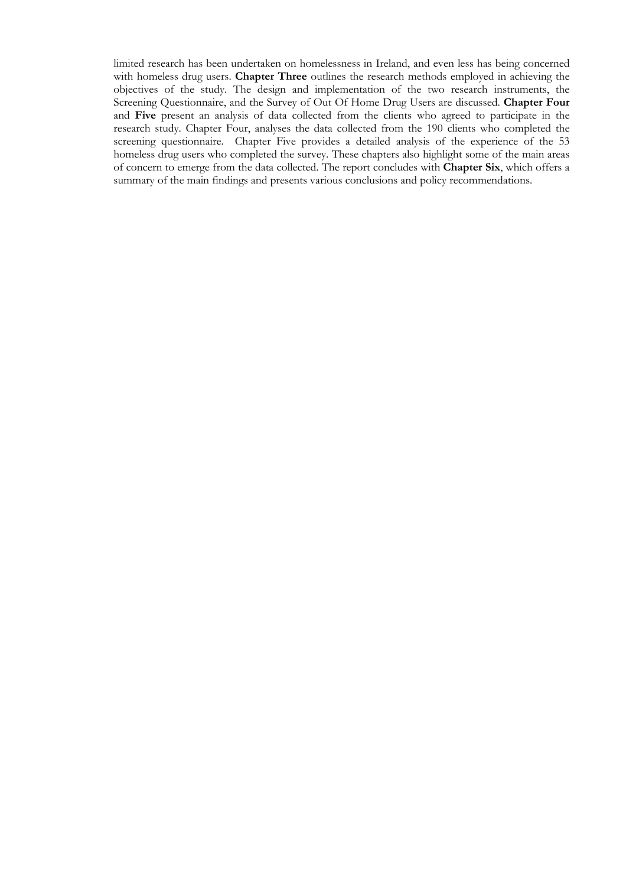limited research has been undertaken on homelessness in Ireland, and even less has being concerned with homeless drug users. **Chapter Three** outlines the research methods employed in achieving the objectives of the study. The design and implementation of the two research instruments, the Screening Questionnaire, and the Survey of Out Of Home Drug Users are discussed. **Chapter Four** and **Five** present an analysis of data collected from the clients who agreed to participate in the research study. Chapter Four, analyses the data collected from the 190 clients who completed the screening questionnaire. Chapter Five provides a detailed analysis of the experience of the 53 homeless drug users who completed the survey. These chapters also highlight some of the main areas of concern to emerge from the data collected. The report concludes with **Chapter Six**, which offers a summary of the main findings and presents various conclusions and policy recommendations.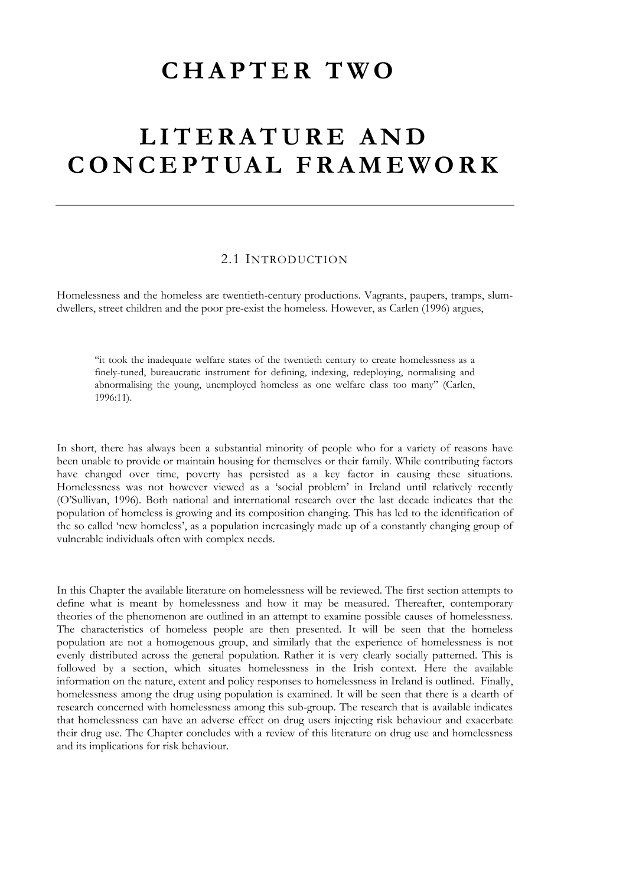### **CHAPTER TWO**

### **LITERATURE AND CONCEPTUAL FRAMEWORK**

### 2.1 INTRODUCTION

Homelessness and the homeless are twentieth-century productions. Vagrants, paupers, tramps, slumdwellers, street children and the poor pre-exist the homeless. However, as Carlen (1996) argues,

"it took the inadequate welfare states of the twentieth century to create homelessness as a finely-tuned, bureaucratic instrument for defining, indexing, redeploying, normalising and abnormalising the young, unemployed homeless as one welfare class too many" (Carlen, 1996:11).

In short, there has always been a substantial minority of people who for a variety of reasons have been unable to provide or maintain housing for themselves or their family. While contributing factors have changed over time, poverty has persisted as a key factor in causing these situations. Homelessness was not however viewed as a 'social problem' in Ireland until relatively recently (O'Sullivan, 1996). Both national and international research over the last decade indicates that the population of homeless is growing and its composition changing. This has led to the identification of the so called 'new homeless', as a population increasingly made up of a constantly changing group of vulnerable individuals often with complex needs.

In this Chapter the available literature on homelessness will be reviewed. The first section attempts to define what is meant by homelessness and how it may be measured. Thereafter, contemporary theories of the phenomenon are outlined in an attempt to examine possible causes of homelessness. The characteristics of homeless people are then presented. It will be seen that the homeless population are not a homogenous group, and similarly that the experience of homelessness is not evenly distributed across the general population. Rather it is very clearly socially patterned. This is followed by a section, which situates homelessness in the Irish context. Here the available information on the nature, extent and policy responses to homelessness in Ireland is outlined. Finally, homelessness among the drug using population is examined. It will be seen that there is a dearth of research concerned with homelessness among this sub-group. The research that is available indicates that homelessness can have an adverse effect on drug users injecting risk behaviour and exacerbate their drug use. The Chapter concludes with a review of this literature on drug use and homelessness and its implications for risk behaviour.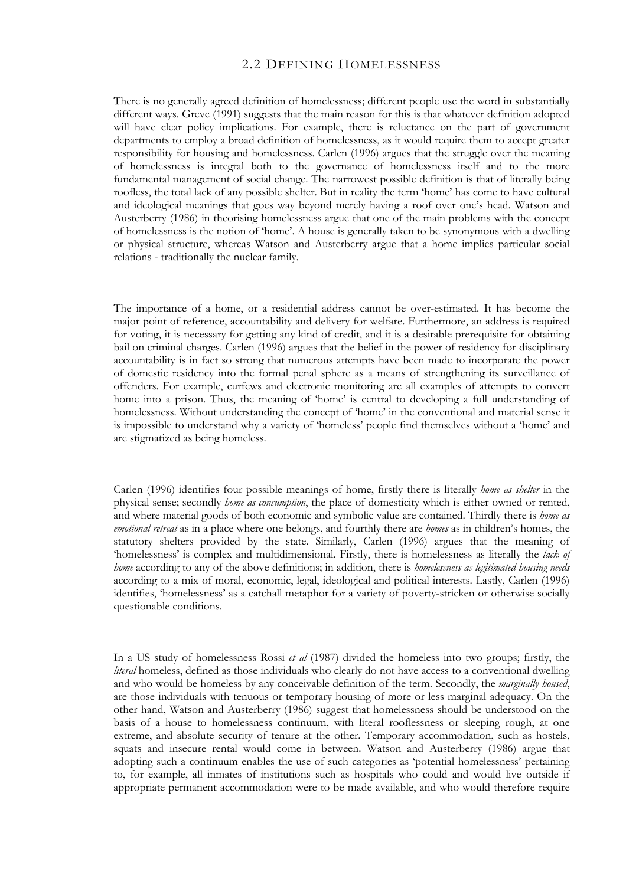### 2.2 DEFINING HOMELESSNESS

There is no generally agreed definition of homelessness; different people use the word in substantially different ways. Greve (1991) suggests that the main reason for this is that whatever definition adopted will have clear policy implications. For example, there is reluctance on the part of government departments to employ a broad definition of homelessness, as it would require them to accept greater responsibility for housing and homelessness. Carlen (1996) argues that the struggle over the meaning of homelessness is integral both to the governance of homelessness itself and to the more fundamental management of social change. The narrowest possible definition is that of literally being roofless, the total lack of any possible shelter. But in reality the term 'home' has come to have cultural and ideological meanings that goes way beyond merely having a roof over one's head. Watson and Austerberry (1986) in theorising homelessness argue that one of the main problems with the concept of homelessness is the notion of 'home'. A house is generally taken to be synonymous with a dwelling or physical structure, whereas Watson and Austerberry argue that a home implies particular social relations - traditionally the nuclear family.

The importance of a home, or a residential address cannot be over-estimated. It has become the major point of reference, accountability and delivery for welfare. Furthermore, an address is required for voting, it is necessary for getting any kind of credit, and it is a desirable prerequisite for obtaining bail on criminal charges. Carlen (1996) argues that the belief in the power of residency for disciplinary accountability is in fact so strong that numerous attempts have been made to incorporate the power of domestic residency into the formal penal sphere as a means of strengthening its surveillance of offenders. For example, curfews and electronic monitoring are all examples of attempts to convert home into a prison. Thus, the meaning of 'home' is central to developing a full understanding of homelessness. Without understanding the concept of 'home' in the conventional and material sense it is impossible to understand why a variety of 'homeless' people find themselves without a 'home' and are stigmatized as being homeless.

Carlen (1996) identifies four possible meanings of home, firstly there is literally *home as shelter* in the physical sense; secondly *home as consumption*, the place of domesticity which is either owned or rented, and where material goods of both economic and symbolic value are contained. Thirdly there is *home as emotional retreat* as in a place where one belongs, and fourthly there are *homes* as in children's homes, the statutory shelters provided by the state. Similarly, Carlen (1996) argues that the meaning of 'homelessness' is complex and multidimensional. Firstly, there is homelessness as literally the *lack of home* according to any of the above definitions; in addition, there is *homelessness as legitimated housing needs* according to a mix of moral, economic, legal, ideological and political interests. Lastly, Carlen (1996) identifies, 'homelessness' as a catchall metaphor for a variety of poverty-stricken or otherwise socially questionable conditions.

In a US study of homelessness Rossi *et al* (1987) divided the homeless into two groups; firstly, the *literal* homeless, defined as those individuals who clearly do not have access to a conventional dwelling and who would be homeless by any conceivable definition of the term. Secondly, the *marginally housed*, are those individuals with tenuous or temporary housing of more or less marginal adequacy. On the other hand, Watson and Austerberry (1986) suggest that homelessness should be understood on the basis of a house to homelessness continuum, with literal rooflessness or sleeping rough, at one extreme, and absolute security of tenure at the other. Temporary accommodation, such as hostels, squats and insecure rental would come in between. Watson and Austerberry (1986) argue that adopting such a continuum enables the use of such categories as 'potential homelessness' pertaining to, for example, all inmates of institutions such as hospitals who could and would live outside if appropriate permanent accommodation were to be made available, and who would therefore require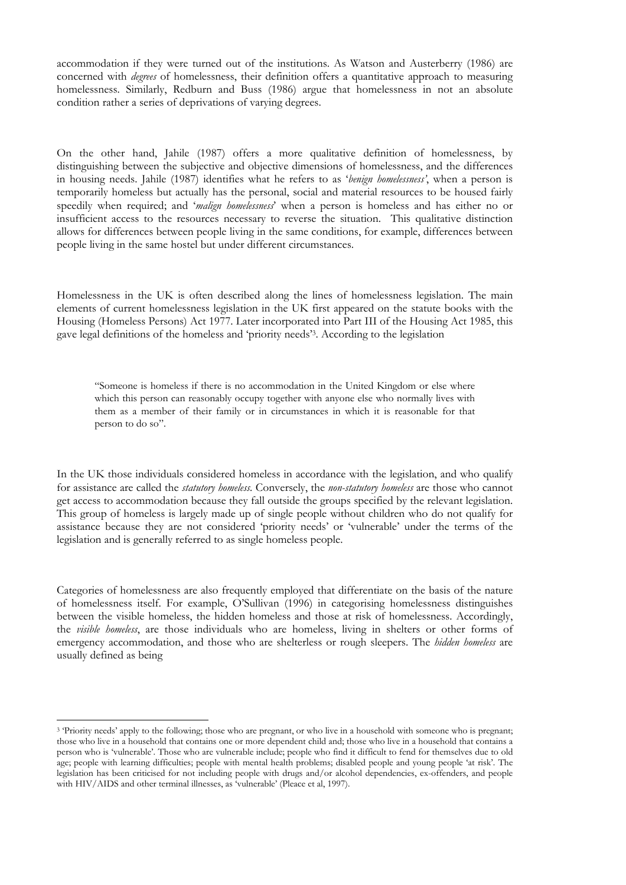accommodation if they were turned out of the institutions. As Watson and Austerberry (1986) are concerned with *degrees* of homelessness, their definition offers a quantitative approach to measuring homelessness. Similarly, Redburn and Buss (1986) argue that homelessness in not an absolute condition rather a series of deprivations of varying degrees.

On the other hand, Jahile (1987) offers a more qualitative definition of homelessness, by distinguishing between the subjective and objective dimensions of homelessness, and the differences in housing needs. Jahile (1987) identifies what he refers to as '*benign homelessness'*, when a person is temporarily homeless but actually has the personal, social and material resources to be housed fairly speedily when required; and '*malign homelessness*' when a person is homeless and has either no or insufficient access to the resources necessary to reverse the situation. This qualitative distinction allows for differences between people living in the same conditions, for example, differences between people living in the same hostel but under different circumstances.

Homelessness in the UK is often described along the lines of homelessness legislation. The main elements of current homelessness legislation in the UK first appeared on the statute books with the Housing (Homeless Persons) Act 1977. Later incorporated into Part III of the Housing Act 1985, this gave legal definitions of the homeless and 'priority needs'[3.](#page-19-0) According to the legislation

"Someone is homeless if there is no accommodation in the United Kingdom or else where which this person can reasonably occupy together with anyone else who normally lives with them as a member of their family or in circumstances in which it is reasonable for that person to do so".

In the UK those individuals considered homeless in accordance with the legislation, and who qualify for assistance are called the *statutory homeless.* Conversely, the *non-statutory homeless* are those who cannot get access to accommodation because they fall outside the groups specified by the relevant legislation. This group of homeless is largely made up of single people without children who do not qualify for assistance because they are not considered 'priority needs' or 'vulnerable' under the terms of the legislation and is generally referred to as single homeless people.

Categories of homelessness are also frequently employed that differentiate on the basis of the nature of homelessness itself. For example, O'Sullivan (1996) in categorising homelessness distinguishes between the visible homeless, the hidden homeless and those at risk of homelessness. Accordingly, the *visible homeless*, are those individuals who are homeless, living in shelters or other forms of emergency accommodation, and those who are shelterless or rough sleepers. The *hidden homeless* are usually defined as being

 $\overline{a}$ 

<span id="page-19-0"></span><sup>&</sup>lt;sup>3</sup> 'Priority needs' apply to the following; those who are pregnant, or who live in a household with someone who is pregnant; those who live in a household that contains one or more dependent child and; those who live in a household that contains a person who is 'vulnerable'. Those who are vulnerable include; people who find it difficult to fend for themselves due to old age; people with learning difficulties; people with mental health problems; disabled people and young people 'at risk'. The legislation has been criticised for not including people with drugs and/or alcohol dependencies, ex-offenders, and people with HIV/AIDS and other terminal illnesses, as 'vulnerable' (Pleace et al, 1997).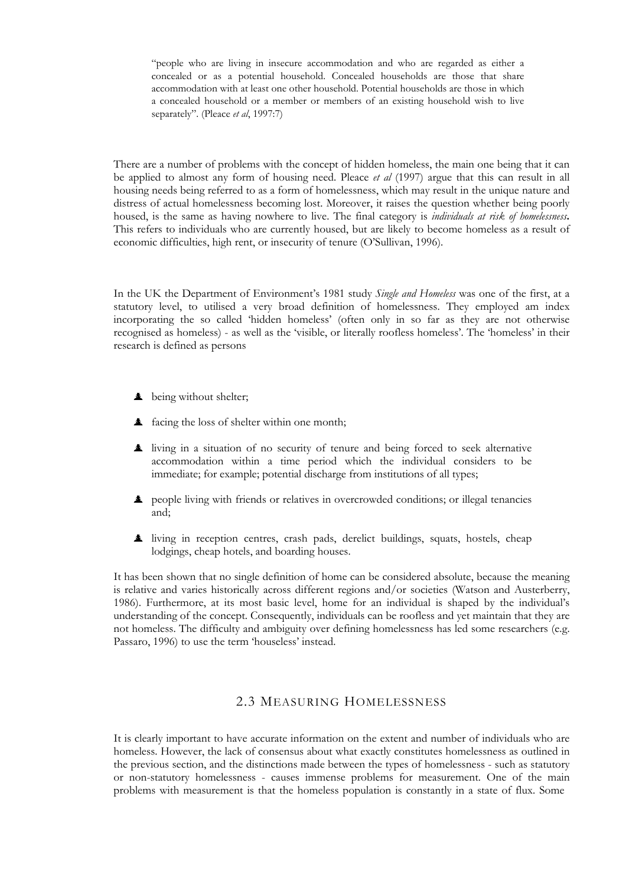"people who are living in insecure accommodation and who are regarded as either a concealed or as a potential household. Concealed households are those that share accommodation with at least one other household. Potential households are those in which a concealed household or a member or members of an existing household wish to live separately". (Pleace *et al*, 1997:7)

There are a number of problems with the concept of hidden homeless, the main one being that it can be applied to almost any form of housing need. Pleace *et al* (1997) argue that this can result in all housing needs being referred to as a form of homelessness, which may result in the unique nature and distress of actual homelessness becoming lost. Moreover, it raises the question whether being poorly housed, is the same as having nowhere to live. The final category is *individuals at risk of homelessness***.** This refers to individuals who are currently housed, but are likely to become homeless as a result of economic difficulties, high rent, or insecurity of tenure (O'Sullivan, 1996).

In the UK the Department of Environment's 1981 study *Single and Homeless* was one of the first, at a statutory level, to utilised a very broad definition of homelessness. They employed am index incorporating the so called 'hidden homeless' (often only in so far as they are not otherwise recognised as homeless) - as well as the 'visible, or literally roofless homeless'. The 'homeless' in their research is defined as persons

- $\triangle$  being without shelter;
- $\triangle$  facing the loss of shelter within one month:
- ½ living in a situation of no security of tenure and being forced to seek alternative accommodation within a time period which the individual considers to be immediate; for example; potential discharge from institutions of all types;
- ½ people living with friends or relatives in overcrowded conditions; or illegal tenancies and;
- ½ living in reception centres, crash pads, derelict buildings, squats, hostels, cheap lodgings, cheap hotels, and boarding houses.

It has been shown that no single definition of home can be considered absolute, because the meaning is relative and varies historically across different regions and/or societies (Watson and Austerberry, 1986). Furthermore, at its most basic level, home for an individual is shaped by the individual's understanding of the concept. Consequently, individuals can be roofless and yet maintain that they are not homeless. The difficulty and ambiguity over defining homelessness has led some researchers (e.g. Passaro, 1996) to use the term 'houseless' instead.

### 2.3 MEASURING HOMELESSNESS

It is clearly important to have accurate information on the extent and number of individuals who are homeless. However, the lack of consensus about what exactly constitutes homelessness as outlined in the previous section, and the distinctions made between the types of homelessness - such as statutory or non-statutory homelessness - causes immense problems for measurement. One of the main problems with measurement is that the homeless population is constantly in a state of flux. Some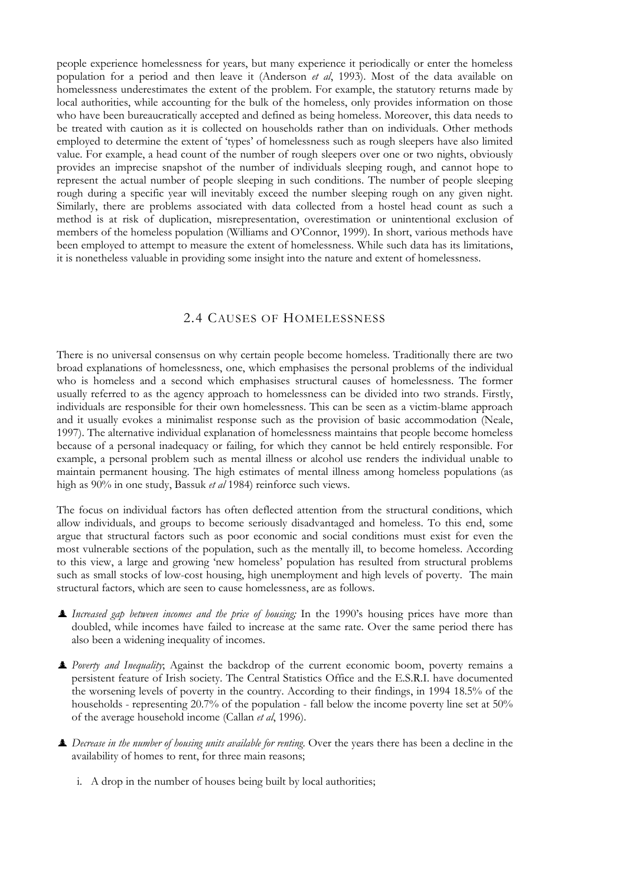people experience homelessness for years, but many experience it periodically or enter the homeless population for a period and then leave it (Anderson *et al*, 1993). Most of the data available on homelessness underestimates the extent of the problem. For example, the statutory returns made by local authorities, while accounting for the bulk of the homeless, only provides information on those who have been bureaucratically accepted and defined as being homeless. Moreover, this data needs to be treated with caution as it is collected on households rather than on individuals. Other methods employed to determine the extent of 'types' of homelessness such as rough sleepers have also limited value. For example, a head count of the number of rough sleepers over one or two nights, obviously provides an imprecise snapshot of the number of individuals sleeping rough, and cannot hope to represent the actual number of people sleeping in such conditions. The number of people sleeping rough during a specific year will inevitably exceed the number sleeping rough on any given night. Similarly, there are problems associated with data collected from a hostel head count as such a method is at risk of duplication, misrepresentation, overestimation or unintentional exclusion of members of the homeless population (Williams and O'Connor, 1999). In short, various methods have been employed to attempt to measure the extent of homelessness. While such data has its limitations, it is nonetheless valuable in providing some insight into the nature and extent of homelessness.

#### 2.4 CAUSES OF HOMELESSNESS

There is no universal consensus on why certain people become homeless. Traditionally there are two broad explanations of homelessness, one, which emphasises the personal problems of the individual who is homeless and a second which emphasises structural causes of homelessness. The former usually referred to as the agency approach to homelessness can be divided into two strands. Firstly, individuals are responsible for their own homelessness. This can be seen as a victim-blame approach and it usually evokes a minimalist response such as the provision of basic accommodation (Neale, 1997). The alternative individual explanation of homelessness maintains that people become homeless because of a personal inadequacy or failing, for which they cannot be held entirely responsible. For example, a personal problem such as mental illness or alcohol use renders the individual unable to maintain permanent housing. The high estimates of mental illness among homeless populations (as high as 90% in one study, Bassuk *et al* 1984) reinforce such views.

The focus on individual factors has often deflected attention from the structural conditions, which allow individuals, and groups to become seriously disadvantaged and homeless. To this end, some argue that structural factors such as poor economic and social conditions must exist for even the most vulnerable sections of the population, such as the mentally ill, to become homeless. According to this view, a large and growing 'new homeless' population has resulted from structural problems such as small stocks of low-cost housing, high unemployment and high levels of poverty. The main structural factors, which are seen to cause homelessness, are as follows.

- ½ *Increased gap between incomes and the price of housing;* In the 1990's housing prices have more than doubled, while incomes have failed to increase at the same rate. Over the same period there has also been a widening inequality of incomes.
- ½ *Poverty and Inequality*; Against the backdrop of the current economic boom, poverty remains a persistent feature of Irish society. The Central Statistics Office and the E.S.R.I. have documented the worsening levels of poverty in the country. According to their findings, in 1994 18.5% of the households - representing 20.7% of the population - fall below the income poverty line set at 50% of the average household income (Callan *et al*, 1996).
- $\triangle$  *Decrease in the number of housing units available for renting.* Over the years there has been a decline in the availability of homes to rent, for three main reasons;
	- i. A drop in the number of houses being built by local authorities;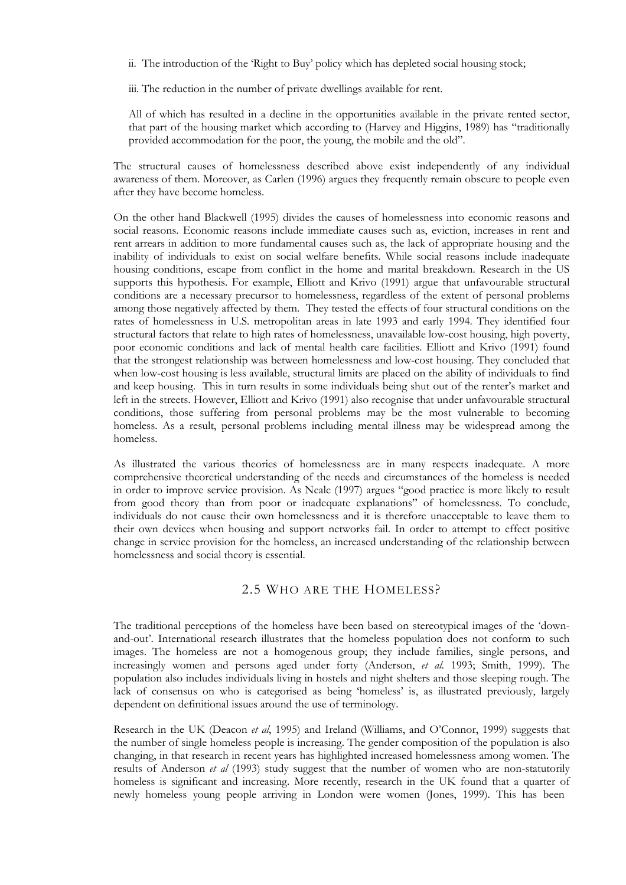- ii. The introduction of the 'Right to Buy' policy which has depleted social housing stock;
- iii. The reduction in the number of private dwellings available for rent.

All of which has resulted in a decline in the opportunities available in the private rented sector, that part of the housing market which according to (Harvey and Higgins, 1989) has "traditionally provided accommodation for the poor, the young, the mobile and the old".

The structural causes of homelessness described above exist independently of any individual awareness of them. Moreover, as Carlen (1996) argues they frequently remain obscure to people even after they have become homeless.

On the other hand Blackwell (1995) divides the causes of homelessness into economic reasons and social reasons. Economic reasons include immediate causes such as, eviction, increases in rent and rent arrears in addition to more fundamental causes such as, the lack of appropriate housing and the inability of individuals to exist on social welfare benefits. While social reasons include inadequate housing conditions, escape from conflict in the home and marital breakdown. Research in the US supports this hypothesis. For example, Elliott and Krivo (1991) argue that unfavourable structural conditions are a necessary precursor to homelessness, regardless of the extent of personal problems among those negatively affected by them. They tested the effects of four structural conditions on the rates of homelessness in U.S. metropolitan areas in late 1993 and early 1994. They identified four structural factors that relate to high rates of homelessness, unavailable low-cost housing, high poverty, poor economic conditions and lack of mental health care facilities. Elliott and Krivo (1991) found that the strongest relationship was between homelessness and low-cost housing. They concluded that when low-cost housing is less available, structural limits are placed on the ability of individuals to find and keep housing. This in turn results in some individuals being shut out of the renter's market and left in the streets. However, Elliott and Krivo (1991) also recognise that under unfavourable structural conditions, those suffering from personal problems may be the most vulnerable to becoming homeless. As a result, personal problems including mental illness may be widespread among the homeless.

As illustrated the various theories of homelessness are in many respects inadequate. A more comprehensive theoretical understanding of the needs and circumstances of the homeless is needed in order to improve service provision. As Neale (1997) argues "good practice is more likely to result from good theory than from poor or inadequate explanations" of homelessness. To conclude, individuals do not cause their own homelessness and it is therefore unacceptable to leave them to their own devices when housing and support networks fail. In order to attempt to effect positive change in service provision for the homeless, an increased understanding of the relationship between homelessness and social theory is essential.

#### 2.5 WHO ARE THE HOMELESS?

The traditional perceptions of the homeless have been based on stereotypical images of the 'downand-out'. International research illustrates that the homeless population does not conform to such images. The homeless are not a homogenous group; they include families, single persons, and increasingly women and persons aged under forty (Anderson, *et al*. 1993; Smith, 1999). The population also includes individuals living in hostels and night shelters and those sleeping rough. The lack of consensus on who is categorised as being 'homeless' is, as illustrated previously, largely dependent on definitional issues around the use of terminology.

Research in the UK (Deacon *et al*, 1995) and Ireland (Williams, and O'Connor, 1999) suggests that the number of single homeless people is increasing. The gender composition of the population is also changing, in that research in recent years has highlighted increased homelessness among women. The results of Anderson *et al* (1993) study suggest that the number of women who are non-statutorily homeless is significant and increasing. More recently, research in the UK found that a quarter of newly homeless young people arriving in London were women (Jones, 1999). This has been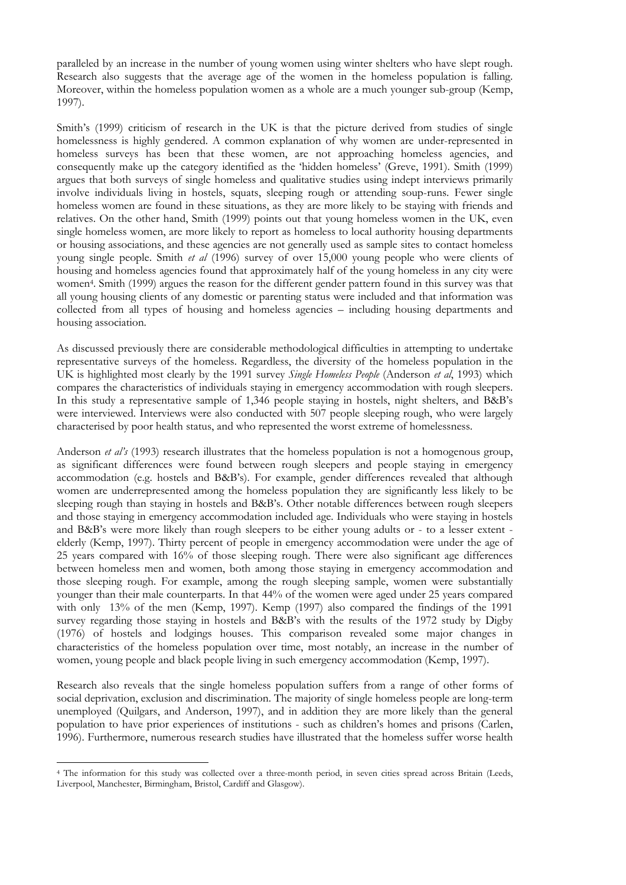paralleled by an increase in the number of young women using winter shelters who have slept rough. Research also suggests that the average age of the women in the homeless population is falling. Moreover, within the homeless population women as a whole are a much younger sub-group (Kemp, 1997).

Smith's (1999) criticism of research in the UK is that the picture derived from studies of single homelessness is highly gendered. A common explanation of why women are under-represented in homeless surveys has been that these women, are not approaching homeless agencies, and consequently make up the category identified as the 'hidden homeless' (Greve, 1991). Smith (1999) argues that both surveys of single homeless and qualitative studies using indept interviews primarily involve individuals living in hostels, squats, sleeping rough or attending soup-runs. Fewer single homeless women are found in these situations, as they are more likely to be staying with friends and relatives. On the other hand, Smith (1999) points out that young homeless women in the UK, even single homeless women, are more likely to report as homeless to local authority housing departments or housing associations, and these agencies are not generally used as sample sites to contact homeless young single people. Smith *et al* (1996) survey of over 15,000 young people who were clients of housing and homeless agencies found that approximately half of the young homeless in any city were women[4.](#page-23-0) Smith (1999) argues the reason for the different gender pattern found in this survey was that all young housing clients of any domestic or parenting status were included and that information was collected from all types of housing and homeless agencies – including housing departments and housing association.

As discussed previously there are considerable methodological difficulties in attempting to undertake representative surveys of the homeless. Regardless, the diversity of the homeless population in the UK is highlighted most clearly by the 1991 survey *Single Homeless People* (Anderson *et al*, 1993) which compares the characteristics of individuals staying in emergency accommodation with rough sleepers. In this study a representative sample of 1,346 people staying in hostels, night shelters, and B&B's were interviewed. Interviews were also conducted with 507 people sleeping rough, who were largely characterised by poor health status, and who represented the worst extreme of homelessness.

Anderson *et al's* (1993) research illustrates that the homeless population is not a homogenous group, as significant differences were found between rough sleepers and people staying in emergency accommodation (e.g. hostels and B&B's). For example, gender differences revealed that although women are underrepresented among the homeless population they are significantly less likely to be sleeping rough than staying in hostels and B&B's. Other notable differences between rough sleepers and those staying in emergency accommodation included age. Individuals who were staying in hostels and B&B's were more likely than rough sleepers to be either young adults or - to a lesser extent elderly (Kemp, 1997). Thirty percent of people in emergency accommodation were under the age of 25 years compared with 16% of those sleeping rough. There were also significant age differences between homeless men and women, both among those staying in emergency accommodation and those sleeping rough. For example, among the rough sleeping sample, women were substantially younger than their male counterparts. In that 44% of the women were aged under 25 years compared with only 13% of the men (Kemp, 1997). Kemp (1997) also compared the findings of the 1991 survey regarding those staying in hostels and B&B's with the results of the 1972 study by Digby (1976) of hostels and lodgings houses. This comparison revealed some major changes in characteristics of the homeless population over time, most notably, an increase in the number of women, young people and black people living in such emergency accommodation (Kemp, 1997).

Research also reveals that the single homeless population suffers from a range of other forms of social deprivation, exclusion and discrimination. The majority of single homeless people are long-term unemployed (Quilgars, and Anderson, 1997), and in addition they are more likely than the general population to have prior experiences of institutions - such as children's homes and prisons (Carlen, 1996). Furthermore, numerous research studies have illustrated that the homeless suffer worse health

<span id="page-23-0"></span> $\overline{a}$ <sup>4</sup> The information for this study was collected over a three-month period, in seven cities spread across Britain (Leeds, Liverpool, Manchester, Birmingham, Bristol, Cardiff and Glasgow).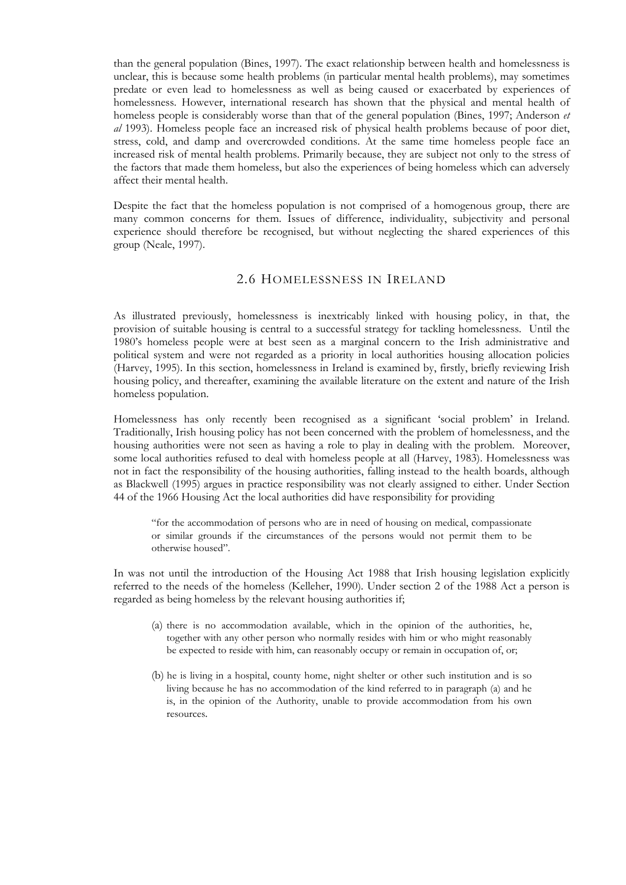than the general population (Bines, 1997). The exact relationship between health and homelessness is unclear, this is because some health problems (in particular mental health problems), may sometimes predate or even lead to homelessness as well as being caused or exacerbated by experiences of homelessness. However, international research has shown that the physical and mental health of homeless people is considerably worse than that of the general population (Bines, 1997; Anderson *et al* 1993). Homeless people face an increased risk of physical health problems because of poor diet, stress, cold, and damp and overcrowded conditions. At the same time homeless people face an increased risk of mental health problems. Primarily because, they are subject not only to the stress of the factors that made them homeless, but also the experiences of being homeless which can adversely affect their mental health.

Despite the fact that the homeless population is not comprised of a homogenous group, there are many common concerns for them. Issues of difference, individuality, subjectivity and personal experience should therefore be recognised, but without neglecting the shared experiences of this group (Neale, 1997).

#### 2.6 HOMELESSNESS IN IRELAND

As illustrated previously, homelessness is inextricably linked with housing policy, in that, the provision of suitable housing is central to a successful strategy for tackling homelessness. Until the 1980's homeless people were at best seen as a marginal concern to the Irish administrative and political system and were not regarded as a priority in local authorities housing allocation policies (Harvey, 1995). In this section, homelessness in Ireland is examined by, firstly, briefly reviewing Irish housing policy, and thereafter, examining the available literature on the extent and nature of the Irish homeless population.

Homelessness has only recently been recognised as a significant 'social problem' in Ireland. Traditionally, Irish housing policy has not been concerned with the problem of homelessness, and the housing authorities were not seen as having a role to play in dealing with the problem. Moreover, some local authorities refused to deal with homeless people at all (Harvey, 1983). Homelessness was not in fact the responsibility of the housing authorities, falling instead to the health boards, although as Blackwell (1995) argues in practice responsibility was not clearly assigned to either. Under Section 44 of the 1966 Housing Act the local authorities did have responsibility for providing

"for the accommodation of persons who are in need of housing on medical, compassionate or similar grounds if the circumstances of the persons would not permit them to be otherwise housed".

In was not until the introduction of the Housing Act 1988 that Irish housing legislation explicitly referred to the needs of the homeless (Kelleher, 1990). Under section 2 of the 1988 Act a person is regarded as being homeless by the relevant housing authorities if;

- (a) there is no accommodation available, which in the opinion of the authorities, he, together with any other person who normally resides with him or who might reasonably be expected to reside with him, can reasonably occupy or remain in occupation of, or;
- (b) he is living in a hospital, county home, night shelter or other such institution and is so living because he has no accommodation of the kind referred to in paragraph (a) and he is, in the opinion of the Authority, unable to provide accommodation from his own resources.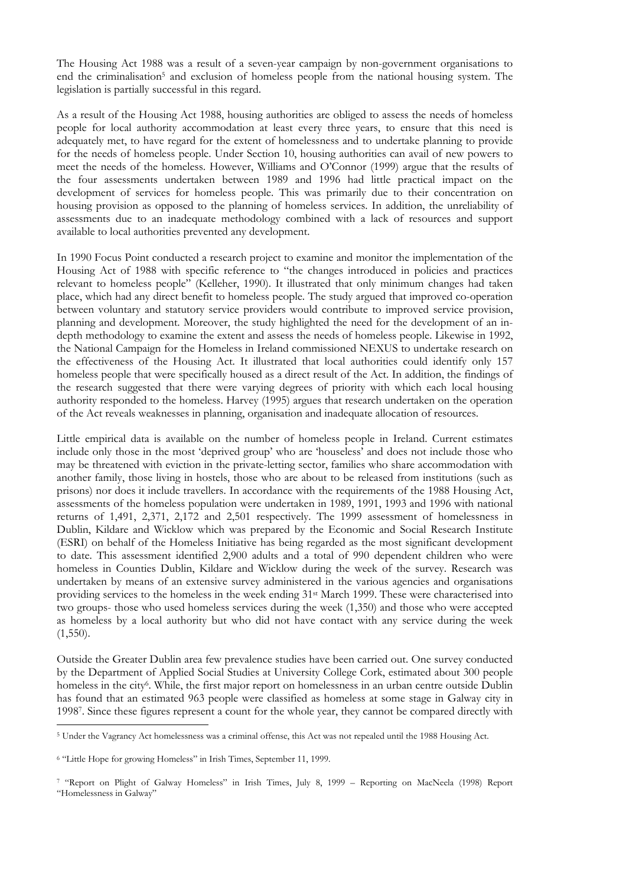The Housing Act 1988 was a result of a seven-year campaign by non-government organisations to end the criminalisation<sup>5</sup> and exclusion of homeless people from the national housing system. The legislation is partially successful in this regard.

As a result of the Housing Act 1988, housing authorities are obliged to assess the needs of homeless people for local authority accommodation at least every three years, to ensure that this need is adequately met, to have regard for the extent of homelessness and to undertake planning to provide for the needs of homeless people. Under Section 10, housing authorities can avail of new powers to meet the needs of the homeless. However, Williams and O'Connor (1999) argue that the results of the four assessments undertaken between 1989 and 1996 had little practical impact on the development of services for homeless people. This was primarily due to their concentration on housing provision as opposed to the planning of homeless services. In addition, the unreliability of assessments due to an inadequate methodology combined with a lack of resources and support available to local authorities prevented any development.

In 1990 Focus Point conducted a research project to examine and monitor the implementation of the Housing Act of 1988 with specific reference to "the changes introduced in policies and practices relevant to homeless people" (Kelleher, 1990). It illustrated that only minimum changes had taken place, which had any direct benefit to homeless people. The study argued that improved co-operation between voluntary and statutory service providers would contribute to improved service provision, planning and development. Moreover, the study highlighted the need for the development of an indepth methodology to examine the extent and assess the needs of homeless people. Likewise in 1992, the National Campaign for the Homeless in Ireland commissioned NEXUS to undertake research on the effectiveness of the Housing Act. It illustrated that local authorities could identify only 157 homeless people that were specifically housed as a direct result of the Act. In addition, the findings of the research suggested that there were varying degrees of priority with which each local housing authority responded to the homeless. Harvey (1995) argues that research undertaken on the operation of the Act reveals weaknesses in planning, organisation and inadequate allocation of resources.

Little empirical data is available on the number of homeless people in Ireland. Current estimates include only those in the most 'deprived group' who are 'houseless' and does not include those who may be threatened with eviction in the private-letting sector, families who share accommodation with another family, those living in hostels, those who are about to be released from institutions (such as prisons) nor does it include travellers. In accordance with the requirements of the 1988 Housing Act, assessments of the homeless population were undertaken in 1989, 1991, 1993 and 1996 with national returns of 1,491, 2,371, 2,172 and 2,501 respectively. The 1999 assessment of homelessness in Dublin, Kildare and Wicklow which was prepared by the Economic and Social Research Institute (ESRI) on behalf of the Homeless Initiative has being regarded as the most significant development to date. This assessment identified 2,900 adults and a total of 990 dependent children who were homeless in Counties Dublin, Kildare and Wicklow during the week of the survey. Research was undertaken by means of an extensive survey administered in the various agencies and organisations providing services to the homeless in the week ending 31st March 1999. These were characterised into two groups- those who used homeless services during the week (1,350) and those who were accepted as homeless by a local authority but who did not have contact with any service during the week  $(1,550)$ .

Outside the Greater Dublin area few prevalence studies have been carried out. One survey conducted by the Department of Applied Social Studies at University College Cork, estimated about 300 people homeless in the city<sup>6</sup>. While, the first major report on homelessness in an urban centre outside Dublin has found that an estimated 963 people were classified as homeless at some stage in Galway city in 199[87.](#page-25-2) Since these figures represent a count for the whole year, they cannot be compared directly with

 $\overline{a}$ 

<span id="page-25-0"></span><sup>5</sup> Under the Vagrancy Act homelessness was a criminal offense, this Act was not repealed until the 1988 Housing Act.

<span id="page-25-1"></span><sup>6</sup> "Little Hope for growing Homeless" in Irish Times, September 11, 1999.

<span id="page-25-2"></span><sup>7</sup> "Report on Plight of Galway Homeless" in Irish Times, July 8, 1999 – Reporting on MacNeela (1998) Report "Homelessness in Galway"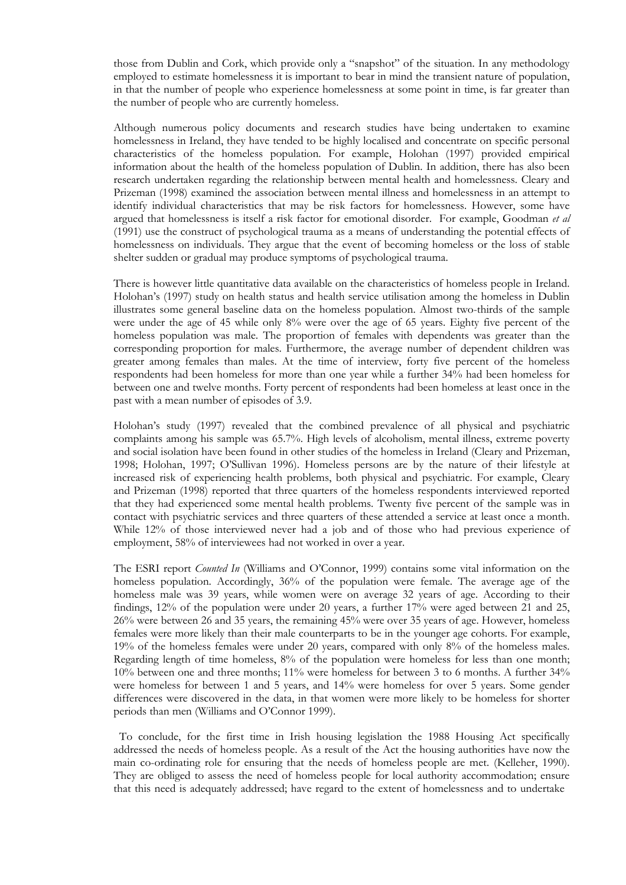those from Dublin and Cork, which provide only a "snapshot" of the situation. In any methodology employed to estimate homelessness it is important to bear in mind the transient nature of population, in that the number of people who experience homelessness at some point in time, is far greater than the number of people who are currently homeless.

Although numerous policy documents and research studies have being undertaken to examine homelessness in Ireland, they have tended to be highly localised and concentrate on specific personal characteristics of the homeless population. For example, Holohan (1997) provided empirical information about the health of the homeless population of Dublin. In addition, there has also been research undertaken regarding the relationship between mental health and homelessness. Cleary and Prizeman (1998) examined the association between mental illness and homelessness in an attempt to identify individual characteristics that may be risk factors for homelessness. However, some have argued that homelessness is itself a risk factor for emotional disorder. For example, Goodman *et al* (1991) use the construct of psychological trauma as a means of understanding the potential effects of homelessness on individuals. They argue that the event of becoming homeless or the loss of stable shelter sudden or gradual may produce symptoms of psychological trauma.

There is however little quantitative data available on the characteristics of homeless people in Ireland. Holohan's (1997) study on health status and health service utilisation among the homeless in Dublin illustrates some general baseline data on the homeless population. Almost two-thirds of the sample were under the age of 45 while only 8% were over the age of 65 years. Eighty five percent of the homeless population was male. The proportion of females with dependents was greater than the corresponding proportion for males. Furthermore, the average number of dependent children was greater among females than males. At the time of interview, forty five percent of the homeless respondents had been homeless for more than one year while a further 34% had been homeless for between one and twelve months. Forty percent of respondents had been homeless at least once in the past with a mean number of episodes of 3.9.

Holohan's study (1997) revealed that the combined prevalence of all physical and psychiatric complaints among his sample was 65.7%. High levels of alcoholism, mental illness, extreme poverty and social isolation have been found in other studies of the homeless in Ireland (Cleary and Prizeman, 1998; Holohan, 1997; O'Sullivan 1996). Homeless persons are by the nature of their lifestyle at increased risk of experiencing health problems, both physical and psychiatric. For example, Cleary and Prizeman (1998) reported that three quarters of the homeless respondents interviewed reported that they had experienced some mental health problems. Twenty five percent of the sample was in contact with psychiatric services and three quarters of these attended a service at least once a month. While 12% of those interviewed never had a job and of those who had previous experience of employment, 58% of interviewees had not worked in over a year.

The ESRI report *Counted In* (Williams and O'Connor, 1999) contains some vital information on the homeless population. Accordingly, 36% of the population were female. The average age of the homeless male was 39 years, while women were on average 32 years of age. According to their findings, 12% of the population were under 20 years, a further 17% were aged between 21 and 25, 26% were between 26 and 35 years, the remaining 45% were over 35 years of age. However, homeless females were more likely than their male counterparts to be in the younger age cohorts. For example, 19% of the homeless females were under 20 years, compared with only 8% of the homeless males. Regarding length of time homeless, 8% of the population were homeless for less than one month; 10% between one and three months; 11% were homeless for between 3 to 6 months. A further 34% were homeless for between 1 and 5 years, and 14% were homeless for over 5 years. Some gender differences were discovered in the data, in that women were more likely to be homeless for shorter periods than men (Williams and O'Connor 1999).

 To conclude, for the first time in Irish housing legislation the 1988 Housing Act specifically addressed the needs of homeless people. As a result of the Act the housing authorities have now the main co-ordinating role for ensuring that the needs of homeless people are met. (Kelleher, 1990). They are obliged to assess the need of homeless people for local authority accommodation; ensure that this need is adequately addressed; have regard to the extent of homelessness and to undertake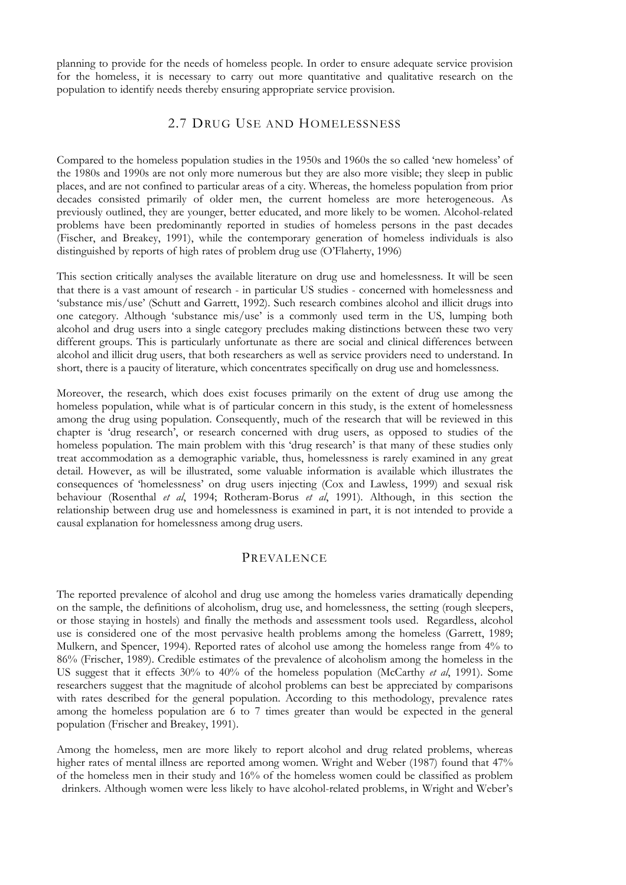planning to provide for the needs of homeless people. In order to ensure adequate service provision for the homeless, it is necessary to carry out more quantitative and qualitative research on the population to identify needs thereby ensuring appropriate service provision.

### 2.7 DRUG USE AND HOMELESSNESS

Compared to the homeless population studies in the 1950s and 1960s the so called 'new homeless' of the 1980s and 1990s are not only more numerous but they are also more visible; they sleep in public places, and are not confined to particular areas of a city. Whereas, the homeless population from prior decades consisted primarily of older men, the current homeless are more heterogeneous. As previously outlined, they are younger, better educated, and more likely to be women. Alcohol-related problems have been predominantly reported in studies of homeless persons in the past decades (Fischer, and Breakey, 1991), while the contemporary generation of homeless individuals is also distinguished by reports of high rates of problem drug use (O'Flaherty, 1996)

This section critically analyses the available literature on drug use and homelessness. It will be seen that there is a vast amount of research - in particular US studies - concerned with homelessness and 'substance mis/use' (Schutt and Garrett, 1992). Such research combines alcohol and illicit drugs into one category. Although 'substance mis/use' is a commonly used term in the US, lumping both alcohol and drug users into a single category precludes making distinctions between these two very different groups. This is particularly unfortunate as there are social and clinical differences between alcohol and illicit drug users, that both researchers as well as service providers need to understand. In short, there is a paucity of literature, which concentrates specifically on drug use and homelessness.

Moreover, the research, which does exist focuses primarily on the extent of drug use among the homeless population, while what is of particular concern in this study, is the extent of homelessness among the drug using population. Consequently, much of the research that will be reviewed in this chapter is 'drug research', or research concerned with drug users, as opposed to studies of the homeless population. The main problem with this 'drug research' is that many of these studies only treat accommodation as a demographic variable, thus, homelessness is rarely examined in any great detail. However, as will be illustrated, some valuable information is available which illustrates the consequences of 'homelessness' on drug users injecting (Cox and Lawless, 1999) and sexual risk behaviour (Rosenthal *et al*, 1994; Rotheram-Borus *et al*, 1991). Although, in this section the relationship between drug use and homelessness is examined in part, it is not intended to provide a causal explanation for homelessness among drug users.

### PREVALENCE

The reported prevalence of alcohol and drug use among the homeless varies dramatically depending on the sample, the definitions of alcoholism, drug use, and homelessness, the setting (rough sleepers, or those staying in hostels) and finally the methods and assessment tools used. Regardless, alcohol use is considered one of the most pervasive health problems among the homeless (Garrett, 1989; Mulkern, and Spencer, 1994). Reported rates of alcohol use among the homeless range from 4% to 86% (Frischer, 1989). Credible estimates of the prevalence of alcoholism among the homeless in the US suggest that it effects 30% to 40% of the homeless population (McCarthy *et al*, 1991). Some researchers suggest that the magnitude of alcohol problems can best be appreciated by comparisons with rates described for the general population. According to this methodology, prevalence rates among the homeless population are 6 to 7 times greater than would be expected in the general population (Frischer and Breakey, 1991).

Among the homeless, men are more likely to report alcohol and drug related problems, whereas higher rates of mental illness are reported among women. Wright and Weber (1987) found that 47% of the homeless men in their study and 16% of the homeless women could be classified as problem drinkers. Although women were less likely to have alcohol-related problems, in Wright and Weber's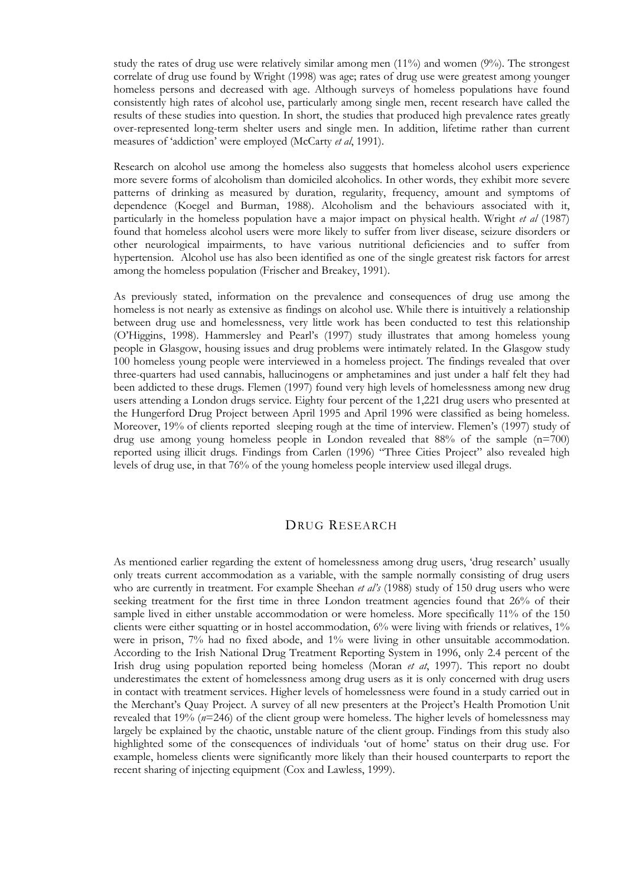study the rates of drug use were relatively similar among men (11%) and women (9%). The strongest correlate of drug use found by Wright (1998) was age; rates of drug use were greatest among younger homeless persons and decreased with age. Although surveys of homeless populations have found consistently high rates of alcohol use, particularly among single men, recent research have called the results of these studies into question. In short, the studies that produced high prevalence rates greatly over-represented long-term shelter users and single men. In addition, lifetime rather than current measures of 'addiction' were employed (McCarty *et al*, 1991).

Research on alcohol use among the homeless also suggests that homeless alcohol users experience more severe forms of alcoholism than domiciled alcoholics. In other words, they exhibit more severe patterns of drinking as measured by duration, regularity, frequency, amount and symptoms of dependence (Koegel and Burman, 1988). Alcoholism and the behaviours associated with it, particularly in the homeless population have a major impact on physical health. Wright *et al* (1987) found that homeless alcohol users were more likely to suffer from liver disease, seizure disorders or other neurological impairments, to have various nutritional deficiencies and to suffer from hypertension. Alcohol use has also been identified as one of the single greatest risk factors for arrest among the homeless population (Frischer and Breakey, 1991).

As previously stated, information on the prevalence and consequences of drug use among the homeless is not nearly as extensive as findings on alcohol use. While there is intuitively a relationship between drug use and homelessness, very little work has been conducted to test this relationship (O'Higgins, 1998). Hammersley and Pearl's (1997) study illustrates that among homeless young people in Glasgow, housing issues and drug problems were intimately related. In the Glasgow study 100 homeless young people were interviewed in a homeless project. The findings revealed that over three-quarters had used cannabis, hallucinogens or amphetamines and just under a half felt they had been addicted to these drugs. Flemen (1997) found very high levels of homelessness among new drug users attending a London drugs service. Eighty four percent of the 1,221 drug users who presented at the Hungerford Drug Project between April 1995 and April 1996 were classified as being homeless. Moreover, 19% of clients reported sleeping rough at the time of interview. Flemen's (1997) study of drug use among young homeless people in London revealed that 88% of the sample (n=700) reported using illicit drugs. Findings from Carlen (1996) "Three Cities Project" also revealed high levels of drug use, in that 76% of the young homeless people interview used illegal drugs.

### DRUG RESEARCH

As mentioned earlier regarding the extent of homelessness among drug users, 'drug research' usually only treats current accommodation as a variable, with the sample normally consisting of drug users who are currently in treatment. For example Sheehan *et al's* (1988) study of 150 drug users who were seeking treatment for the first time in three London treatment agencies found that 26% of their sample lived in either unstable accommodation or were homeless. More specifically 11% of the 150 clients were either squatting or in hostel accommodation, 6% were living with friends or relatives, 1% were in prison, 7% had no fixed abode, and 1% were living in other unsuitable accommodation. According to the Irish National Drug Treatment Reporting System in 1996, only 2.4 percent of the Irish drug using population reported being homeless (Moran *et at*, 1997). This report no doubt underestimates the extent of homelessness among drug users as it is only concerned with drug users in contact with treatment services. Higher levels of homelessness were found in a study carried out in the Merchant's Quay Project. A survey of all new presenters at the Project's Health Promotion Unit revealed that 19% (*n*=246) of the client group were homeless. The higher levels of homelessness may largely be explained by the chaotic, unstable nature of the client group. Findings from this study also highlighted some of the consequences of individuals 'out of home' status on their drug use. For example, homeless clients were significantly more likely than their housed counterparts to report the recent sharing of injecting equipment (Cox and Lawless, 1999).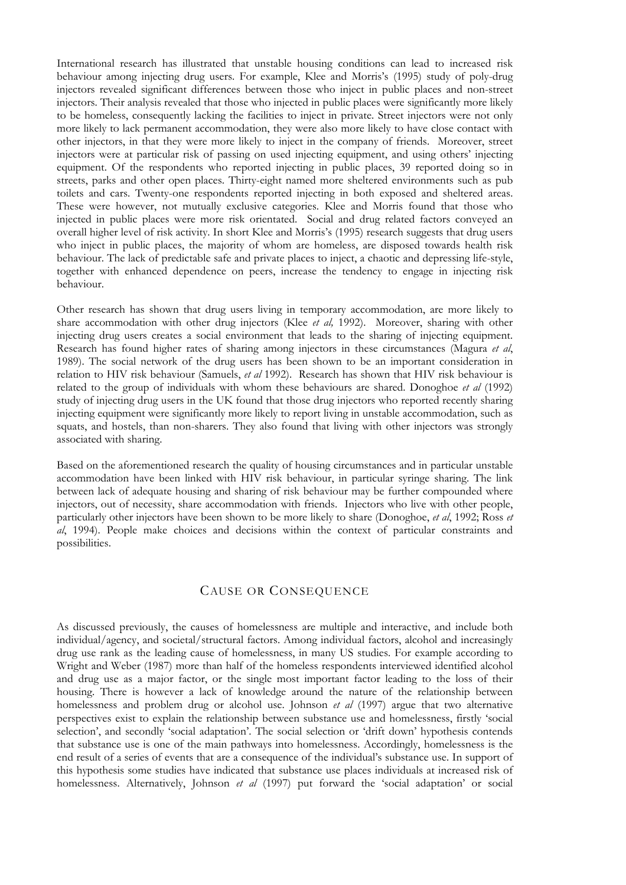International research has illustrated that unstable housing conditions can lead to increased risk behaviour among injecting drug users. For example, Klee and Morris's (1995) study of poly-drug injectors revealed significant differences between those who inject in public places and non-street injectors. Their analysis revealed that those who injected in public places were significantly more likely to be homeless, consequently lacking the facilities to inject in private. Street injectors were not only more likely to lack permanent accommodation, they were also more likely to have close contact with other injectors, in that they were more likely to inject in the company of friends. Moreover, street injectors were at particular risk of passing on used injecting equipment, and using others' injecting equipment. Of the respondents who reported injecting in public places, 39 reported doing so in streets, parks and other open places. Thirty-eight named more sheltered environments such as pub toilets and cars. Twenty-one respondents reported injecting in both exposed and sheltered areas. These were however, not mutually exclusive categories. Klee and Morris found that those who injected in public places were more risk orientated. Social and drug related factors conveyed an overall higher level of risk activity. In short Klee and Morris's (1995) research suggests that drug users who inject in public places, the majority of whom are homeless, are disposed towards health risk behaviour. The lack of predictable safe and private places to inject, a chaotic and depressing life-style, together with enhanced dependence on peers, increase the tendency to engage in injecting risk behaviour.

Other research has shown that drug users living in temporary accommodation, are more likely to share accommodation with other drug injectors (Klee *et al,* 1992). Moreover, sharing with other injecting drug users creates a social environment that leads to the sharing of injecting equipment. Research has found higher rates of sharing among injectors in these circumstances (Magura *et al*, 1989). The social network of the drug users has been shown to be an important consideration in relation to HIV risk behaviour (Samuels, *et al* 1992). Research has shown that HIV risk behaviour is related to the group of individuals with whom these behaviours are shared. Donoghoe *et al* (1992) study of injecting drug users in the UK found that those drug injectors who reported recently sharing injecting equipment were significantly more likely to report living in unstable accommodation, such as squats, and hostels, than non-sharers. They also found that living with other injectors was strongly associated with sharing.

Based on the aforementioned research the quality of housing circumstances and in particular unstable accommodation have been linked with HIV risk behaviour, in particular syringe sharing. The link between lack of adequate housing and sharing of risk behaviour may be further compounded where injectors, out of necessity, share accommodation with friends. Injectors who live with other people, particularly other injectors have been shown to be more likely to share (Donoghoe, *et al*, 1992; Ross *et al*, 1994). People make choices and decisions within the context of particular constraints and possibilities.

### CAUSE OR CONSEQUENCE

As discussed previously, the causes of homelessness are multiple and interactive, and include both individual/agency, and societal/structural factors. Among individual factors, alcohol and increasingly drug use rank as the leading cause of homelessness, in many US studies. For example according to Wright and Weber (1987) more than half of the homeless respondents interviewed identified alcohol and drug use as a major factor, or the single most important factor leading to the loss of their housing. There is however a lack of knowledge around the nature of the relationship between homelessness and problem drug or alcohol use. Johnson *et al* (1997) argue that two alternative perspectives exist to explain the relationship between substance use and homelessness, firstly 'social selection', and secondly 'social adaptation'. The social selection or 'drift down' hypothesis contends that substance use is one of the main pathways into homelessness. Accordingly, homelessness is the end result of a series of events that are a consequence of the individual's substance use. In support of this hypothesis some studies have indicated that substance use places individuals at increased risk of homelessness. Alternatively, Johnson *et al* (1997) put forward the 'social adaptation' or social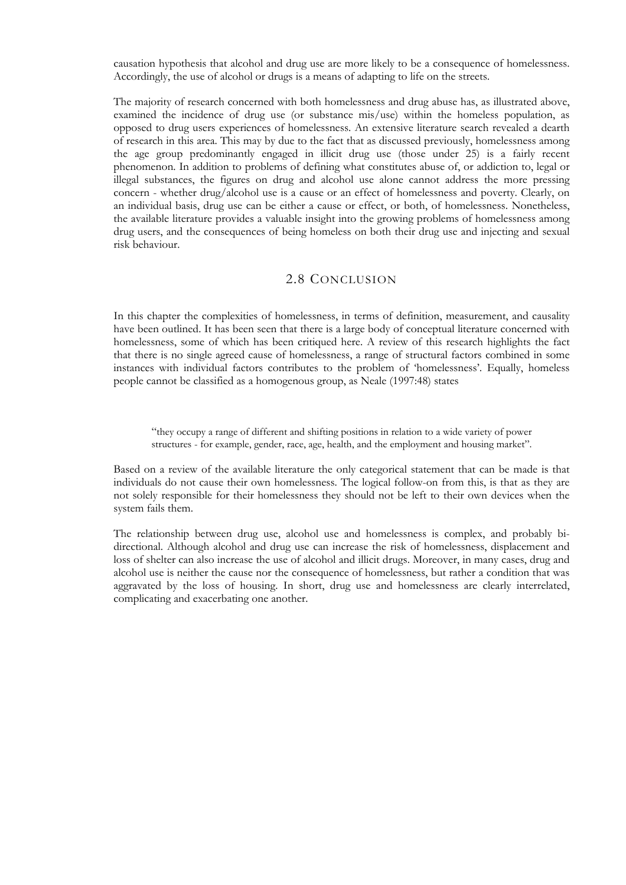causation hypothesis that alcohol and drug use are more likely to be a consequence of homelessness. Accordingly, the use of alcohol or drugs is a means of adapting to life on the streets.

The majority of research concerned with both homelessness and drug abuse has, as illustrated above, examined the incidence of drug use (or substance mis/use) within the homeless population, as opposed to drug users experiences of homelessness. An extensive literature search revealed a dearth of research in this area. This may by due to the fact that as discussed previously, homelessness among the age group predominantly engaged in illicit drug use (those under 25) is a fairly recent phenomenon. In addition to problems of defining what constitutes abuse of, or addiction to, legal or illegal substances, the figures on drug and alcohol use alone cannot address the more pressing concern - whether drug/alcohol use is a cause or an effect of homelessness and poverty. Clearly, on an individual basis, drug use can be either a cause or effect, or both, of homelessness. Nonetheless, the available literature provides a valuable insight into the growing problems of homelessness among drug users, and the consequences of being homeless on both their drug use and injecting and sexual risk behaviour.

### 2.8 CONCLUSION

In this chapter the complexities of homelessness, in terms of definition, measurement, and causality have been outlined. It has been seen that there is a large body of conceptual literature concerned with homelessness, some of which has been critiqued here. A review of this research highlights the fact that there is no single agreed cause of homelessness, a range of structural factors combined in some instances with individual factors contributes to the problem of 'homelessness'. Equally, homeless people cannot be classified as a homogenous group, as Neale (1997:48) states

"they occupy a range of different and shifting positions in relation to a wide variety of power structures - for example, gender, race, age, health, and the employment and housing market".

Based on a review of the available literature the only categorical statement that can be made is that individuals do not cause their own homelessness. The logical follow-on from this, is that as they are not solely responsible for their homelessness they should not be left to their own devices when the system fails them.

The relationship between drug use, alcohol use and homelessness is complex, and probably bidirectional. Although alcohol and drug use can increase the risk of homelessness, displacement and loss of shelter can also increase the use of alcohol and illicit drugs. Moreover, in many cases, drug and alcohol use is neither the cause nor the consequence of homelessness, but rather a condition that was aggravated by the loss of housing. In short, drug use and homelessness are clearly interrelated, complicating and exacerbating one another.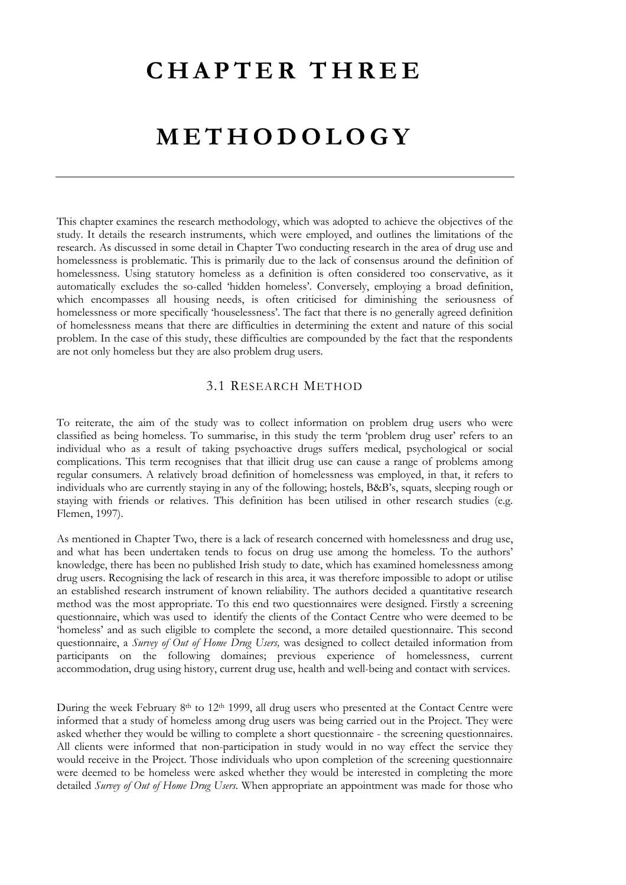### **CHAPTER THREE**

### **METHODOLOGY**

This chapter examines the research methodology, which was adopted to achieve the objectives of the study. It details the research instruments, which were employed, and outlines the limitations of the research. As discussed in some detail in Chapter Two conducting research in the area of drug use and homelessness is problematic. This is primarily due to the lack of consensus around the definition of homelessness. Using statutory homeless as a definition is often considered too conservative, as it automatically excludes the so-called 'hidden homeless'. Conversely, employing a broad definition, which encompasses all housing needs, is often criticised for diminishing the seriousness of homelessness or more specifically 'houselessness'. The fact that there is no generally agreed definition of homelessness means that there are difficulties in determining the extent and nature of this social problem. In the case of this study, these difficulties are compounded by the fact that the respondents are not only homeless but they are also problem drug users.

### 3.1 RESEARCH METHOD

To reiterate, the aim of the study was to collect information on problem drug users who were classified as being homeless. To summarise, in this study the term 'problem drug user' refers to an individual who as a result of taking psychoactive drugs suffers medical, psychological or social complications. This term recognises that that illicit drug use can cause a range of problems among regular consumers. A relatively broad definition of homelessness was employed, in that, it refers to individuals who are currently staying in any of the following; hostels, B&B's, squats, sleeping rough or staying with friends or relatives. This definition has been utilised in other research studies (e.g. Flemen, 1997).

As mentioned in Chapter Two, there is a lack of research concerned with homelessness and drug use, and what has been undertaken tends to focus on drug use among the homeless. To the authors' knowledge, there has been no published Irish study to date, which has examined homelessness among drug users. Recognising the lack of research in this area, it was therefore impossible to adopt or utilise an established research instrument of known reliability. The authors decided a quantitative research method was the most appropriate. To this end two questionnaires were designed. Firstly a screening questionnaire, which was used to identify the clients of the Contact Centre who were deemed to be 'homeless' and as such eligible to complete the second, a more detailed questionnaire. This second questionnaire, a *Survey of Out of Home Drug Users,* was designed to collect detailed information from participants on the following domaines; previous experience of homelessness, current accommodation, drug using history, current drug use, health and well-being and contact with services.

During the week February 8<sup>th</sup> to 12<sup>th</sup> 1999, all drug users who presented at the Contact Centre were informed that a study of homeless among drug users was being carried out in the Project. They were asked whether they would be willing to complete a short questionnaire - the screening questionnaires. All clients were informed that non-participation in study would in no way effect the service they would receive in the Project. Those individuals who upon completion of the screening questionnaire were deemed to be homeless were asked whether they would be interested in completing the more detailed *Survey of Out of Home Drug Users*. When appropriate an appointment was made for those who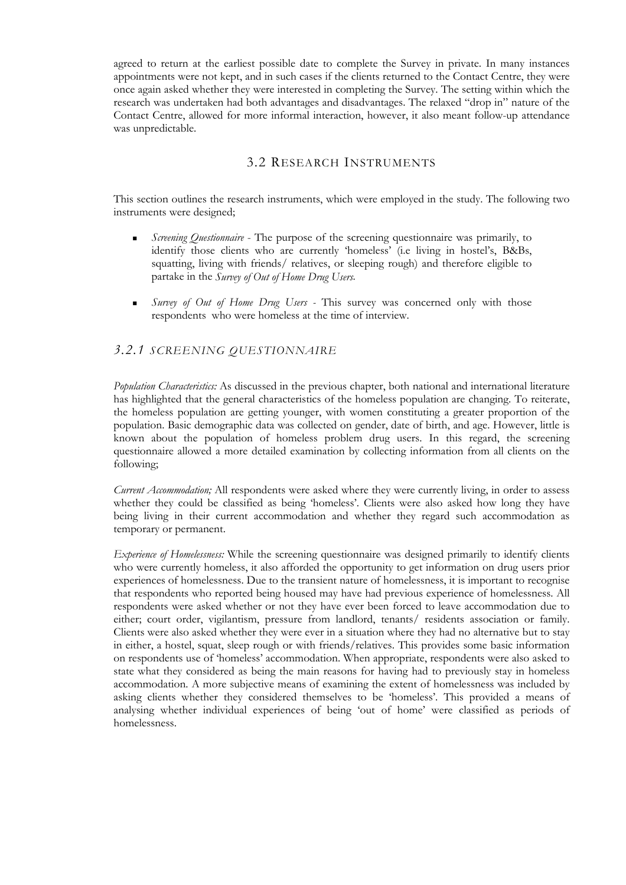agreed to return at the earliest possible date to complete the Survey in private. In many instances appointments were not kept, and in such cases if the clients returned to the Contact Centre, they were once again asked whether they were interested in completing the Survey. The setting within which the research was undertaken had both advantages and disadvantages. The relaxed "drop in" nature of the Contact Centre, allowed for more informal interaction, however, it also meant follow-up attendance was unpredictable.

### 3.2 RESEARCH INSTRUMENTS

This section outlines the research instruments, which were employed in the study. The following two instruments were designed;

- *Screening Questionnaire* The purpose of the screening questionnaire was primarily, to identify those clients who are currently 'homeless' (i.e living in hostel's, B&Bs, squatting, living with friends/ relatives, or sleeping rough) and therefore eligible to partake in the *Survey of Out of Home Drug Users*.
- *Survey of Out of Home Drug Users* This survey was concerned only with those respondents who were homeless at the time of interview.

### *3.2.1 SCREENING QUESTIONNAIRE*

*Population Characteristics:* As discussed in the previous chapter, both national and international literature has highlighted that the general characteristics of the homeless population are changing. To reiterate, the homeless population are getting younger, with women constituting a greater proportion of the population. Basic demographic data was collected on gender, date of birth, and age. However, little is known about the population of homeless problem drug users. In this regard, the screening questionnaire allowed a more detailed examination by collecting information from all clients on the following;

*Current Accommodation;* All respondents were asked where they were currently living, in order to assess whether they could be classified as being 'homeless'. Clients were also asked how long they have being living in their current accommodation and whether they regard such accommodation as temporary or permanent.

*Experience of Homelessness:* While the screening questionnaire was designed primarily to identify clients who were currently homeless, it also afforded the opportunity to get information on drug users prior experiences of homelessness. Due to the transient nature of homelessness, it is important to recognise that respondents who reported being housed may have had previous experience of homelessness. All respondents were asked whether or not they have ever been forced to leave accommodation due to either; court order, vigilantism, pressure from landlord, tenants/ residents association or family. Clients were also asked whether they were ever in a situation where they had no alternative but to stay in either, a hostel, squat, sleep rough or with friends/relatives. This provides some basic information on respondents use of 'homeless' accommodation. When appropriate, respondents were also asked to state what they considered as being the main reasons for having had to previously stay in homeless accommodation. A more subjective means of examining the extent of homelessness was included by asking clients whether they considered themselves to be 'homeless'. This provided a means of analysing whether individual experiences of being 'out of home' were classified as periods of homelessness.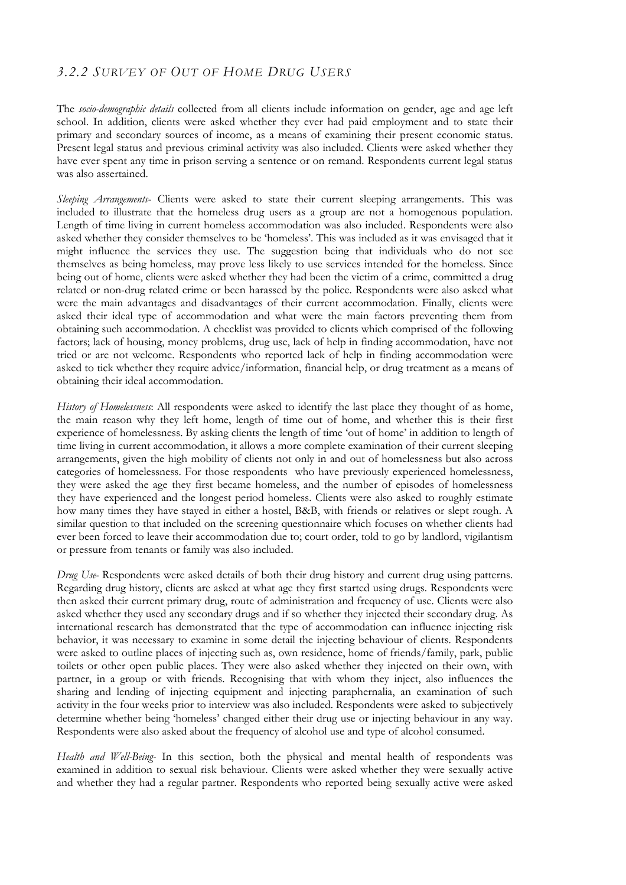### *3.2.2 SURVEY OF OUT OF HOME DRUG USERS*

The *socio-demographic details* collected from all clients include information on gender, age and age left school. In addition, clients were asked whether they ever had paid employment and to state their primary and secondary sources of income, as a means of examining their present economic status. Present legal status and previous criminal activity was also included. Clients were asked whether they have ever spent any time in prison serving a sentence or on remand. Respondents current legal status was also assertained.

*Sleeping Arrangements*- Clients were asked to state their current sleeping arrangements. This was included to illustrate that the homeless drug users as a group are not a homogenous population. Length of time living in current homeless accommodation was also included. Respondents were also asked whether they consider themselves to be 'homeless'. This was included as it was envisaged that it might influence the services they use. The suggestion being that individuals who do not see themselves as being homeless, may prove less likely to use services intended for the homeless. Since being out of home, clients were asked whether they had been the victim of a crime, committed a drug related or non-drug related crime or been harassed by the police. Respondents were also asked what were the main advantages and disadvantages of their current accommodation. Finally, clients were asked their ideal type of accommodation and what were the main factors preventing them from obtaining such accommodation. A checklist was provided to clients which comprised of the following factors; lack of housing, money problems, drug use, lack of help in finding accommodation, have not tried or are not welcome. Respondents who reported lack of help in finding accommodation were asked to tick whether they require advice/information, financial help, or drug treatment as a means of obtaining their ideal accommodation.

*History of Homelessness*: All respondents were asked to identify the last place they thought of as home, the main reason why they left home, length of time out of home, and whether this is their first experience of homelessness. By asking clients the length of time 'out of home' in addition to length of time living in current accommodation, it allows a more complete examination of their current sleeping arrangements, given the high mobility of clients not only in and out of homelessness but also across categories of homelessness. For those respondents who have previously experienced homelessness, they were asked the age they first became homeless, and the number of episodes of homelessness they have experienced and the longest period homeless. Clients were also asked to roughly estimate how many times they have stayed in either a hostel, B&B, with friends or relatives or slept rough. A similar question to that included on the screening questionnaire which focuses on whether clients had ever been forced to leave their accommodation due to; court order, told to go by landlord, vigilantism or pressure from tenants or family was also included.

*Drug Use-* Respondents were asked details of both their drug history and current drug using patterns. Regarding drug history, clients are asked at what age they first started using drugs. Respondents were then asked their current primary drug, route of administration and frequency of use. Clients were also asked whether they used any secondary drugs and if so whether they injected their secondary drug. As international research has demonstrated that the type of accommodation can influence injecting risk behavior, it was necessary to examine in some detail the injecting behaviour of clients. Respondents were asked to outline places of injecting such as, own residence, home of friends/family, park, public toilets or other open public places. They were also asked whether they injected on their own, with partner, in a group or with friends. Recognising that with whom they inject, also influences the sharing and lending of injecting equipment and injecting paraphernalia, an examination of such activity in the four weeks prior to interview was also included. Respondents were asked to subjectively determine whether being 'homeless' changed either their drug use or injecting behaviour in any way. Respondents were also asked about the frequency of alcohol use and type of alcohol consumed.

*Health and Well-Being-* In this section, both the physical and mental health of respondents was examined in addition to sexual risk behaviour. Clients were asked whether they were sexually active and whether they had a regular partner. Respondents who reported being sexually active were asked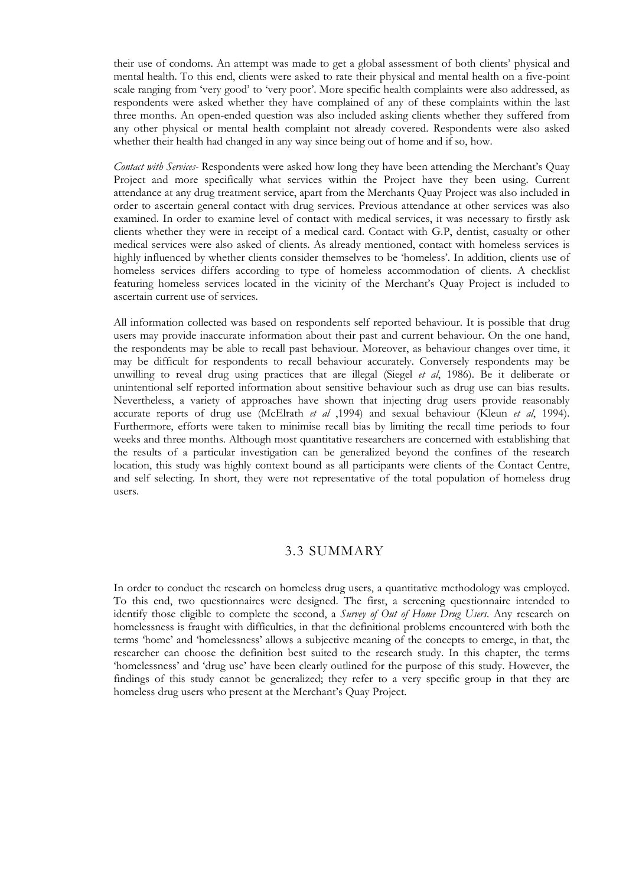their use of condoms. An attempt was made to get a global assessment of both clients' physical and mental health. To this end, clients were asked to rate their physical and mental health on a five-point scale ranging from 'very good' to 'very poor'. More specific health complaints were also addressed, as respondents were asked whether they have complained of any of these complaints within the last three months. An open-ended question was also included asking clients whether they suffered from any other physical or mental health complaint not already covered. Respondents were also asked whether their health had changed in any way since being out of home and if so, how.

*Contact with Services-* Respondents were asked how long they have been attending the Merchant's Quay Project and more specifically what services within the Project have they been using. Current attendance at any drug treatment service, apart from the Merchants Quay Project was also included in order to ascertain general contact with drug services. Previous attendance at other services was also examined. In order to examine level of contact with medical services, it was necessary to firstly ask clients whether they were in receipt of a medical card. Contact with G.P, dentist, casualty or other medical services were also asked of clients. As already mentioned, contact with homeless services is highly influenced by whether clients consider themselves to be 'homeless'. In addition, clients use of homeless services differs according to type of homeless accommodation of clients. A checklist featuring homeless services located in the vicinity of the Merchant's Quay Project is included to ascertain current use of services.

All information collected was based on respondents self reported behaviour. It is possible that drug users may provide inaccurate information about their past and current behaviour. On the one hand, the respondents may be able to recall past behaviour. Moreover, as behaviour changes over time, it may be difficult for respondents to recall behaviour accurately. Conversely respondents may be unwilling to reveal drug using practices that are illegal (Siegel *et al*, 1986). Be it deliberate or unintentional self reported information about sensitive behaviour such as drug use can bias results. Nevertheless, a variety of approaches have shown that injecting drug users provide reasonably accurate reports of drug use (McElrath *et al* ,1994) and sexual behaviour (Kleun *et al*, 1994). Furthermore, efforts were taken to minimise recall bias by limiting the recall time periods to four weeks and three months. Although most quantitative researchers are concerned with establishing that the results of a particular investigation can be generalized beyond the confines of the research location, this study was highly context bound as all participants were clients of the Contact Centre, and self selecting. In short, they were not representative of the total population of homeless drug users.

### 3.3 SUMMARY

In order to conduct the research on homeless drug users, a quantitative methodology was employed. To this end, two questionnaires were designed. The first, a screening questionnaire intended to identify those eligible to complete the second, a *Survey of Out of Home Drug Users*. Any research on homelessness is fraught with difficulties, in that the definitional problems encountered with both the terms 'home' and 'homelessness' allows a subjective meaning of the concepts to emerge, in that, the researcher can choose the definition best suited to the research study. In this chapter, the terms 'homelessness' and 'drug use' have been clearly outlined for the purpose of this study. However, the findings of this study cannot be generalized; they refer to a very specific group in that they are homeless drug users who present at the Merchant's Quay Project.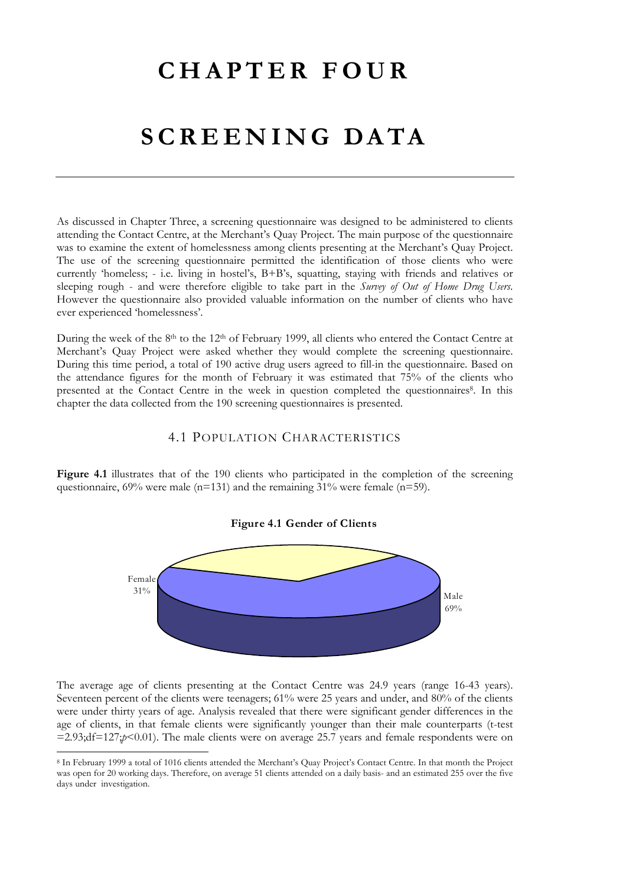### **CHAPTER FOUR**

### **SCREENING DATA**

As discussed in Chapter Three, a screening questionnaire was designed to be administered to clients attending the Contact Centre, at the Merchant's Quay Project. The main purpose of the questionnaire was to examine the extent of homelessness among clients presenting at the Merchant's Quay Project. The use of the screening questionnaire permitted the identification of those clients who were currently 'homeless; - i.e. living in hostel's, B+B's, squatting, staying with friends and relatives or sleeping rough - and were therefore eligible to take part in the *Survey of Out of Home Drug Users*. However the questionnaire also provided valuable information on the number of clients who have ever experienced 'homelessness'.

During the week of the 8<sup>th</sup> to the 12<sup>th</sup> of February 1999, all clients who entered the Contact Centre at Merchant's Quay Project were asked whether they would complete the screening questionnaire. During this time period, a total of 190 active drug users agreed to fill-in the questionnaire. Based on the attendance figures for the month of February it was estimated that 75% of the clients who presented at the Contact Centre in the week in question completed the questionnaires<sup>8</sup>. In this chapter the data collected from the 190 screening questionnaires is presented.

### 4.1 POPULATION CHARACTERISTICS

Figure 4.1 illustrates that of the 190 clients who participated in the completion of the screening questionnaire, 69% were male (n=131) and the remaining 31% were female (n=59).

# **Figure 4.1 Gender of Clients**



The average age of clients presenting at the Contact Centre was 24.9 years (range 16-43 years). Seventeen percent of the clients were teenagers; 61% were 25 years and under, and 80% of the clients were under thirty years of age. Analysis revealed that there were significant gender differences in the age of clients, in that female clients were significantly younger than their male counterparts (t-test  $=2.93;df=127;p<0.01$ . The male clients were on average 25.7 years and female respondents were on

 $\overline{a}$ 

<span id="page-35-0"></span><sup>8</sup> In February 1999 a total of 1016 clients attended the Merchant's Quay Project's Contact Centre. In that month the Project was open for 20 working days. Therefore, on average 51 clients attended on a daily basis- and an estimated 255 over the five days under investigation.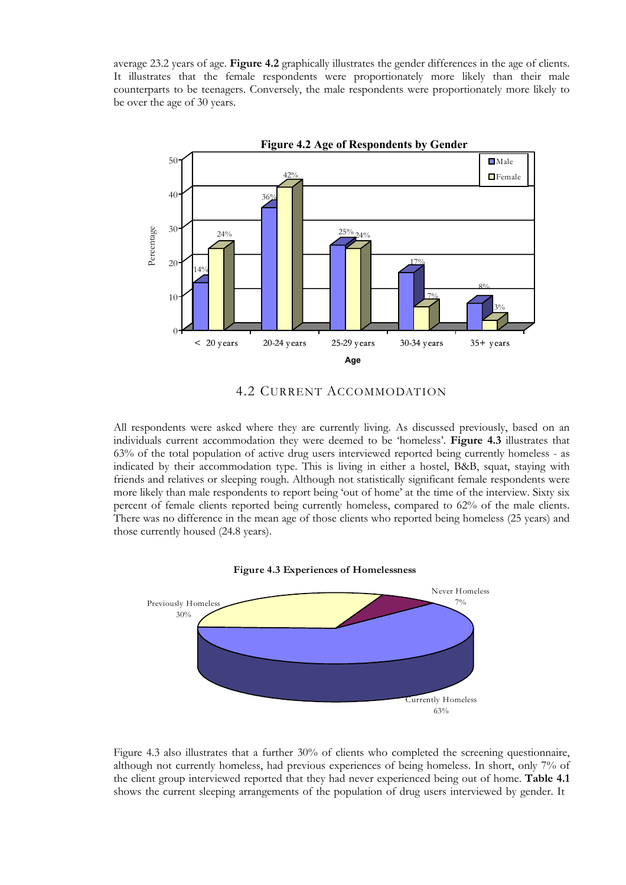average 23.2 years of age. **Figure 4.2** graphically illustrates the gender differences in the age of clients. It illustrates that the female respondents were proportionately more likely than their male counterparts to be teenagers. Conversely, the male respondents were proportionately more likely to be over the age of 30 years.



4.2 CURRENT ACCOMMODATION

All respondents were asked where they are currently living. As discussed previously, based on an individuals current accommodation they were deemed to be 'homeless'. **Figure 4.3** illustrates that 63% of the total population of active drug users interviewed reported being currently homeless - as indicated by their accommodation type. This is living in either a hostel, B&B, squat, staying with friends and relatives or sleeping rough. Although not statistically significant female respondents were more likely than male respondents to report being 'out of home' at the time of the interview. Sixty six percent of female clients reported being currently homeless, compared to 62% of the male clients. There was no difference in the mean age of those clients who reported being homeless (25 years) and those currently housed (24.8 years).





Figure 4.3 also illustrates that a further 30% of clients who completed the screening questionnaire, although not currently homeless, had previous experiences of being homeless. In short, only 7% of the client group interviewed reported that they had never experienced being out of home. **Table 4.1** shows the current sleeping arrangements of the population of drug users interviewed by gender. It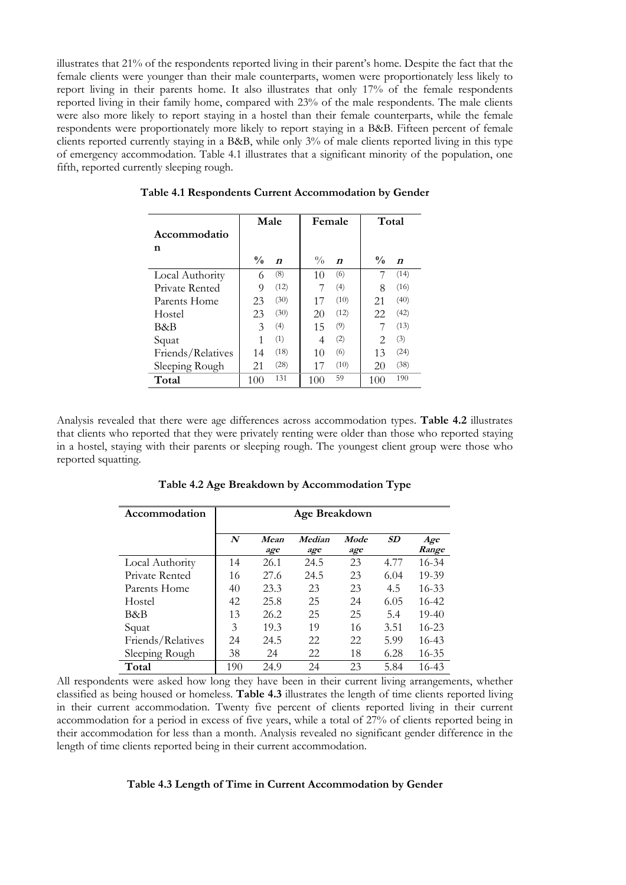illustrates that 21% of the respondents reported living in their parent's home. Despite the fact that the female clients were younger than their male counterparts, women were proportionately less likely to report living in their parents home. It also illustrates that only 17% of the female respondents reported living in their family home, compared with 23% of the male respondents. The male clients were also more likely to report staying in a hostel than their female counterparts, while the female respondents were proportionately more likely to report staying in a B&B. Fifteen percent of female clients reported currently staying in a B&B, while only 3% of male clients reported living in this type of emergency accommodation. Table 4.1 illustrates that a significant minority of the population, one fifth, reported currently sleeping rough.

|                   | Male          |                  | Female        |                  | Total         |                  |
|-------------------|---------------|------------------|---------------|------------------|---------------|------------------|
| Accommodatio      |               |                  |               |                  |               |                  |
| n                 |               |                  |               |                  |               |                  |
|                   | $\frac{0}{0}$ | $\boldsymbol{n}$ | $\frac{0}{0}$ | $\boldsymbol{n}$ | $\frac{0}{0}$ | $\boldsymbol{n}$ |
| Local Authority   | 6             | (8)              | 10            | (6)              |               | (14)             |
| Private Rented    | 9             | (12)             | 7             | (4)              | 8             | (16)             |
| Parents Home      | 23            | (30)             | 17            | (10)             | 21            | (40)             |
| Hostel            | 23            | (30)             | 20            | (12)             | 22            | (42)             |
| B&B               | 3             | (4)              | 15            | (9)              | 7             | (13)             |
| Squat             | 1             | (1)              | 4             | (2)              | 2             | (3)              |
| Friends/Relatives | 14            | (18)             | 10            | (6)              | 13            | (24)             |
| Sleeping Rough    | 21            | (28)             | 17            | (10)             | 20            | (38)             |
| Total             | 100           | 131              | 100           | 59               | 100           | 190              |

**Table 4.1 Respondents Current Accommodation by Gender**

Analysis revealed that there were age differences across accommodation types. **Table 4.2** illustrates that clients who reported that they were privately renting were older than those who reported staying in a hostel, staying with their parents or sleeping rough. The youngest client group were those who reported squatting.

| Accommodation     | Age Breakdown    |             |               |             |      |              |  |
|-------------------|------------------|-------------|---------------|-------------|------|--------------|--|
|                   | $\boldsymbol{N}$ | Mean<br>age | Median<br>age | Mode<br>age | SD   | Age<br>Range |  |
| Local Authority   | 14               | 26.1        | 24.5          | 23          | 4.77 | $16 - 34$    |  |
| Private Rented    | 16               | 27.6        | 24.5          | 23          | 6.04 | 19-39        |  |
| Parents Home      | 40               | 23.3        | 23            | 23          | 4.5  | $16 - 33$    |  |
| Hostel            | 42               | 25.8        | 25            | 24          | 6.05 | $16 - 42$    |  |
| B&B               | 13               | 26.2        | 25            | 25          | 5.4  | $19-40$      |  |
| Squat             | 3                | 19.3        | 19            | 16          | 3.51 | $16 - 23$    |  |
| Friends/Relatives | 24               | 24.5        | 22            | 22          | 5.99 | $16 - 43$    |  |
| Sleeping Rough    | 38               | 24          | 22            | 18          | 6.28 | $16 - 35$    |  |
| Total             | 190              | 24.9        | 24            | 23          | 5.84 | $16 - 43$    |  |

**Table 4.2 Age Breakdown by Accommodation Type**

All respondents were asked how long they have been in their current living arrangements, whether classified as being housed or homeless. **Table 4.3** illustrates the length of time clients reported living in their current accommodation. Twenty five percent of clients reported living in their current accommodation for a period in excess of five years, while a total of 27% of clients reported being in their accommodation for less than a month. Analysis revealed no significant gender difference in the length of time clients reported being in their current accommodation.

#### **Table 4.3 Length of Time in Current Accommodation by Gender**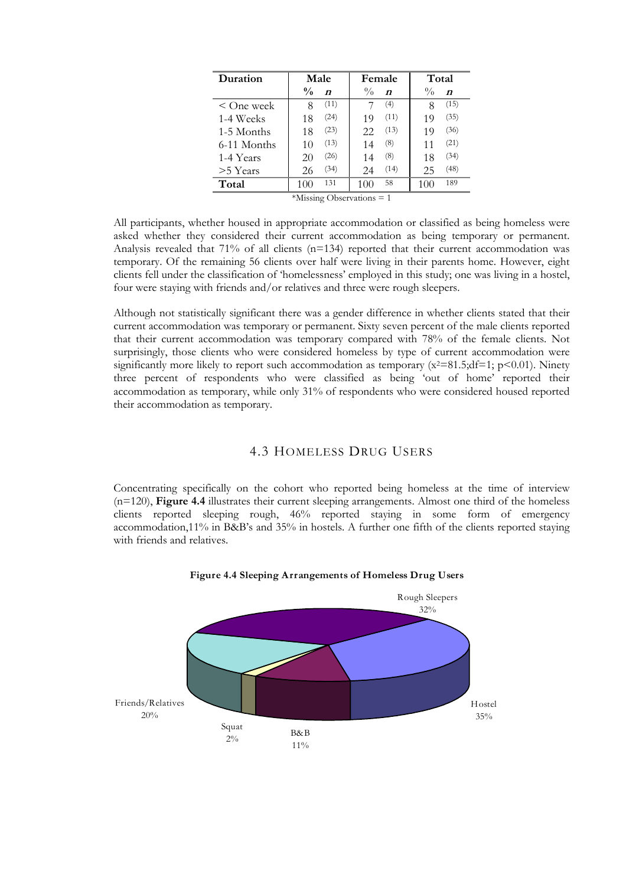| Duration     |               | Male             |                             | Female           |               | Total            |
|--------------|---------------|------------------|-----------------------------|------------------|---------------|------------------|
|              | $\frac{0}{0}$ | $\boldsymbol{n}$ | $\frac{0}{0}$               | $\boldsymbol{n}$ | $\frac{0}{0}$ | $\boldsymbol{n}$ |
| $<$ One week | 8             | (11)             |                             | (4)              | 8             | (15)             |
| 1-4 Weeks    | 18            | (24)             | 19                          | (11)             | 19            | (35)             |
| 1-5 Months   | 18            | (23)             | 22                          | (13)             | 19            | (36)             |
| 6-11 Months  | 10            | (13)             | 14                          | (8)              | 11            | (21)             |
| 1-4 Years    | 20            | (26)             | 14                          | (8)              | 18            | (34)             |
| $>5$ Years   | 26            | (34)             | 24                          | (14)             | 25            | (48)             |
| Total        | 100           | 131              | 100                         | 58               | 100           | 189              |
|              |               |                  | *Missing Observations $= 1$ |                  |               |                  |

All participants, whether housed in appropriate accommodation or classified as being homeless were asked whether they considered their current accommodation as being temporary or permanent. Analysis revealed that  $71\%$  of all clients (n=134) reported that their current accommodation was temporary. Of the remaining 56 clients over half were living in their parents home. However, eight clients fell under the classification of 'homelessness' employed in this study; one was living in a hostel, four were staying with friends and/or relatives and three were rough sleepers.

Although not statistically significant there was a gender difference in whether clients stated that their current accommodation was temporary or permanent. Sixty seven percent of the male clients reported that their current accommodation was temporary compared with 78% of the female clients. Not surprisingly, those clients who were considered homeless by type of current accommodation were significantly more likely to report such accommodation as temporary  $(x^2=81.5;df=1; p<0.01)$ . Ninety three percent of respondents who were classified as being 'out of home' reported their accommodation as temporary, while only 31% of respondents who were considered housed reported their accommodation as temporary.

## 4.3 HOMELESS DRUG USERS

Concentrating specifically on the cohort who reported being homeless at the time of interview (n=120), **Figure 4.4** illustrates their current sleeping arrangements. Almost one third of the homeless clients reported sleeping rough, 46% reported staying in some form of emergency accommodation,11% in B&B's and 35% in hostels. A further one fifth of the clients reported staying with friends and relatives.



**Figure 4.4 Sleeping Arrangements of Homeless Drug Users**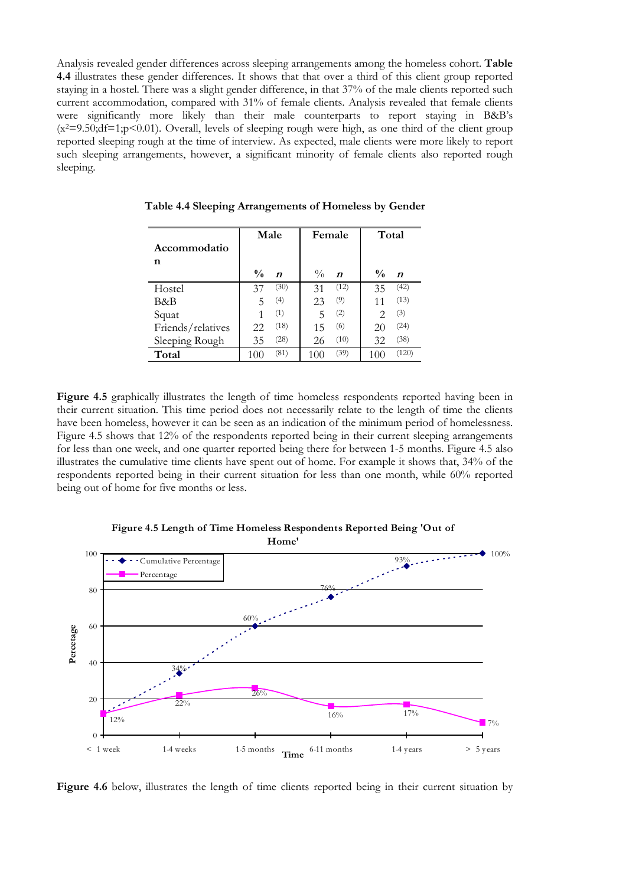Analysis revealed gender differences across sleeping arrangements among the homeless cohort. **Table 4.4** illustrates these gender differences. It shows that that over a third of this client group reported staying in a hostel. There was a slight gender difference, in that 37% of the male clients reported such current accommodation, compared with 31% of female clients. Analysis revealed that female clients were significantly more likely than their male counterparts to report staying in B&B's  $(x^2=9.50; df=1; p<0.01)$ . Overall, levels of sleeping rough were high, as one third of the client group reported sleeping rough at the time of interview. As expected, male clients were more likely to report such sleeping arrangements, however, a significant minority of female clients also reported rough sleeping.

|                   | Male          |                  | Female        |                  | Total                       |                  |
|-------------------|---------------|------------------|---------------|------------------|-----------------------------|------------------|
| Accommodatio      |               |                  |               |                  |                             |                  |
| n                 | $\frac{0}{0}$ | $\boldsymbol{n}$ | $\frac{0}{0}$ | $\boldsymbol{n}$ | $\frac{0}{0}$               | $\boldsymbol{n}$ |
| Hostel            | 37            | (30)             | 31            | (12)             | 35                          | (42)             |
| B&B               | 5             | (4)              | 23            | (9)              | 11                          | (13)             |
| Squat             |               | (1)              | 5             | (2)              | $\mathcal{D}_{\mathcal{L}}$ | (3)              |
| Friends/relatives | 22            | (18)             | 15            | (6)              | 20                          | (24)             |
| Sleeping Rough    | 35            | (28)             | 26            | (10)             | 32                          | (38)             |
| Total             | 100           | (81)             | 100           | (39)             | 100                         | (120)            |

**Table 4.4 Sleeping Arrangements of Homeless by Gender**

**Figure 4.5** graphically illustrates the length of time homeless respondents reported having been in their current situation. This time period does not necessarily relate to the length of time the clients have been homeless, however it can be seen as an indication of the minimum period of homelessness. Figure 4.5 shows that 12% of the respondents reported being in their current sleeping arrangements for less than one week, and one quarter reported being there for between 1-5 months. Figure 4.5 also illustrates the cumulative time clients have spent out of home. For example it shows that, 34% of the respondents reported being in their current situation for less than one month, while 60% reported being out of home for five months or less.



**Figure 4.5 Length of Time Homeless Respondents Reported Being 'Out of** 

Figure 4.6 below, illustrates the length of time clients reported being in their current situation by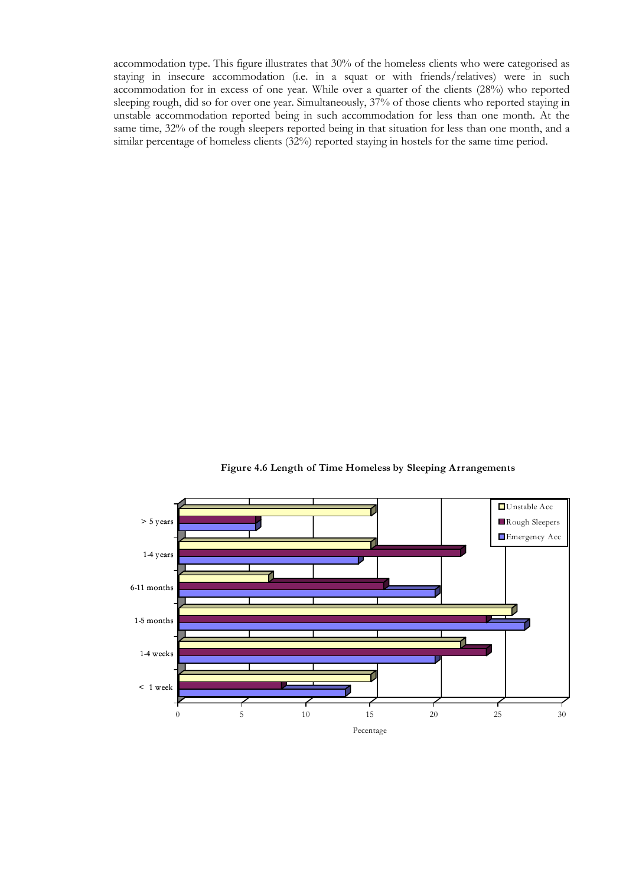accommodation type. This figure illustrates that 30% of the homeless clients who were categorised as staying in insecure accommodation (i.e. in a squat or with friends/relatives) were in such accommodation for in excess of one year. While over a quarter of the clients (28%) who reported sleeping rough, did so for over one year. Simultaneously,  $37\%$  of those clients who reported staying in unstable accommodation reported being in such accommodation for less than one month. At the same time, 32% of the rough sleepers reported being in that situation for less than one month, and a similar percentage of homeless clients (32%) reported staying in hostels for the same time period.

 $< 1$  week 1-4 weeks 1-5 months 6-11 months 1-4 years > 5 years 0 5 10 15 20 25 30 Pecentage ■Unstable Acc Rough Sleepers Emergency Acc

**Figure 4.6 Length of Time Homeless by Sleeping Arrangements**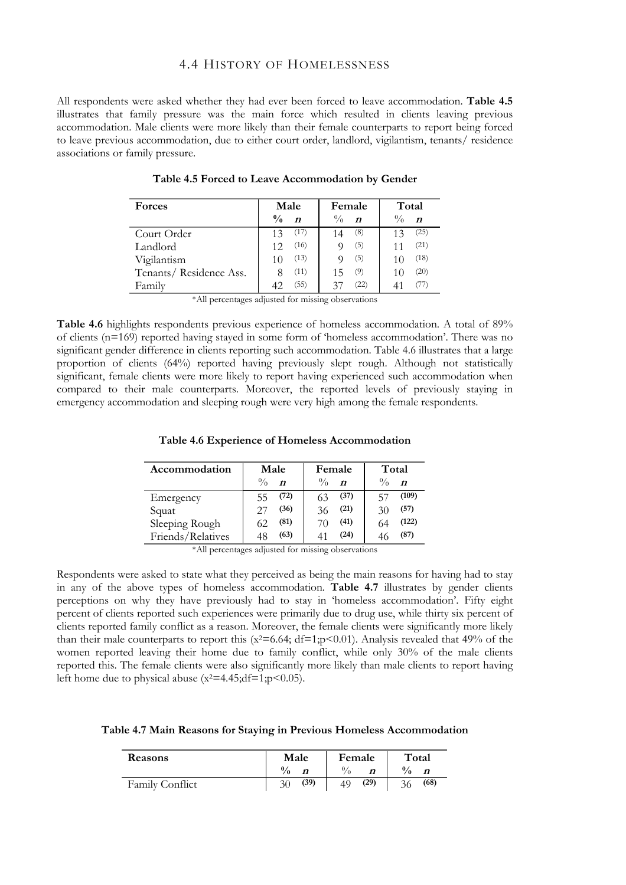# 4.4 HISTORY OF HOMELESSNESS

All respondents were asked whether they had ever been forced to leave accommodation. **Table 4.5** illustrates that family pressure was the main force which resulted in clients leaving previous accommodation. Male clients were more likely than their female counterparts to report being forced to leave previous accommodation, due to either court order, landlord, vigilantism, tenants/ residence associations or family pressure.

| Forces                 | Male                              | Female                            | Total                             |
|------------------------|-----------------------------------|-----------------------------------|-----------------------------------|
|                        | $\frac{0}{0}$<br>$\boldsymbol{n}$ | $\frac{0}{0}$<br>$\boldsymbol{n}$ | $\frac{0}{0}$<br>$\boldsymbol{n}$ |
| Court Order            | (17)<br>13                        | (8)<br>14                         | (25)                              |
| Landlord               | (16)<br>12                        | (5)                               | (21)                              |
| Vigilantism            | (13)<br>10                        | (5)                               | (18)                              |
| Tenants/Residence Ass. | (11)                              | (9)<br>15                         | (20)                              |
| Family                 | (55)<br>42                        | (22)<br>37                        |                                   |

**Table 4.5 Forced to Leave Accommodation by Gender**

\*All percentages adjusted for missing observations

**Table 4.6** highlights respondents previous experience of homeless accommodation. A total of 89% of clients (n=169) reported having stayed in some form of 'homeless accommodation'. There was no significant gender difference in clients reporting such accommodation. Table 4.6 illustrates that a large proportion of clients (64%) reported having previously slept rough. Although not statistically significant, female clients were more likely to report having experienced such accommodation when compared to their male counterparts. Moreover, the reported levels of previously staying in emergency accommodation and sleeping rough were very high among the female respondents.

#### **Table 4.6 Experience of Homeless Accommodation**

| Accommodation     | Male                              | Female                            | Total                             |
|-------------------|-----------------------------------|-----------------------------------|-----------------------------------|
|                   | $\frac{0}{0}$<br>$\boldsymbol{n}$ | $\frac{0}{0}$<br>$\boldsymbol{n}$ | $\frac{0}{0}$<br>$\boldsymbol{n}$ |
| Emergency         | (72)<br>55                        | (37)                              | (109)<br>- 57                     |
| Squat             | (36)                              | (21)                              | (57)                              |
| Sleeping Rough    | (81)                              | (41)                              | (122)                             |
| Friends/Relatives | (63)                              | (24)                              | (87)                              |

<sup>\*</sup>All percentages adjusted for missing observations

Respondents were asked to state what they perceived as being the main reasons for having had to stay in any of the above types of homeless accommodation. **Table 4.7** illustrates by gender clients perceptions on why they have previously had to stay in 'homeless accommodation'. Fifty eight percent of clients reported such experiences were primarily due to drug use, while thirty six percent of clients reported family conflict as a reason. Moreover, the female clients were significantly more likely than their male counterparts to report this  $(x^2=6.64; df=1; p<0.01)$ . Analysis revealed that 49% of the women reported leaving their home due to family conflict, while only 30% of the male clients reported this. The female clients were also significantly more likely than male clients to report having left home due to physical abuse  $(x^2=4.45;df=1;p<0.05)$ .

| Table 4.7 Main Reasons for Staying in Previous Homeless Accommodation |  |  |  |  |
|-----------------------------------------------------------------------|--|--|--|--|
|-----------------------------------------------------------------------|--|--|--|--|

| <b>Reasons</b>  | Male          | Female     | Total              |  |
|-----------------|---------------|------------|--------------------|--|
|                 | $\frac{0}{0}$ |            | $\frac{0}{0}$<br>n |  |
| Family Conflict | (39)<br>30    | (29)<br>49 | (68)               |  |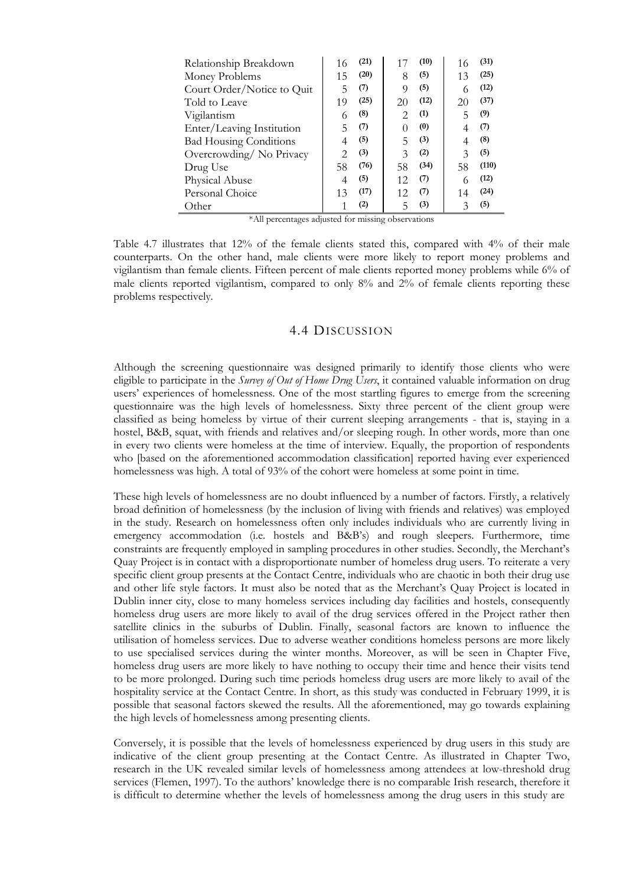| Relationship Breakdown        | 16 | (21) |                  | (10) | 16 | (31)  |
|-------------------------------|----|------|------------------|------|----|-------|
| Money Problems                | 15 | (20) | 8                | (5)  | 13 | (25)  |
| Court Order/Notice to Quit    | 5  | (7)  | 9                | (5)  | 6  | (12)  |
| Told to Leave                 | 19 | (25) | 20               | (12) | 20 | (37)  |
| Vigilantism                   | 6  | (8)  | 2.               | (1)  | 5  | (9)   |
| Enter/Leaving Institution     | 5  | (7)  | $\left( \right)$ | (0)  |    | (7)   |
| <b>Bad Housing Conditions</b> |    | (5)  | 5                | (3)  | 4  | (8)   |
| Overcrowding/No Privacy       | 2  | (3)  | $\mathcal{Z}$    | (2)  | 3  | (5)   |
| Drug Use                      | 58 | (76) | 58               | (34) | 58 | (110) |
| Physical Abuse                | 4  | (5)  | 12               | (7)  | 6  | (12)  |
| Personal Choice               | 13 | (17) | 12               | (7)  | 14 | (24)  |
| Other                         |    | (2)  | 5                | (3)  | 3  | (5)   |

\*All percentages adjusted for missing observations

Table 4.7 illustrates that 12% of the female clients stated this, compared with 4% of their male counterparts. On the other hand, male clients were more likely to report money problems and vigilantism than female clients. Fifteen percent of male clients reported money problems while 6% of male clients reported vigilantism, compared to only 8% and 2% of female clients reporting these problems respectively.

## 4.4 DISCUSSION

Although the screening questionnaire was designed primarily to identify those clients who were eligible to participate in the *Survey of Out of Home Drug Users*, it contained valuable information on drug users' experiences of homelessness. One of the most startling figures to emerge from the screening questionnaire was the high levels of homelessness. Sixty three percent of the client group were classified as being homeless by virtue of their current sleeping arrangements - that is, staying in a hostel, B&B, squat, with friends and relatives and/or sleeping rough. In other words, more than one in every two clients were homeless at the time of interview. Equally, the proportion of respondents who [based on the aforementioned accommodation classification] reported having ever experienced homelessness was high. A total of 93% of the cohort were homeless at some point in time.

These high levels of homelessness are no doubt influenced by a number of factors. Firstly, a relatively broad definition of homelessness (by the inclusion of living with friends and relatives) was employed in the study. Research on homelessness often only includes individuals who are currently living in emergency accommodation (i.e. hostels and B&B's) and rough sleepers. Furthermore, time constraints are frequently employed in sampling procedures in other studies. Secondly, the Merchant's Quay Project is in contact with a disproportionate number of homeless drug users. To reiterate a very specific client group presents at the Contact Centre, individuals who are chaotic in both their drug use and other life style factors. It must also be noted that as the Merchant's Quay Project is located in Dublin inner city, close to many homeless services including day facilities and hostels, consequently homeless drug users are more likely to avail of the drug services offered in the Project rather then satellite clinics in the suburbs of Dublin. Finally, seasonal factors are known to influence the utilisation of homeless services. Due to adverse weather conditions homeless persons are more likely to use specialised services during the winter months. Moreover, as will be seen in Chapter Five, homeless drug users are more likely to have nothing to occupy their time and hence their visits tend to be more prolonged. During such time periods homeless drug users are more likely to avail of the hospitality service at the Contact Centre. In short, as this study was conducted in February 1999, it is possible that seasonal factors skewed the results. All the aforementioned, may go towards explaining the high levels of homelessness among presenting clients.

Conversely, it is possible that the levels of homelessness experienced by drug users in this study are indicative of the client group presenting at the Contact Centre. As illustrated in Chapter Two, research in the UK revealed similar levels of homelessness among attendees at low-threshold drug services (Flemen, 1997). To the authors' knowledge there is no comparable Irish research, therefore it is difficult to determine whether the levels of homelessness among the drug users in this study are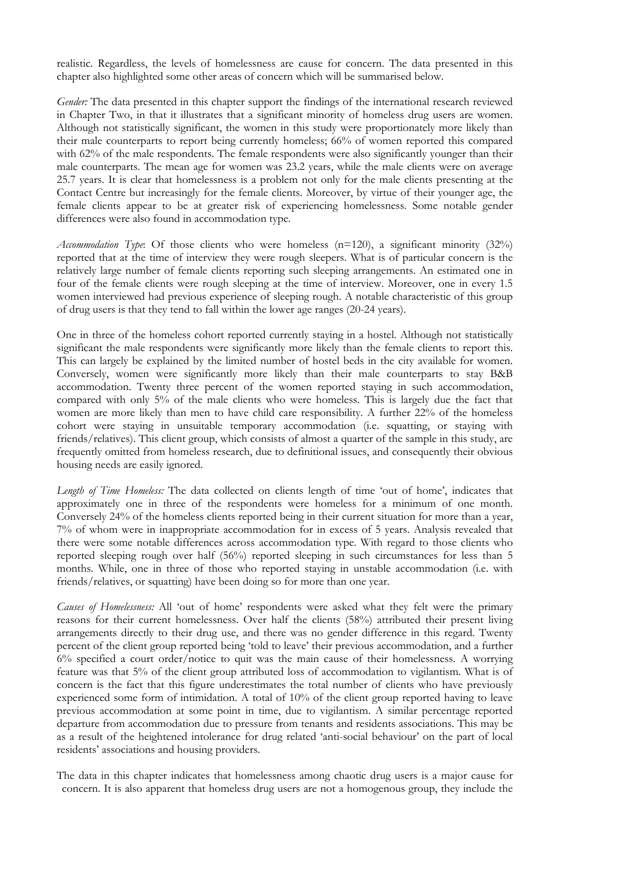realistic. Regardless, the levels of homelessness are cause for concern. The data presented in this chapter also highlighted some other areas of concern which will be summarised below.

*Gender:* The data presented in this chapter support the findings of the international research reviewed in Chapter Two, in that it illustrates that a significant minority of homeless drug users are women. Although not statistically significant, the women in this study were proportionately more likely than their male counterparts to report being currently homeless; 66% of women reported this compared with 62% of the male respondents. The female respondents were also significantly younger than their male counterparts. The mean age for women was 23.2 years, while the male clients were on average 25.7 years. It is clear that homelessness is a problem not only for the male clients presenting at the Contact Centre but increasingly for the female clients. Moreover, by virtue of their younger age, the female clients appear to be at greater risk of experiencing homelessness. Some notable gender differences were also found in accommodation type.

*Accommodation Type*: Of those clients who were homeless (n=120), a significant minority (32%) reported that at the time of interview they were rough sleepers. What is of particular concern is the relatively large number of female clients reporting such sleeping arrangements. An estimated one in four of the female clients were rough sleeping at the time of interview. Moreover, one in every 1.5 women interviewed had previous experience of sleeping rough. A notable characteristic of this group of drug users is that they tend to fall within the lower age ranges (20-24 years).

One in three of the homeless cohort reported currently staying in a hostel. Although not statistically significant the male respondents were significantly more likely than the female clients to report this. This can largely be explained by the limited number of hostel beds in the city available for women. Conversely, women were significantly more likely than their male counterparts to stay B&B accommodation. Twenty three percent of the women reported staying in such accommodation, compared with only 5% of the male clients who were homeless. This is largely due the fact that women are more likely than men to have child care responsibility. A further 22% of the homeless cohort were staying in unsuitable temporary accommodation (i.e. squatting, or staying with friends/relatives). This client group, which consists of almost a quarter of the sample in this study, are frequently omitted from homeless research, due to definitional issues, and consequently their obvious housing needs are easily ignored.

*Length of Time Homeless:* The data collected on clients length of time 'out of home', indicates that approximately one in three of the respondents were homeless for a minimum of one month. Conversely 24% of the homeless clients reported being in their current situation for more than a year, 7% of whom were in inappropriate accommodation for in excess of 5 years. Analysis revealed that there were some notable differences across accommodation type. With regard to those clients who reported sleeping rough over half (56%) reported sleeping in such circumstances for less than 5 months. While, one in three of those who reported staying in unstable accommodation (i.e. with friends/relatives, or squatting) have been doing so for more than one year.

*Causes of Homelessness:* All 'out of home' respondents were asked what they felt were the primary reasons for their current homelessness. Over half the clients (58%) attributed their present living arrangements directly to their drug use, and there was no gender difference in this regard. Twenty percent of the client group reported being 'told to leave' their previous accommodation, and a further 6% specified a court order/notice to quit was the main cause of their homelessness. A worrying feature was that 5% of the client group attributed loss of accommodation to vigilantism. What is of concern is the fact that this figure underestimates the total number of clients who have previously experienced some form of intimidation. A total of 10% of the client group reported having to leave previous accommodation at some point in time, due to vigilantism. A similar percentage reported departure from accommodation due to pressure from tenants and residents associations. This may be as a result of the heightened intolerance for drug related 'anti-social behaviour' on the part of local residents' associations and housing providers.

The data in this chapter indicates that homelessness among chaotic drug users is a major cause for concern. It is also apparent that homeless drug users are not a homogenous group, they include the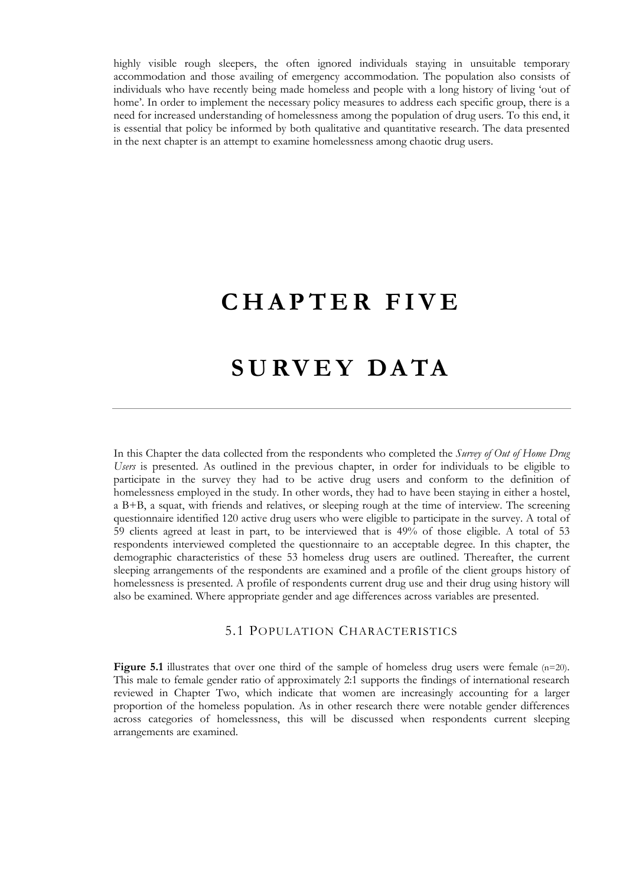highly visible rough sleepers, the often ignored individuals staying in unsuitable temporary accommodation and those availing of emergency accommodation. The population also consists of individuals who have recently being made homeless and people with a long history of living 'out of home'. In order to implement the necessary policy measures to address each specific group, there is a need for increased understanding of homelessness among the population of drug users. To this end, it is essential that policy be informed by both qualitative and quantitative research. The data presented in the next chapter is an attempt to examine homelessness among chaotic drug users.

# **CHAPTER FIVE**

# **SURVEY DATA**

In this Chapter the data collected from the respondents who completed the *Survey of Out of Home Drug Users* is presented. As outlined in the previous chapter, in order for individuals to be eligible to participate in the survey they had to be active drug users and conform to the definition of homelessness employed in the study. In other words, they had to have been staying in either a hostel, a B+B, a squat, with friends and relatives, or sleeping rough at the time of interview. The screening questionnaire identified 120 active drug users who were eligible to participate in the survey. A total of 59 clients agreed at least in part, to be interviewed that is 49% of those eligible. A total of 53 respondents interviewed completed the questionnaire to an acceptable degree. In this chapter, the demographic characteristics of these 53 homeless drug users are outlined. Thereafter, the current sleeping arrangements of the respondents are examined and a profile of the client groups history of homelessness is presented. A profile of respondents current drug use and their drug using history will also be examined. Where appropriate gender and age differences across variables are presented.

## 5.1 POPULATION CHARACTERISTICS

**Figure 5.1** illustrates that over one third of the sample of homeless drug users were female (n=20). This male to female gender ratio of approximately 2:1 supports the findings of international research reviewed in Chapter Two, which indicate that women are increasingly accounting for a larger proportion of the homeless population. As in other research there were notable gender differences across categories of homelessness, this will be discussed when respondents current sleeping arrangements are examined.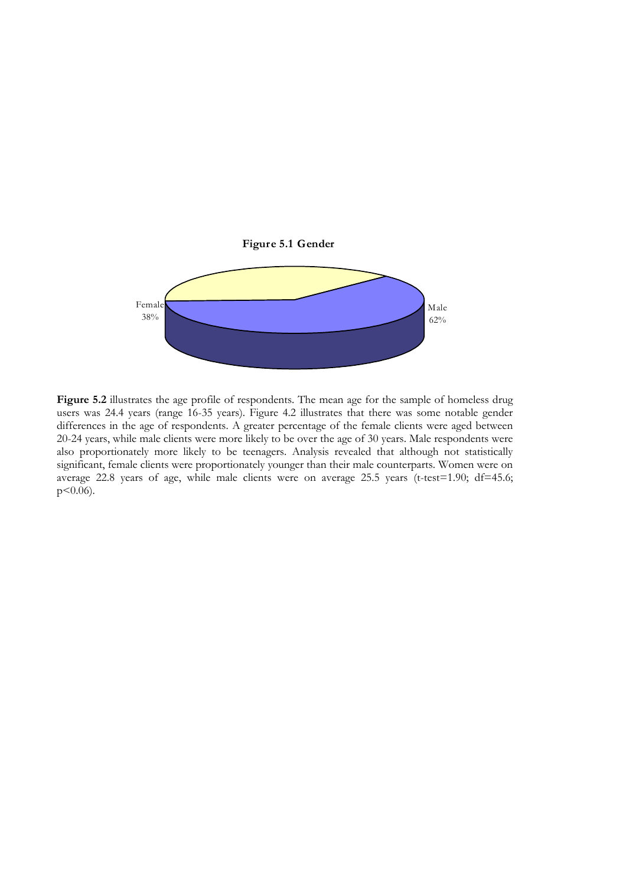

Figure 5.2 illustrates the age profile of respondents. The mean age for the sample of homeless drug users was 24.4 years (range 16-35 years). Figure 4.2 illustrates that there was some notable gender differences in the age of respondents. A greater percentage of the female clients were aged between 20-24 years, while male clients were more likely to be over the age of 30 years. Male respondents were also proportionately more likely to be teenagers. Analysis revealed that although not statistically significant, female clients were proportionately younger than their male counterparts. Women were on average 22.8 years of age, while male clients were on average 25.5 years (t-test=1.90; df=45.6;  $p < 0.06$ ).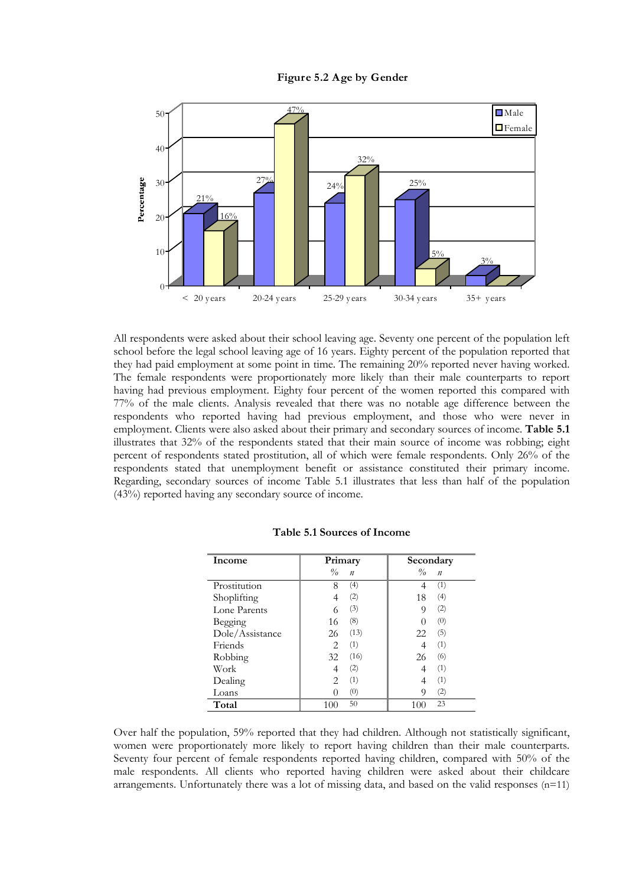



All respondents were asked about their school leaving age. Seventy one percent of the population left school before the legal school leaving age of 16 years. Eighty percent of the population reported that they had paid employment at some point in time. The remaining 20% reported never having worked. The female respondents were proportionately more likely than their male counterparts to report having had previous employment. Eighty four percent of the women reported this compared with 77% of the male clients. Analysis revealed that there was no notable age difference between the respondents who reported having had previous employment, and those who were never in employment. Clients were also asked about their primary and secondary sources of income. **Table 5.1** illustrates that 32% of the respondents stated that their main source of income was robbing; eight percent of respondents stated prostitution, all of which were female respondents. Only 26% of the respondents stated that unemployment benefit or assistance constituted their primary income. Regarding, secondary sources of income Table 5.1 illustrates that less than half of the population (43%) reported having any secondary source of income.

| Income          | Primary                       |                  | Secondary |                  |
|-----------------|-------------------------------|------------------|-----------|------------------|
|                 | $\%$                          | $\boldsymbol{n}$ | $\%$      | $\boldsymbol{n}$ |
| Prostitution    | 8                             | (4)              |           | (1)              |
| Shoplifting     |                               | (2)              | 18        | (4)              |
| Lone Parents    | 6                             | (3)              | 9         | (2)              |
| Begging         | 16                            | (8)              |           | (0)              |
| Dole/Assistance | 26                            | (13)             | 22        | (5)              |
| Friends         | 2                             | (1)              |           | (1)              |
| Robbing         | 32                            | (16)             | 26        | (6)              |
| Work            | 4                             | (2)              | 4         | (1)              |
| Dealing         | $\mathfrak{D}_{\mathfrak{p}}$ | (1)              |           | (1)              |
| Loans           |                               | (0)              | 9         | (2)              |
| Total           | 100                           | 50               | 100       | 23               |

|  |  | Table 5.1 Sources of Income |  |  |
|--|--|-----------------------------|--|--|
|--|--|-----------------------------|--|--|

Over half the population, 59% reported that they had children. Although not statistically significant, women were proportionately more likely to report having children than their male counterparts. Seventy four percent of female respondents reported having children, compared with 50% of the male respondents. All clients who reported having children were asked about their childcare arrangements. Unfortunately there was a lot of missing data, and based on the valid responses (n=11)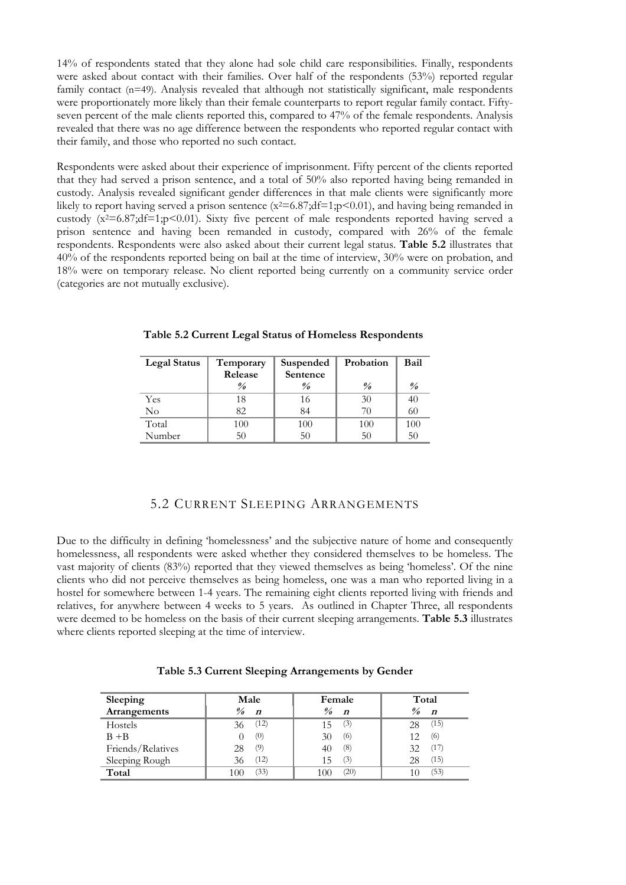14% of respondents stated that they alone had sole child care responsibilities. Finally, respondents were asked about contact with their families. Over half of the respondents (53%) reported regular family contact (n=49). Analysis revealed that although not statistically significant, male respondents were proportionately more likely than their female counterparts to report regular family contact. Fiftyseven percent of the male clients reported this, compared to 47% of the female respondents. Analysis revealed that there was no age difference between the respondents who reported regular contact with their family, and those who reported no such contact.

Respondents were asked about their experience of imprisonment. Fifty percent of the clients reported that they had served a prison sentence, and a total of 50% also reported having being remanded in custody. Analysis revealed significant gender differences in that male clients were significantly more likely to report having served a prison sentence  $(x^2=6.87;df=1;p<0.01)$ , and having being remanded in custody (x<sup>2</sup>=6.87;df=1;p<0.01). Sixty five percent of male respondents reported having served a prison sentence and having been remanded in custody, compared with 26% of the female respondents. Respondents were also asked about their current legal status. **Table 5.2** illustrates that 40% of the respondents reported being on bail at the time of interview, 30% were on probation, and 18% were on temporary release. No client reported being currently on a community service order (categories are not mutually exclusive).

| <b>Legal Status</b> | Temporary               | Suspended               | Probation          | Bail                    |
|---------------------|-------------------------|-------------------------|--------------------|-------------------------|
|                     | Release                 | Sentence                |                    |                         |
|                     | $\frac{\theta}{\theta}$ | $\frac{\theta}{\theta}$ | $\frac{\theta}{a}$ | $\frac{\theta}{\theta}$ |
| Yes                 | 18                      | 16                      | 30                 | 40                      |
| No                  | 82                      | 84                      | 70                 | 60                      |
| Total               | 100                     | 100                     | 100                | 100                     |
| Number              | 50                      | 50                      | 50                 | 50                      |

**Table 5.2 Current Legal Status of Homeless Respondents** 

# 5.2 CURRENT SLEEPING ARRANGEMENTS

Due to the difficulty in defining 'homelessness' and the subjective nature of home and consequently homelessness, all respondents were asked whether they considered themselves to be homeless. The vast majority of clients (83%) reported that they viewed themselves as being 'homeless'. Of the nine clients who did not perceive themselves as being homeless, one was a man who reported living in a hostel for somewhere between 1-4 years. The remaining eight clients reported living with friends and relatives, for anywhere between 4 weeks to 5 years.As outlined in Chapter Three, all respondents were deemed to be homeless on the basis of their current sleeping arrangements. **Table 5.3** illustrates where clients reported sleeping at the time of interview.

| Sleeping          | Male                    | Female             | Total            |
|-------------------|-------------------------|--------------------|------------------|
| Arrangements      | $\frac{\theta}{\theta}$ | $\frac{9}{6}$      | $\%$             |
|                   | $\boldsymbol{n}$        | $\boldsymbol{n}$   | $\boldsymbol{n}$ |
| Hostels           | (12)                    | (3)                | (15)             |
|                   | 36                      | 15                 | 28               |
| $B + B$           | (0)                     | (6)<br>30          | (6)<br>12        |
| Friends/Relatives | (9)                     | (8)                | (17)             |
|                   | 28                      | 40                 | 32               |
| Sleeping Rough    | (12)                    | (3)                | (15)             |
|                   | 36                      | 15                 | 28               |
| Total             | (33)<br>100             | (20)<br>$($ )( $)$ | (53)             |

**Table 5.3 Current Sleeping Arrangements by Gender**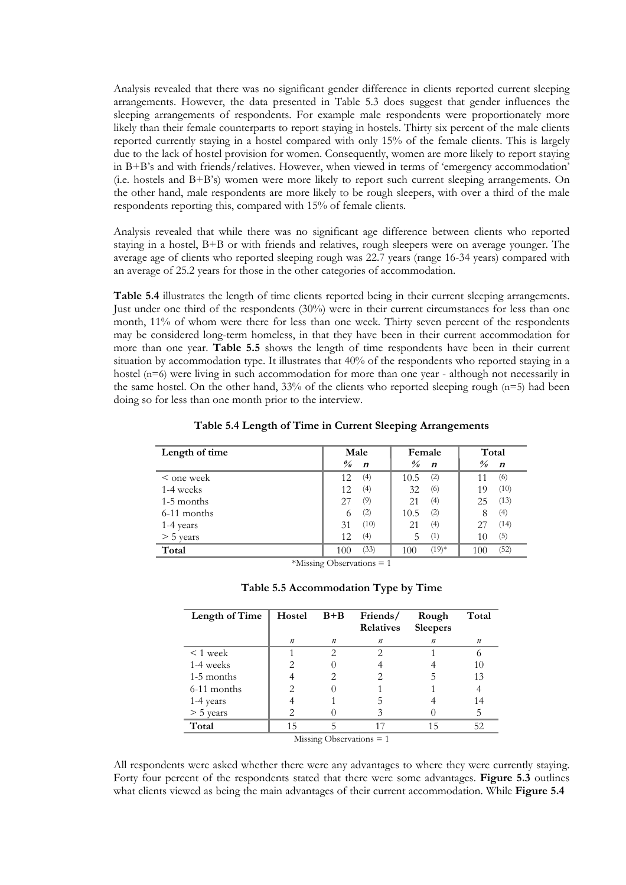Analysis revealed that there was no significant gender difference in clients reported current sleeping arrangements. However, the data presented in Table 5.3 does suggest that gender influences the sleeping arrangements of respondents. For example male respondents were proportionately more likely than their female counterparts to report staying in hostels. Thirty six percent of the male clients reported currently staying in a hostel compared with only 15% of the female clients. This is largely due to the lack of hostel provision for women. Consequently, women are more likely to report staying in B+B's and with friends/relatives. However, when viewed in terms of 'emergency accommodation' (i.e. hostels and B+B's) women were more likely to report such current sleeping arrangements. On the other hand, male respondents are more likely to be rough sleepers, with over a third of the male respondents reporting this, compared with 15% of female clients.

Analysis revealed that while there was no significant age difference between clients who reported staying in a hostel, B+B or with friends and relatives, rough sleepers were on average younger. The average age of clients who reported sleeping rough was 22.7 years (range 16-34 years) compared with an average of 25.2 years for those in the other categories of accommodation.

**Table 5.4** illustrates the length of time clients reported being in their current sleeping arrangements. Just under one third of the respondents (30%) were in their current circumstances for less than one month, 11% of whom were there for less than one week. Thirty seven percent of the respondents may be considered long-term homeless, in that they have been in their current accommodation for more than one year. **Table 5.5** shows the length of time respondents have been in their current situation by accommodation type. It illustrates that 40% of the respondents who reported staying in a hostel (n=6) were living in such accommodation for more than one year - although not necessarily in the same hostel. On the other hand,  $33\%$  of the clients who reported sleeping rough ( $n=5$ ) had been doing so for less than one month prior to the interview.

| Length of time  | Male                    | Female           | Total            |  |
|-----------------|-------------------------|------------------|------------------|--|
|                 | $\frac{\theta}{\theta}$ | $\frac{9}{6}$    | $\frac{9}{6}$    |  |
|                 | $\boldsymbol{n}$        | $\boldsymbol{n}$ | $\boldsymbol{n}$ |  |
| $\leq$ one week | (4)                     | (2)              | (6)              |  |
|                 | 12                      | 10.5             | 11               |  |
| 1-4 weeks       | (4)                     | (6)              | (10)             |  |
|                 | 12                      | 32               | 19               |  |
| 1-5 months      | (9)                     | (4)              | (13)             |  |
|                 | 27                      | 21               | 25               |  |
| 6-11 months     | (2)                     | (2)              | (4)              |  |
|                 | 6                       | 10.5             | 8                |  |
| 1-4 years       | (10)<br>31              | (4)<br>21        | (14)             |  |
| $> 5$ years     | (4)                     | (1)              | (5)              |  |
|                 | 12                      | 5                | 10               |  |
| Total           | (33)                    | $(19)*$          | (52)             |  |
|                 | 100                     | 100              | 100              |  |

**Table 5.4 Length of Time in Current Sleeping Arrangements**

 $*$ Missing Observations = 1

| Length of Time             | Hostel | $B + B$ | Friends/<br><b>Relatives</b> | Rough<br><b>Sleepers</b> | Total |
|----------------------------|--------|---------|------------------------------|--------------------------|-------|
|                            | n      | n       | n                            | n                        | n     |
| $\leq 1$ week              |        | っ       | $\mathcal{D}_{\mathcal{L}}$  |                          |       |
| 1-4 weeks                  |        |         |                              |                          | 10    |
| 1-5 months                 |        |         |                              |                          | 13    |
| 6-11 months                |        |         |                              |                          |       |
| 1-4 years                  |        |         |                              |                          | 14    |
| $>$ 5 years                |        |         |                              |                          | 5     |
| Total                      | 15     | 5       | 17                           | 15                       | 52    |
| Missing Observations $= 1$ |        |         |                              |                          |       |

All respondents were asked whether there were any advantages to where they were currently staying. Forty four percent of the respondents stated that there were some advantages. **Figure 5.3** outlines what clients viewed as being the main advantages of their current accommodation. While **Figure 5.4**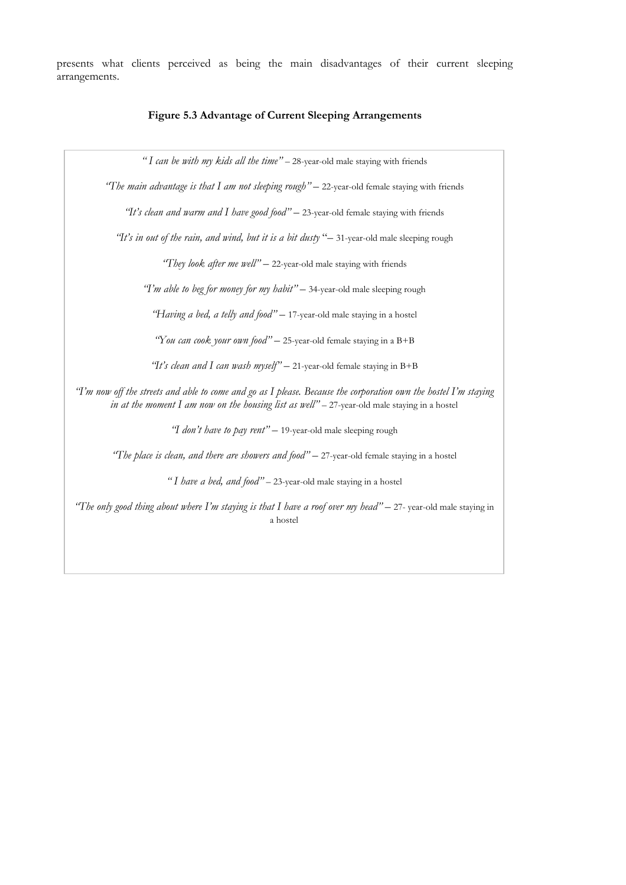presents what clients perceived as being the main disadvantages of their current sleeping arrangements.

#### **Figure 5.3 Advantage of Current Sleeping Arrangements**

*" I can be with my kids all the time"* – 28-year-old male staying with friends

*"The main advantage is that I am not sleeping rough"* – 22-year-old female staying with friends

*"It's clean and warm and I have good food"* – 23-year-old female staying with friends

*"It's in out of the rain, and wind, but it is a bit dusty* "– 31-year-old male sleeping rough

*"They look after me well"* – 22-year-old male staying with friends

*"I'm able to beg for money for my habit"* – 34-year-old male sleeping rough

*"Having a bed, a telly and food"* – 17-year-old male staying in a hostel

*"You can cook your own food"* – 25-year-old female staying in a B+B

*"It's clean and I can wash myself"* – 21-year-old female staying in B+B

*"I'm now off the streets and able to come and go as I please. Because the corporation own the hostel I'm staying in at the moment I am now on the housing list as well"* – 27-year-old male staying in a hostel

*"I don't have to pay rent"* – 19-year-old male sleeping rough

*"The place is clean, and there are showers and food"* – 27-year-old female staying in a hostel

*" I have a bed, and food"* – 23-year-old male staying in a hostel

*"The only good thing about where I'm staying is that I have a roof over my head"* – 27- year-old male staying in a hostel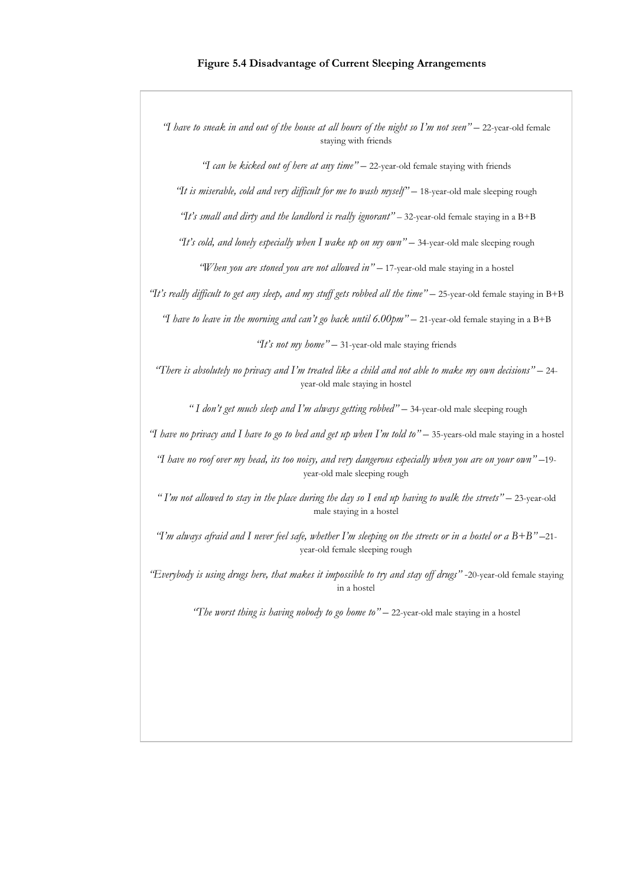*"I have to sneak in and out of the house at all hours of the night so I'm not seen"* – 22-year-old female staying with friends

*"I can be kicked out of here at any time"* – 22-year-old female staying with friends

*"It is miserable, cold and very difficult for me to wash myself"* – 18-year-old male sleeping rough

 *"It's small and dirty and the landlord is really ignorant"* – 32-year-old female staying in a B+B

*"It's cold, and lonely especially when I wake up on my own"* – 34-year-old male sleeping rough

*"When you are stoned you are not allowed in"* – 17-year-old male staying in a hostel

*"It's really difficult to get any sleep, and my stuff gets robbed all the time"* – 25-year-old female staying in B+B

*"I have to leave in the morning and can't go back until 6.00pm"* – 21-year-old female staying in a B+B

*"It's not my home"* – 31-year-old male staying friends

*"There is absolutely no privacy and I'm treated like a child and not able to make my own decisions"* – 24 year-old male staying in hostel

 *" I don't get much sleep and I'm always getting robbed"* – 34-year-old male sleeping rough

*"I have no privacy and I have to go to bed and get up when I'm told to"* – 35-years-old male staying in a hostel

*"I have no roof over my head, its too noisy, and very dangerous especially when you are on your own"* –19 year-old male sleeping rough

*" I'm not allowed to stay in the place during the day so I end up having to walk the streets"* – 23-year-old male staying in a hostel

*"I'm always afraid and I never feel safe, whether I'm sleeping on the streets or in a hostel or a B+B"* –21 year-old female sleeping rough

*"Everybody is using drugs here, that makes it impossible to try and stay off drugs"* -20-year-old female staying in a hostel

*"The worst thing is having nobody to go home to"* – 22-year-old male staying in a hostel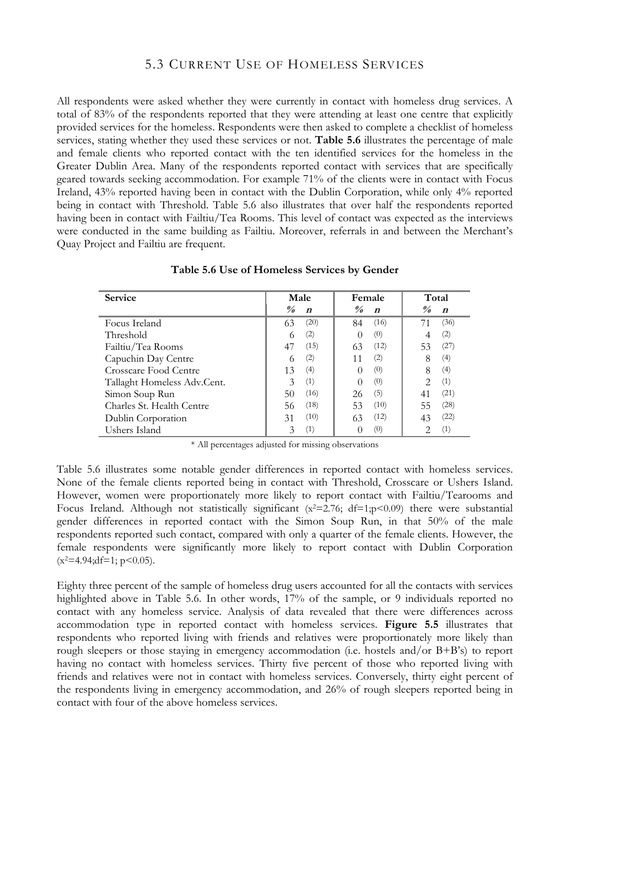# 5.3 CURRENT USE OF HOMELESS SERVICES

All respondents were asked whether they were currently in contact with homeless drug services. A total of 83% of the respondents reported that they were attending at least one centre that explicitly provided services for the homeless. Respondents were then asked to complete a checklist of homeless services, stating whether they used these services or not. **Table 5.6** illustrates the percentage of male and female clients who reported contact with the ten identified services for the homeless in the Greater Dublin Area. Many of the respondents reported contact with services that are specifically geared towards seeking accommodation. For example 71% of the clients were in contact with Focus Ireland, 43% reported having been in contact with the Dublin Corporation, while only 4% reported being in contact with Threshold. Table 5.6 also illustrates that over half the respondents reported having been in contact with Failtiu/Tea Rooms. This level of contact was expected as the interviews were conducted in the same building as Failtiu. Moreover, referrals in and between the Merchant's Quay Project and Failtiu are frequent.

| <b>Service</b>              | Male                 | Female                             | Total                              |
|-----------------------------|----------------------|------------------------------------|------------------------------------|
|                             | $\frac{\theta}{a}$   | $\frac{\partial}{\partial \theta}$ | $\frac{\partial}{\partial \theta}$ |
|                             | $\boldsymbol{n}$     | $\boldsymbol{n}$                   | $\boldsymbol{n}$                   |
| Focus Ireland               | (20)                 | (16)                               | (36)                               |
|                             | 63                   | 84                                 | 71                                 |
| Threshold                   | (2)                  | (0)                                | (2)                                |
| Failtiu/Tea Rooms           | (15)                 | (12)                               | (27)                               |
|                             | 47                   | 63                                 | 53                                 |
| Capuchin Day Centre         | (2)                  | (2)<br>11                          | (4)<br>8                           |
| Crosscare Food Centre       | (4)<br>13            | (0)                                | (4)<br>8                           |
| Tallaght Homeless Adv.Cent. | (1)<br>$\mathcal{Z}$ | (0)                                | (1)<br>$\mathcal{D}$               |
| Simon Soup Run              | (16)                 | (5)                                | (21)                               |
|                             | 50                   | 26                                 | 41                                 |
| Charles St. Health Centre   | (18)                 | (10)                               | (28)                               |
|                             | 56                   | 53                                 | 55                                 |
| Dublin Corporation          | (10)                 | (12)                               | (22)                               |
|                             | 31                   | 63                                 | 43                                 |
| Ushers Island               | (1)                  | (0)                                | (1)                                |

#### **Table 5.6 Use of Homeless Services by Gender**

\* All percentages adjusted for missing observations

Table 5.6 illustrates some notable gender differences in reported contact with homeless services. None of the female clients reported being in contact with Threshold, Crosscare or Ushers Island. However, women were proportionately more likely to report contact with Failtiu/Tearooms and Focus Ireland. Although not statistically significant ( $x^2$ =2.76; df=1;p<0.09) there were substantial gender differences in reported contact with the Simon Soup Run, in that 50% of the male respondents reported such contact, compared with only a quarter of the female clients. However, the female respondents were significantly more likely to report contact with Dublin Corporation  $(x^2=4.94; df=1; p<0.05)$ .

Eighty three percent of the sample of homeless drug users accounted for all the contacts with services highlighted above in Table 5.6. In other words, 17% of the sample, or 9 individuals reported no contact with any homeless service. Analysis of data revealed that there were differences across accommodation type in reported contact with homeless services. **Figure 5.5** illustrates that respondents who reported living with friends and relatives were proportionately more likely than rough sleepers or those staying in emergency accommodation (i.e. hostels and/or B+B's) to report having no contact with homeless services. Thirty five percent of those who reported living with friends and relatives were not in contact with homeless services. Conversely, thirty eight percent of the respondents living in emergency accommodation, and 26% of rough sleepers reported being in contact with four of the above homeless services.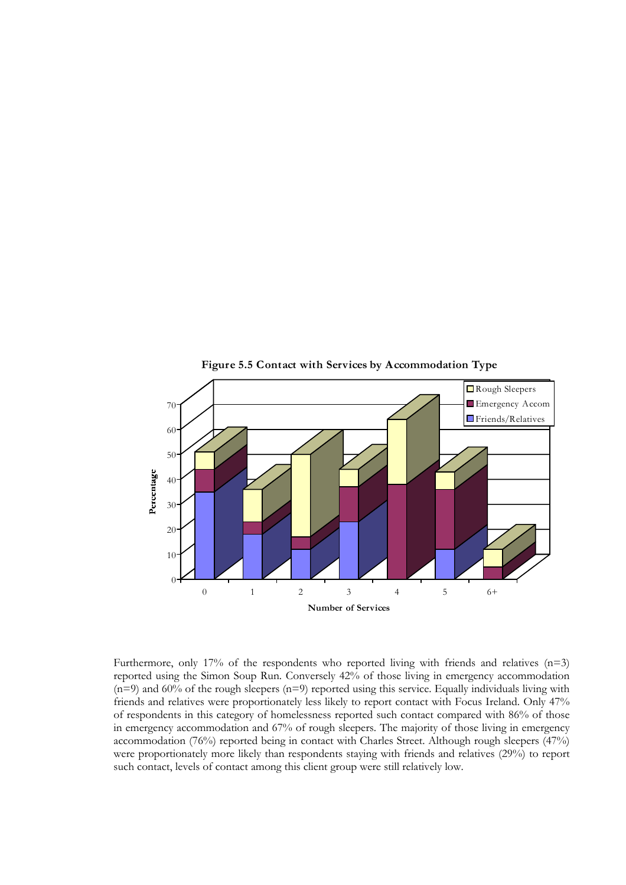

**Figure 5.5 Contact with Services by Accommodation Type**

Furthermore, only 17% of the respondents who reported living with friends and relatives  $(n=3)$ reported using the Simon Soup Run. Conversely 42% of those living in emergency accommodation (n=9) and 60% of the rough sleepers (n=9) reported using this service. Equally individuals living with friends and relatives were proportionately less likely to report contact with Focus Ireland. Only 47% of respondents in this category of homelessness reported such contact compared with 86% of those in emergency accommodation and 67% of rough sleepers. The majority of those living in emergency accommodation (76%) reported being in contact with Charles Street. Although rough sleepers (47%) were proportionately more likely than respondents staying with friends and relatives (29%) to report such contact, levels of contact among this client group were still relatively low.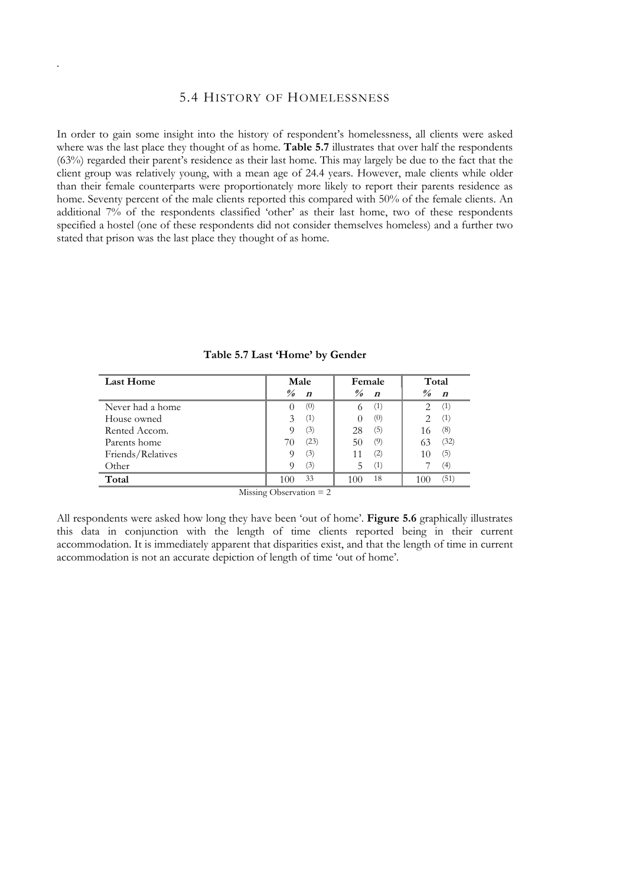# 5.4 HISTORY OF HOMELESSNESS

.

In order to gain some insight into the history of respondent's homelessness, all clients were asked where was the last place they thought of as home. **Table 5.7** illustrates that over half the respondents (63%) regarded their parent's residence as their last home. This may largely be due to the fact that the client group was relatively young, with a mean age of 24.4 years. However, male clients while older than their female counterparts were proportionately more likely to report their parents residence as home. Seventy percent of the male clients reported this compared with 50% of the female clients. An additional 7% of the respondents classified 'other' as their last home, two of these respondents specified a hostel (one of these respondents did not consider themselves homeless) and a further two stated that prison was the last place they thought of as home.

| <b>Last Home</b>          | Male             | Female           | Total                                                                                                                                                                  |  |
|---------------------------|------------------|------------------|------------------------------------------------------------------------------------------------------------------------------------------------------------------------|--|
|                           | $\frac{9}{6}$    | $\frac{9}{6}$    | $\frac{9}{6}$                                                                                                                                                          |  |
|                           | $\boldsymbol{n}$ | $\boldsymbol{n}$ | $\boldsymbol{n}$                                                                                                                                                       |  |
| Never had a home          | (0)              | (1)              | (1)                                                                                                                                                                    |  |
|                           | $\cup$           | 6                | $\mathcal{D}_{\mathcal{L}}^{\mathcal{L}}(\mathcal{L})=\mathcal{D}_{\mathcal{L}}^{\mathcal{L}}(\mathcal{L})\mathcal{D}_{\mathcal{L}}^{\mathcal{L}}(\mathcal{L})$        |  |
| House owned               | (1)              | (0)              | (1)<br>$\mathcal{D}_{\mathcal{L}}^{\mathcal{L}}(\mathcal{L})=\mathcal{D}_{\mathcal{L}}^{\mathcal{L}}(\mathcal{L})\mathcal{D}_{\mathcal{L}}^{\mathcal{L}}(\mathcal{L})$ |  |
| Rented Accom.             | (3)              | (5)              | (8)                                                                                                                                                                    |  |
|                           | O)               | 28               | 16                                                                                                                                                                     |  |
| Parents home              | (23)             | (9)              | (32)                                                                                                                                                                   |  |
|                           | 70               | 50               | 63                                                                                                                                                                     |  |
| Friends/Relatives         | (3)              | (2)              | (5)                                                                                                                                                                    |  |
|                           | O)               | 11               | 10                                                                                                                                                                     |  |
| Other                     | (3)<br>O)        | (1)<br>5         | (4)                                                                                                                                                                    |  |
| Total                     | 33               | 18               | (51)                                                                                                                                                                   |  |
|                           | 100              | 100              | 100                                                                                                                                                                    |  |
| Missing Observation $= 2$ |                  |                  |                                                                                                                                                                        |  |

**Table 5.7 Last 'Home' by Gender**

All respondents were asked how long they have been 'out of home'. **Figure 5.6** graphically illustrates this data in conjunction with the length of time clients reported being in their current accommodation. It is immediately apparent that disparities exist, and that the length of time in current accommodation is not an accurate depiction of length of time 'out of home'.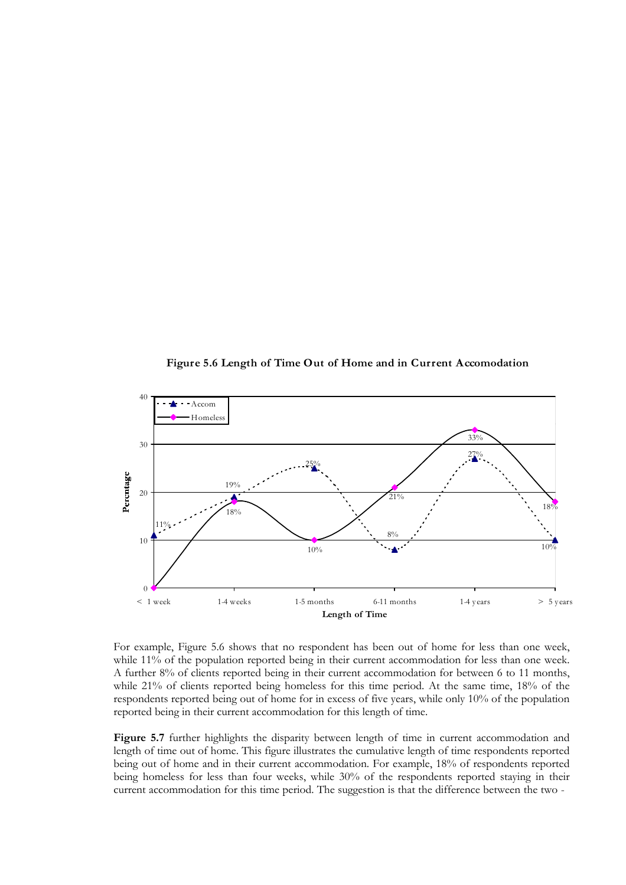**Figure 5.6 Length of Time Out of Home and in Current Accomodation**



For example, Figure 5.6 shows that no respondent has been out of home for less than one week, while 11% of the population reported being in their current accommodation for less than one week. A further 8% of clients reported being in their current accommodation for between 6 to 11 months, while 21% of clients reported being homeless for this time period. At the same time, 18% of the respondents reported being out of home for in excess of five years, while only 10% of the population reported being in their current accommodation for this length of time.

**Figure 5.7** further highlights the disparity between length of time in current accommodation and length of time out of home. This figure illustrates the cumulative length of time respondents reported being out of home and in their current accommodation. For example, 18% of respondents reported being homeless for less than four weeks, while 30% of the respondents reported staying in their current accommodation for this time period. The suggestion is that the difference between the two -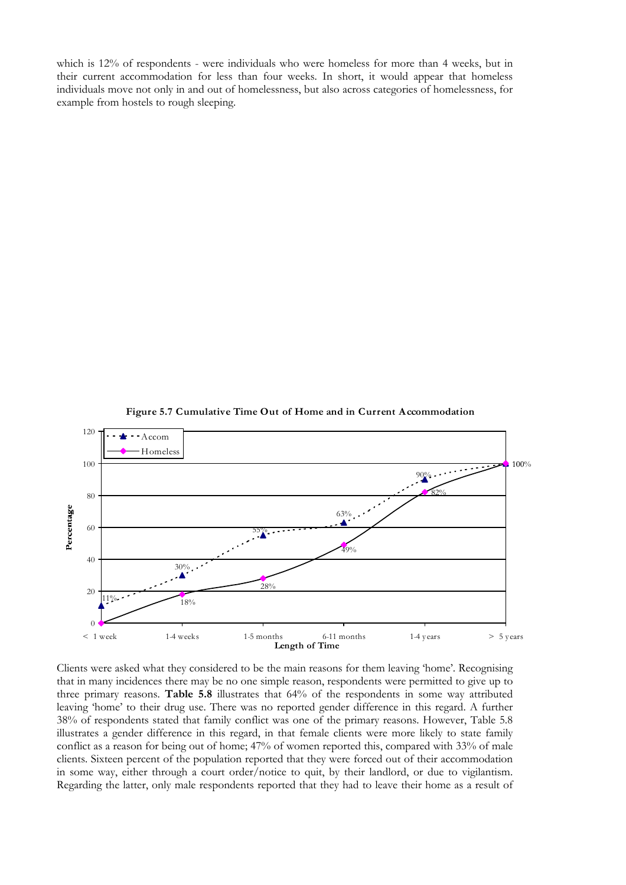which is 12% of respondents - were individuals who were homeless for more than 4 weeks, but in their current accommodation for less than four weeks. In short, it would appear that homeless individuals move not only in and out of homelessness, but also across categories of homelessness, for example from hostels to rough sleeping.



**Figure 5.7 Cumulative Time Out of Home and in Current Accommodation**

Clients were asked what they considered to be the main reasons for them leaving 'home'. Recognising that in many incidences there may be no one simple reason, respondents were permitted to give up to three primary reasons. **Table 5.8** illustrates that 64% of the respondents in some way attributed leaving 'home' to their drug use. There was no reported gender difference in this regard. A further 38% of respondents stated that family conflict was one of the primary reasons. However, Table 5.8 illustrates a gender difference in this regard, in that female clients were more likely to state family conflict as a reason for being out of home; 47% of women reported this, compared with 33% of male clients. Sixteen percent of the population reported that they were forced out of their accommodation in some way, either through a court order/notice to quit, by their landlord, or due to vigilantism. Regarding the latter, only male respondents reported that they had to leave their home as a result of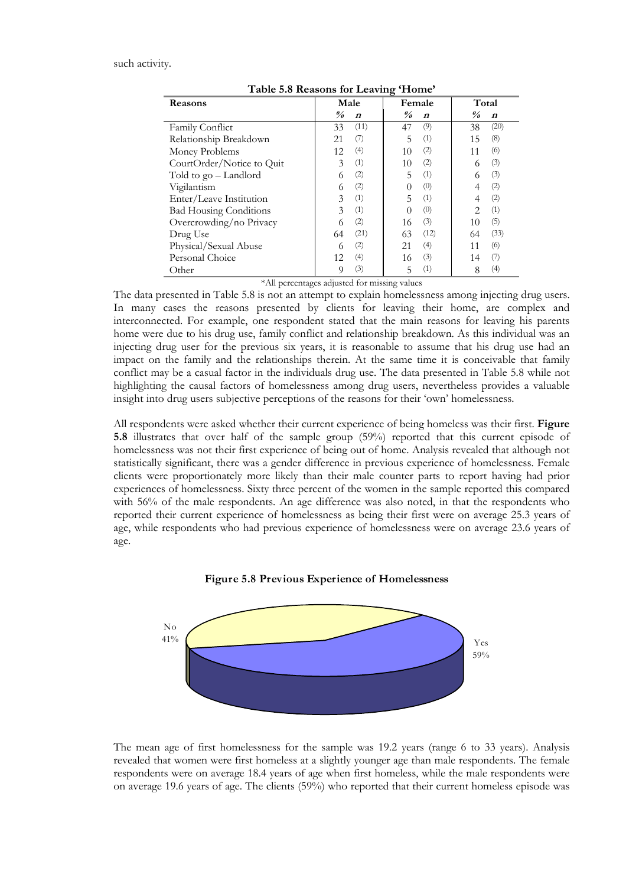such activity.

| <b>Reasons</b>                | Male                    |                  | ᇰ                       | Female           | Total                   |                  |
|-------------------------------|-------------------------|------------------|-------------------------|------------------|-------------------------|------------------|
|                               | $\frac{\theta}{\theta}$ | $\boldsymbol{n}$ | $\frac{\theta}{\theta}$ | $\boldsymbol{n}$ | $\frac{\theta}{\theta}$ | $\boldsymbol{n}$ |
| Family Conflict               | 33                      | (11)             | 47                      | (9)              | 38                      | (20)             |
| Relationship Breakdown        | 21                      | (7)              | 5                       | (1)              | 15                      | (8)              |
| Money Problems                | 12                      | (4)              | 10                      | (2)              | 11                      | (6)              |
| CourtOrder/Notice to Quit     | 3                       | (1)              | 10                      | (2)              | 6                       | (3)              |
| Told to go – Landlord         | 6                       | (2)              | 5                       | (1)              | 6                       | (3)              |
| Vigilantism                   | 6                       | (2)              | 0                       | (0)              | 4                       | (2)              |
| Enter/Leave Institution       | 3                       | (1)              | 5                       | (1)              |                         | (2)              |
| <b>Bad Housing Conditions</b> | 3                       | (1)              | $\Omega$                | (0)              | $\mathfrak{D}$          | (1)              |
| Overcrowding/no Privacy       |                         | (2)              | 16                      | (3)              | 10                      | (5)              |
| Drug Use                      | 64                      | (21)             | 63                      | (12)             | 64                      | (33)             |
| Physical/Sexual Abuse         | 6                       | (2)              | 21                      | (4)              | 11                      | (6)              |
| Personal Choice               | 12                      | (4)              | 16                      | (3)              | 14                      | (7)              |
| Other                         | 9                       | (3)              | 5                       | (1)              | 8                       | $\left(4\right)$ |

**Table 5.8 Reasons for Leaving 'Home'**

\*All percentages adjusted for missing values

The data presented in Table 5.8 is not an attempt to explain homelessness among injecting drug users. In many cases the reasons presented by clients for leaving their home, are complex and interconnected. For example, one respondent stated that the main reasons for leaving his parents home were due to his drug use, family conflict and relationship breakdown. As this individual was an injecting drug user for the previous six years, it is reasonable to assume that his drug use had an impact on the family and the relationships therein. At the same time it is conceivable that family conflict may be a casual factor in the individuals drug use. The data presented in Table 5.8 while not highlighting the causal factors of homelessness among drug users, nevertheless provides a valuable insight into drug users subjective perceptions of the reasons for their 'own' homelessness.

All respondents were asked whether their current experience of being homeless was their first. **Figure 5.8** illustrates that over half of the sample group (59%) reported that this current episode of homelessness was not their first experience of being out of home. Analysis revealed that although not statistically significant, there was a gender difference in previous experience of homelessness. Female clients were proportionately more likely than their male counter parts to report having had prior experiences of homelessness. Sixty three percent of the women in the sample reported this compared with 56% of the male respondents. An age difference was also noted, in that the respondents who reported their current experience of homelessness as being their first were on average 25.3 years of age, while respondents who had previous experience of homelessness were on average 23.6 years of age.





The mean age of first homelessness for the sample was 19.2 years (range 6 to 33 years). Analysis revealed that women were first homeless at a slightly younger age than male respondents. The female respondents were on average 18.4 years of age when first homeless, while the male respondents were on average 19.6 years of age. The clients (59%) who reported that their current homeless episode was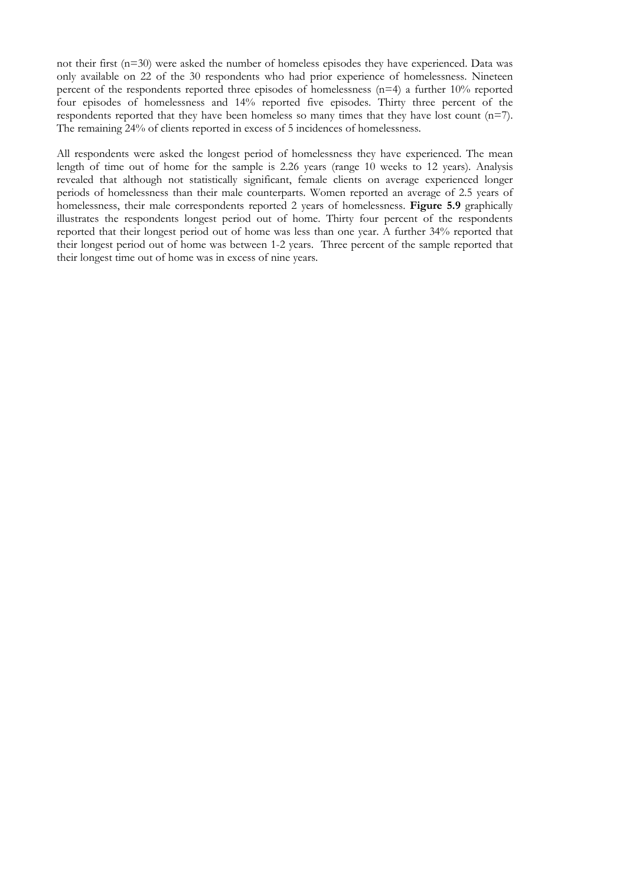not their first (n=30) were asked the number of homeless episodes they have experienced. Data was only available on 22 of the 30 respondents who had prior experience of homelessness. Nineteen percent of the respondents reported three episodes of homelessness (n=4) a further 10% reported four episodes of homelessness and 14% reported five episodes. Thirty three percent of the respondents reported that they have been homeless so many times that they have lost count (n=7). The remaining 24% of clients reported in excess of 5 incidences of homelessness.

All respondents were asked the longest period of homelessness they have experienced. The mean length of time out of home for the sample is 2.26 years (range 10 weeks to 12 years). Analysis revealed that although not statistically significant, female clients on average experienced longer periods of homelessness than their male counterparts. Women reported an average of 2.5 years of homelessness, their male correspondents reported 2 years of homelessness. **Figure 5.9** graphically illustrates the respondents longest period out of home. Thirty four percent of the respondents reported that their longest period out of home was less than one year. A further 34% reported that their longest period out of home was between 1-2 years. Three percent of the sample reported that their longest time out of home was in excess of nine years.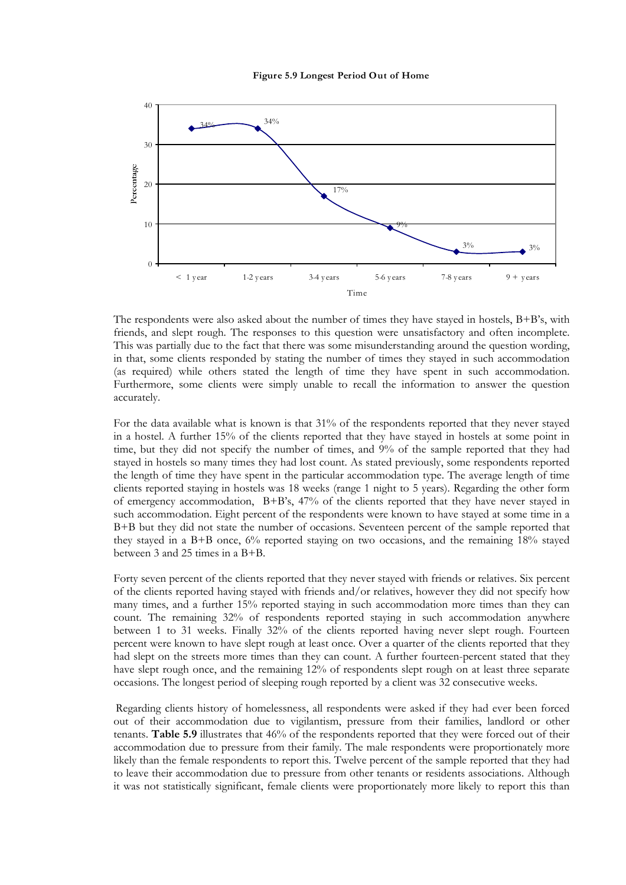



The respondents were also asked about the number of times they have stayed in hostels,  $B+B's$ , with friends, and slept rough. The responses to this question were unsatisfactory and often incomplete. This was partially due to the fact that there was some misunderstanding around the question wording, in that, some clients responded by stating the number of times they stayed in such accommodation (as required) while others stated the length of time they have spent in such accommodation. Furthermore, some clients were simply unable to recall the information to answer the question accurately.

For the data available what is known is that 31% of the respondents reported that they never stayed in a hostel. A further 15% of the clients reported that they have stayed in hostels at some point in time, but they did not specify the number of times, and 9% of the sample reported that they had stayed in hostels so many times they had lost count. As stated previously, some respondents reported the length of time they have spent in the particular accommodation type. The average length of time clients reported staying in hostels was 18 weeks (range 1 night to 5 years). Regarding the other form of emergency accommodation,  $B+B's$ , 47% of the clients reported that they have never stayed in such accommodation. Eight percent of the respondents were known to have stayed at some time in a B+B but they did not state the number of occasions. Seventeen percent of the sample reported that they stayed in a B+B once, 6% reported staying on two occasions, and the remaining 18% stayed between 3 and 25 times in a B+B.

Forty seven percent of the clients reported that they never stayed with friends or relatives. Six percent of the clients reported having stayed with friends and/or relatives, however they did not specify how many times, and a further 15% reported staying in such accommodation more times than they can count. The remaining 32% of respondents reported staying in such accommodation anywhere between 1 to 31 weeks. Finally 32% of the clients reported having never slept rough. Fourteen percent were known to have slept rough at least once. Over a quarter of the clients reported that they had slept on the streets more times than they can count. A further fourteen-percent stated that they have slept rough once, and the remaining 12% of respondents slept rough on at least three separate occasions. The longest period of sleeping rough reported by a client was 32 consecutive weeks.

Regarding clients history of homelessness, all respondents were asked if they had ever been forced out of their accommodation due to vigilantism, pressure from their families, landlord or other tenants. **Table 5.9** illustrates that 46% of the respondents reported that they were forced out of their accommodation due to pressure from their family. The male respondents were proportionately more likely than the female respondents to report this. Twelve percent of the sample reported that they had to leave their accommodation due to pressure from other tenants or residents associations. Although it was not statistically significant, female clients were proportionately more likely to report this than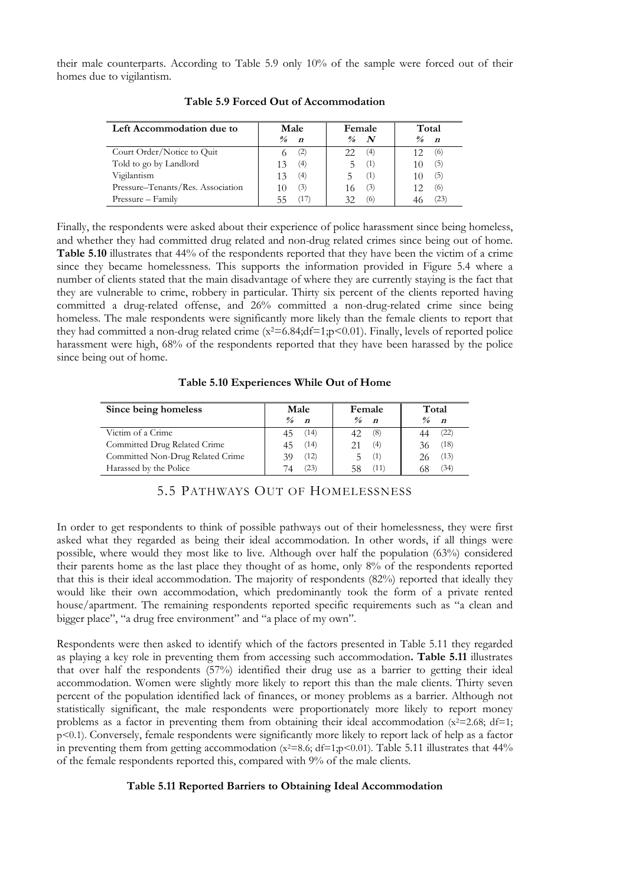their male counterparts. According to Table 5.9 only 10% of the sample were forced out of their homes due to vigilantism.

| Left Accommodation due to         | Male                              | Female | Total            |  |
|-----------------------------------|-----------------------------------|--------|------------------|--|
|                                   | $\frac{0}{a}$<br>$\boldsymbol{r}$ | N      | $\boldsymbol{n}$ |  |
| Court Order/Notice to Quit        | (2)                               | (4)    | (6)              |  |
| Told to go by Landlord            | (4)                               | (1)    | (5)              |  |
| Vigilantism                       | (4)                               | ( 1 )  | (5)              |  |
| Pressure–Tenants/Res. Association | (3)                               | (3)    | (6)              |  |
| Pressure - Family                 |                                   | 61     | (23)             |  |

**Table 5.9 Forced Out of Accommodation**

Finally, the respondents were asked about their experience of police harassment since being homeless, and whether they had committed drug related and non-drug related crimes since being out of home. **Table 5.10** illustrates that 44% of the respondents reported that they have been the victim of a crime since they became homelessness. This supports the information provided in Figure 5.4 where a number of clients stated that the main disadvantage of where they are currently staying is the fact that they are vulnerable to crime, robbery in particular. Thirty six percent of the clients reported having committed a drug-related offense, and 26% committed a non-drug-related crime since being homeless. The male respondents were significantly more likely than the female clients to report that they had committed a non-drug related crime  $(x^2=6.84;df=1;p<0.01)$ . Finally, levels of reported police harassment were high, 68% of the respondents reported that they have been harassed by the police since being out of home.

**Table 5.10 Experiences While Out of Home**

| Since being homeless             | Male                              | Female                            | Total                              |  |
|----------------------------------|-----------------------------------|-----------------------------------|------------------------------------|--|
|                                  | $\frac{0}{a}$<br>$\boldsymbol{n}$ | $\frac{0}{a}$<br>$\boldsymbol{r}$ | $\frac{\theta}{a}$<br>$\mathbf{n}$ |  |
| Victim of a Crime                | (14)<br>45                        | (8)                               | (22)                               |  |
| Committed Drug Related Crime     | (14)                              | (4)                               | (18)                               |  |
| Committed Non-Drug Related Crime | (12)<br>39                        | (1)                               | (13)                               |  |
| Harassed by the Police           | (23)<br>74                        | (11                               | (34)                               |  |

# 5.5 PATHWAYS OUT OF HOMELESSNESS

In order to get respondents to think of possible pathways out of their homelessness, they were first asked what they regarded as being their ideal accommodation. In other words, if all things were possible, where would they most like to live. Although over half the population (63%) considered their parents home as the last place they thought of as home, only 8% of the respondents reported that this is their ideal accommodation. The majority of respondents (82%) reported that ideally they would like their own accommodation, which predominantly took the form of a private rented house/apartment. The remaining respondents reported specific requirements such as "a clean and bigger place", "a drug free environment" and "a place of my own".

Respondents were then asked to identify which of the factors presented in Table 5.11 they regarded as playing a key role in preventing them from accessing such accommodation**. Table 5.11** illustrates that over half the respondents (57%) identified their drug use as a barrier to getting their ideal accommodation. Women were slightly more likely to report this than the male clients. Thirty seven percent of the population identified lack of finances, or money problems as a barrier. Although not statistically significant, the male respondents were proportionately more likely to report money problems as a factor in preventing them from obtaining their ideal accommodation  $(x^2=2.68; df=1;$ p<0.1). Conversely, female respondents were significantly more likely to report lack of help as a factor in preventing them from getting accommodation  $(x^2=8.6; df=1; p<0.01)$ . Table 5.11 illustrates that 44% of the female respondents reported this, compared with 9% of the male clients.

#### **Table 5.11 Reported Barriers to Obtaining Ideal Accommodation**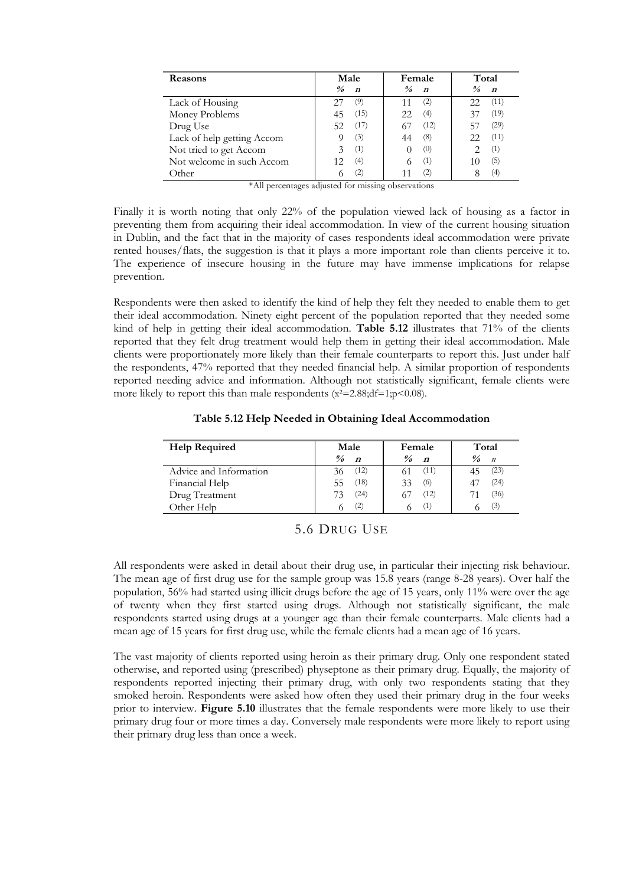| Reasons                    | Male                              | Female                            | Total                             |
|----------------------------|-----------------------------------|-----------------------------------|-----------------------------------|
|                            | $\frac{0}{a}$<br>$\boldsymbol{n}$ | $\frac{0}{a}$<br>$\boldsymbol{n}$ | $\frac{9}{6}$<br>$\boldsymbol{n}$ |
| Lack of Housing            | 27<br>(9)                         | (2)                               | (11)<br>22                        |
| Money Problems             | (15)<br>45                        | (4)                               | (19)                              |
| Drug Use                   | (17)<br>52.                       | (12)                              | (29)                              |
| Lack of help getting Accom | (3)                               | (8)                               | (11)<br>フフ                        |
| Not tried to get Accom     | (1)                               | (0)                               | (1)                               |
| Not welcome in such Accom  | (4)                               | (1)                               | (5)                               |
| Other                      | 2                                 |                                   | (4)                               |

\*All percentages adjusted for missing observations

Finally it is worth noting that only 22% of the population viewed lack of housing as a factor in preventing them from acquiring their ideal accommodation. In view of the current housing situation in Dublin, and the fact that in the majority of cases respondents ideal accommodation were private rented houses/flats, the suggestion is that it plays a more important role than clients perceive it to. The experience of insecure housing in the future may have immense implications for relapse prevention.

Respondents were then asked to identify the kind of help they felt they needed to enable them to get their ideal accommodation. Ninety eight percent of the population reported that they needed some kind of help in getting their ideal accommodation. **Table 5.12** illustrates that 71% of the clients reported that they felt drug treatment would help them in getting their ideal accommodation. Male clients were proportionately more likely than their female counterparts to report this. Just under half the respondents, 47% reported that they needed financial help. A similar proportion of respondents reported needing advice and information. Although not statistically significant, female clients were more likely to report this than male respondents  $(x^2=2.88; df=1; p<0.08)$ .

| <b>Help Required</b>   | Male                                                   | Female                            | Total                                  |  |
|------------------------|--------------------------------------------------------|-----------------------------------|----------------------------------------|--|
|                        | $\frac{\partial}{\partial \theta}$<br>$\boldsymbol{n}$ | $\frac{9}{6}$<br>$\boldsymbol{n}$ | $\frac{\theta}{a}$<br>$\boldsymbol{n}$ |  |
| Advice and Information | (12)<br>36                                             | (11)                              | (23)                                   |  |
| Financial Help         | (18)<br>55                                             | (6)<br>33                         | (24)                                   |  |
| Drug Treatment         | 24)<br>73                                              | (12)                              | (36)                                   |  |
| Other Help             | (2)                                                    | ( 1 )                             | (3)                                    |  |

**Table 5.12 Help Needed in Obtaining Ideal Accommodation**

All respondents were asked in detail about their drug use, in particular their injecting risk behaviour. The mean age of first drug use for the sample group was 15.8 years (range 8-28 years). Over half the population, 56% had started using illicit drugs before the age of 15 years, only 11% were over the age of twenty when they first started using drugs. Although not statistically significant, the male respondents started using drugs at a younger age than their female counterparts. Male clients had a mean age of 15 years for first drug use, while the female clients had a mean age of 16 years.

The vast majority of clients reported using heroin as their primary drug. Only one respondent stated otherwise, and reported using (prescribed) physeptone as their primary drug. Equally, the majority of respondents reported injecting their primary drug, with only two respondents stating that they smoked heroin. Respondents were asked how often they used their primary drug in the four weeks prior to interview. **Figure 5.10** illustrates that the female respondents were more likely to use their primary drug four or more times a day. Conversely male respondents were more likely to report using their primary drug less than once a week.

<sup>5.6</sup> DRUG USE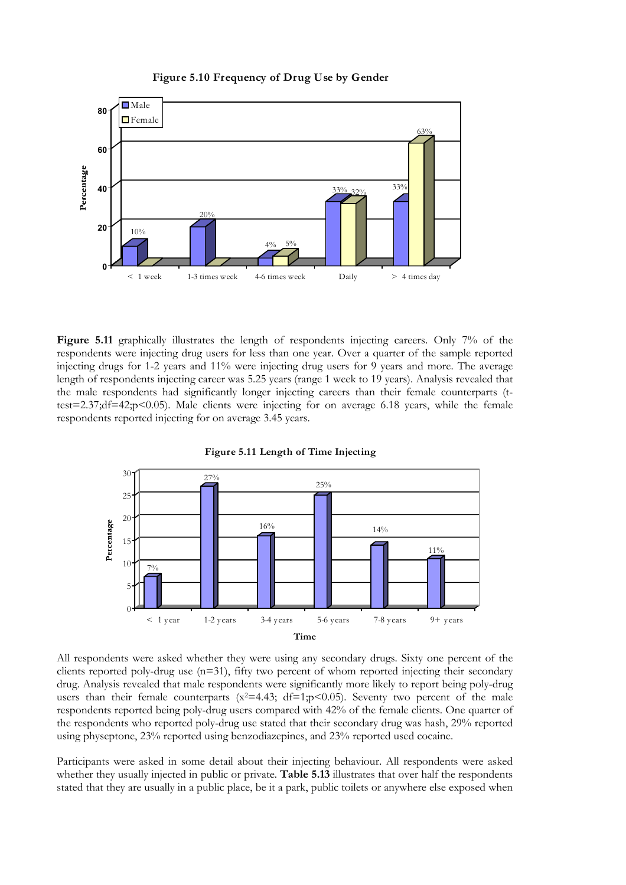#### **Figure 5.10 Frequency of Drug Use by Gender**



Figure 5.11 graphically illustrates the length of respondents injecting careers. Only 7% of the respondents were injecting drug users for less than one year. Over a quarter of the sample reported injecting drugs for 1-2 years and 11% were injecting drug users for 9 years and more. The average length of respondents injecting career was 5.25 years (range 1 week to 19 years). Analysis revealed that the male respondents had significantly longer injecting careers than their female counterparts (ttest=2.37;df=42;p<0.05). Male clients were injecting for on average 6.18 years, while the female respondents reported injecting for on average 3.45 years.



**Figure 5.11 Length of Time Injecting**

All respondents were asked whether they were using any secondary drugs. Sixty one percent of the clients reported poly-drug use  $(n=31)$ , fifty two percent of whom reported injecting their secondary drug. Analysis revealed that male respondents were significantly more likely to report being poly-drug users than their female counterparts  $(x^2=4.43; df=1;p<0.05)$ . Seventy two percent of the male respondents reported being poly-drug users compared with 42% of the female clients. One quarter of the respondents who reported poly-drug use stated that their secondary drug was hash, 29% reported using physeptone, 23% reported using benzodiazepines, and 23% reported used cocaine.

Participants were asked in some detail about their injecting behaviour. All respondents were asked whether they usually injected in public or private. **Table 5.13** illustrates that over half the respondents stated that they are usually in a public place, be it a park, public toilets or anywhere else exposed when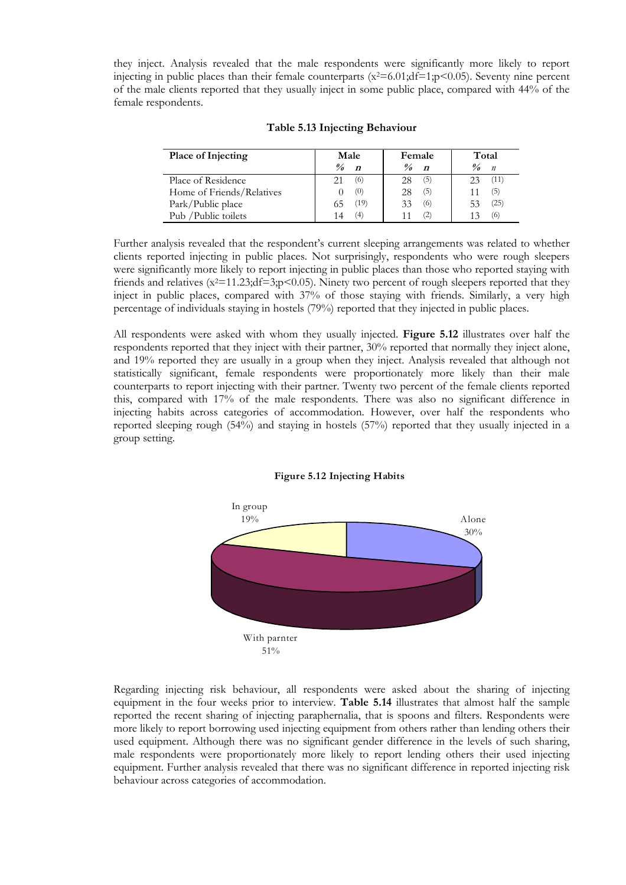they inject. Analysis revealed that the male respondents were significantly more likely to report injecting in public places than their female counterparts  $(x^2=6.01;df=1;p<0.05)$ . Seventy nine percent of the male clients reported that they usually inject in some public place, compared with 44% of the female respondents.

| Place of Injecting        | Male                                                   | Female                                 | Total                                                  |  |
|---------------------------|--------------------------------------------------------|----------------------------------------|--------------------------------------------------------|--|
|                           | $\frac{\partial}{\partial \theta}$<br>$\boldsymbol{n}$ | $\frac{\theta}{a}$<br>$\boldsymbol{n}$ | $\frac{\partial}{\partial \theta}$<br>$\boldsymbol{n}$ |  |
| Place of Residence        | (6)<br>21                                              | (5)<br>28                              | (11)                                                   |  |
| Home of Friends/Relatives | (0)                                                    | (5)<br>28                              | (5)                                                    |  |
| Park/Public place         | (19)<br>65                                             | (6)<br>33                              | (25)                                                   |  |
| Pub / Public toilets      | (4)<br>14                                              |                                        | (6)                                                    |  |

#### **Table 5.13 Injecting Behaviour**

Further analysis revealed that the respondent's current sleeping arrangements was related to whether clients reported injecting in public places. Not surprisingly, respondents who were rough sleepers were significantly more likely to report injecting in public places than those who reported staying with friends and relatives  $(x^2=11.23;df=3;pc(0.05)$ . Ninety two percent of rough sleepers reported that they inject in public places, compared with 37% of those staying with friends. Similarly, a very high percentage of individuals staying in hostels (79%) reported that they injected in public places.

All respondents were asked with whom they usually injected. **Figure 5.12** illustrates over half the respondents reported that they inject with their partner, 30% reported that normally they inject alone, and 19% reported they are usually in a group when they inject. Analysis revealed that although not statistically significant, female respondents were proportionately more likely than their male counterparts to report injecting with their partner. Twenty two percent of the female clients reported this, compared with 17% of the male respondents. There was also no significant difference in injecting habits across categories of accommodation. However, over half the respondents who reported sleeping rough (54%) and staying in hostels (57%) reported that they usually injected in a group setting.





Regarding injecting risk behaviour, all respondents were asked about the sharing of injecting equipment in the four weeks prior to interview. **Table 5.14** illustrates that almost half the sample reported the recent sharing of injecting paraphernalia, that is spoons and filters. Respondents were more likely to report borrowing used injecting equipment from others rather than lending others their used equipment. Although there was no significant gender difference in the levels of such sharing, male respondents were proportionately more likely to report lending others their used injecting equipment. Further analysis revealed that there was no significant difference in reported injecting risk behaviour across categories of accommodation.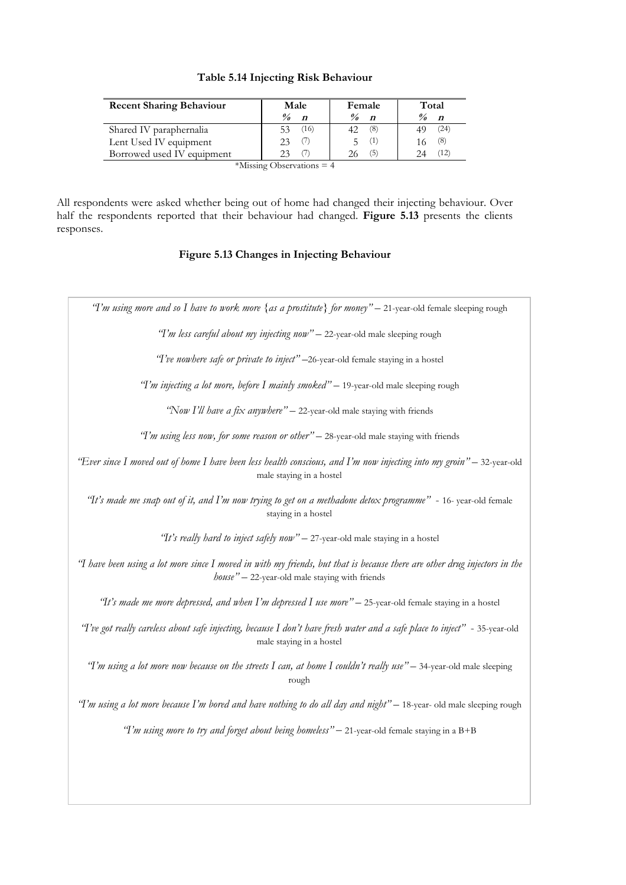| <b>Recent Sharing Behaviour</b> | Male<br>Female                                         |                                                  | Total                                   |  |
|---------------------------------|--------------------------------------------------------|--------------------------------------------------|-----------------------------------------|--|
|                                 | $\frac{\partial}{\partial \theta}$<br>$\boldsymbol{n}$ | $\frac{\partial}{\partial \rho}$<br>$\mathbf{n}$ | $\frac{\theta}{\theta}$<br>$\mathbf{n}$ |  |
| Shared IV paraphernalia         | (16)<br>53                                             | (8)<br>42.                                       | (24)                                    |  |
| Lent Used IV equipment          | 23                                                     | Œ                                                | (8)                                     |  |
| Borrowed used IV equipment      |                                                        | (5)                                              | (12)                                    |  |

| Table 5.14 Injecting Risk Behaviour |  |  |  |
|-------------------------------------|--|--|--|
|-------------------------------------|--|--|--|

\*Missing Observations = 4

All respondents were asked whether being out of home had changed their injecting behaviour. Over half the respondents reported that their behaviour had changed. **Figure 5.13** presents the clients responses.

# **Figure 5.13 Changes in Injecting Behaviour**

| "I'm using more and so I have to work more {as a prostitute} for money" - 21-year-old female sleeping rough                                                                     |
|---------------------------------------------------------------------------------------------------------------------------------------------------------------------------------|
| "I'm less careful about my injecting now" - 22-year-old male sleeping rough                                                                                                     |
| "T've nowhere safe or private to inject" -26-year-old female staying in a hostel                                                                                                |
| "I'm injecting a lot more, before I mainly smoked" - 19-year-old male sleeping rough                                                                                            |
| "Now I'll have a fix anywhere" - 22-year-old male staying with friends                                                                                                          |
| "I'm using less now, for some reason or other" - 28-year-old male staying with friends                                                                                          |
| "Ever since I moved out of home I have been less health conscious, and I'm now injecting into my groin" - 32-year-old<br>male staying in a hostel                               |
| "It's made me snap out of it, and I'm now trying to get on a methadone detox programme" - 16- year-old female<br>staying in a hostel                                            |
| "It's really hard to inject safely now" - 27-year-old male staying in a hostel                                                                                                  |
| "I have been using a lot more since I moved in with my friends, but that is because there are other drug injectors in the<br>$house'' - 22$ -year-old male staying with friends |
| "It's made me more depressed, and when I'm depressed I use more" - 25-year-old female staying in a hostel                                                                       |
| 'T've got really careless about safe injecting, because I don't have fresh water and a safe place to inject" - 35-year-old<br>male staying in a hostel                          |
| "I'm using a lot more now because on the streets I can, at home I couldn't really use" - 34-year-old male sleeping<br>rough                                                     |
| "I'm using a lot more because I'm bored and have nothing to do all day and night" - 18-year- old male sleeping rough                                                            |
| "I'm using more to try and forget about being homeless" - 21-year-old female staying in a B+B                                                                                   |
|                                                                                                                                                                                 |
|                                                                                                                                                                                 |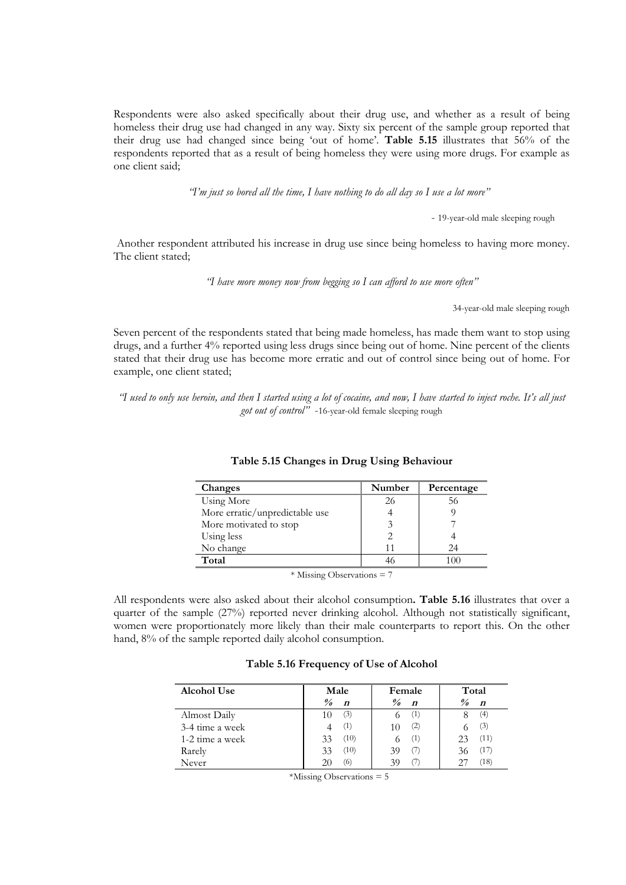Respondents were also asked specifically about their drug use, and whether as a result of being homeless their drug use had changed in any way. Sixty six percent of the sample group reported that their drug use had changed since being 'out of home'. **Table 5.15** illustrates that 56% of the respondents reported that as a result of being homeless they were using more drugs. For example as one client said;

*"I'm just so bored all the time, I have nothing to do all day so I use a lot more"*

- 19-year-old male sleeping rough

 Another respondent attributed his increase in drug use since being homeless to having more money. The client stated;

*"I have more money now from begging so I can afford to use more often"*

34-year-old male sleeping rough

Seven percent of the respondents stated that being made homeless, has made them want to stop using drugs, and a further 4% reported using less drugs since being out of home. Nine percent of the clients stated that their drug use has become more erratic and out of control since being out of home. For example, one client stated;

*"I used to only use heroin, and then I started using a lot of cocaine, and now, I have started to inject roche. It's all just got out of control"* -16-year-old female sleeping rough

| Changes                        | Number | Percentage |  |  |
|--------------------------------|--------|------------|--|--|
| Using More                     | 26     | 56         |  |  |
| More erratic/unpredictable use |        |            |  |  |
| More motivated to stop         |        |            |  |  |
| Using less                     |        |            |  |  |
| No change                      |        | 24         |  |  |
| Total                          |        | 100        |  |  |
| 1.7.7.77<br>$\sim$ 1 $\sim$    |        |            |  |  |

#### **Table 5.15 Changes in Drug Using Behaviour**

\* Missing Observations = 7

All respondents were also asked about their alcohol consumption**. Table 5.16** illustrates that over a quarter of the sample (27%) reported never drinking alcohol. Although not statistically significant, women were proportionately more likely than their male counterparts to report this. On the other hand,  $8\%$  of the sample reported daily alcohol consumption.

#### **Table 5.16 Frequency of Use of Alcohol**

| <b>Alcohol Use</b> | Male                              | Female                            | Total                                                  |
|--------------------|-----------------------------------|-----------------------------------|--------------------------------------------------------|
|                    | $\frac{0}{0}$<br>$\boldsymbol{n}$ | $\frac{9}{6}$<br>$\boldsymbol{n}$ | $\frac{\partial}{\partial \theta}$<br>$\boldsymbol{n}$ |
| Almost Daily       | (3)<br>10                         | (1)                               | (4)                                                    |
| 3-4 time a week    | (1)                               | (2)                               | (3)                                                    |
| 1-2 time a week    | (10)<br>33                        | (1)                               | (11)<br>23                                             |
| Rarely             | (10)<br>33                        | (7)                               | (17)<br>36                                             |
| Never              | (6)<br>20                         |                                   | (18)                                                   |

\*Missing Observations = 5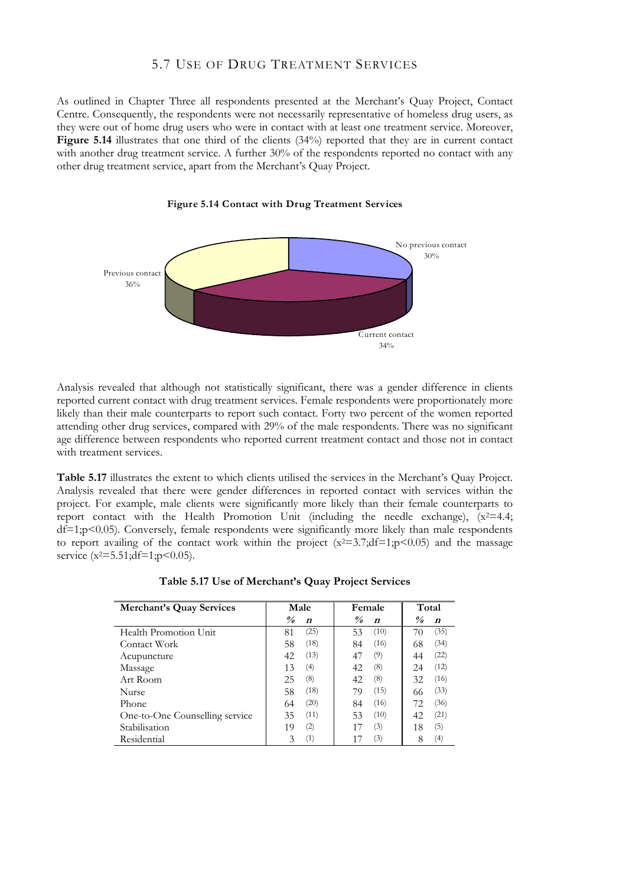# 5.7 USE OF DRUG TREATMENT SERVICES

As outlined in Chapter Three all respondents presented at the Merchant's Quay Project, Contact Centre. Consequently, the respondents were not necessarily representative of homeless drug users, as they were out of home drug users who were in contact with at least one treatment service. Moreover, Figure 5.14 illustrates that one third of the clients (34%) reported that they are in current contact with another drug treatment service. A further 30% of the respondents reported no contact with any other drug treatment service, apart from the Merchant's Quay Project.





Analysis revealed that although not statistically significant, there was a gender difference in clients reported current contact with drug treatment services. Female respondents were proportionately more likely than their male counterparts to report such contact. Forty two percent of the women reported attending other drug services, compared with 29% of the male respondents. There was no significant age difference between respondents who reported current treatment contact and those not in contact with treatment services.

**Table 5.17** illustrates the extent to which clients utilised the services in the Merchant's Quay Project. Analysis revealed that there were gender differences in reported contact with services within the project. For example, male clients were significantly more likely than their female counterparts to report contact with the Health Promotion Unit (including the needle exchange),  $(x^2=4.4$ ;  $df=1$ ;p<0.05). Conversely, female respondents were significantly more likely than male respondents to report availing of the contact work within the project  $(x^2=3.7;df=1;p<0.05)$  and the massage service  $(x^2=5.51; df=1; p<0.05)$ .

| <b>Merchant's Quay Services</b> | Male                    | Female                  | Total              |  |
|---------------------------------|-------------------------|-------------------------|--------------------|--|
|                                 | $\frac{\theta}{\theta}$ | $\frac{\theta}{\theta}$ | $\frac{\theta}{a}$ |  |
|                                 | $\boldsymbol{n}$        | $\boldsymbol{n}$        | $\boldsymbol{n}$   |  |
| Health Promotion Unit           | (25)                    | (10)                    | (35)               |  |
|                                 | 81                      | 53                      | 70                 |  |
| Contact Work                    | (18)                    | (16)                    | (34)               |  |
|                                 | 58                      | 84                      | 68                 |  |
| Acupuncture                     | (13)                    | (9)                     | (22)               |  |
|                                 | 42                      | 47                      | 44                 |  |
| Massage                         | (4)                     | (8)                     | (12)               |  |
|                                 | 13                      | 42                      | 24                 |  |
| Art Room                        | (8)                     | (8)                     | (16)               |  |
|                                 | 25                      | 42                      | 32                 |  |
| <b>Nurse</b>                    | (18)                    | (15)                    | (33)               |  |
|                                 | 58                      | 79                      | 66                 |  |
| Phone                           | (20)                    | (16)                    | (36)               |  |
|                                 | 64                      | 84                      | 72                 |  |
| One-to-One Counselling service  | (11)                    | (10)                    | (21)               |  |
|                                 | 35                      | 53                      | 42                 |  |
| Stabilisation                   | (2)                     | (3)                     | (5)                |  |
|                                 | 19                      | 17                      | 18                 |  |
| Residential                     | (1)<br>3                | (3)                     | (4)<br>8           |  |

**Table 5.17 Use of Merchant's Quay Project Services**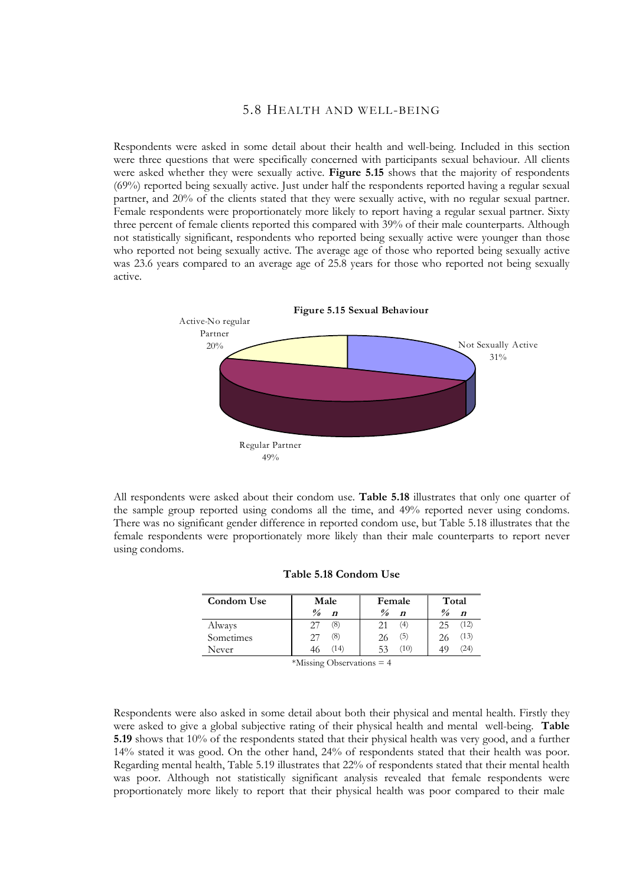## 5.8 HEALTH AND WELL-BEING

Respondents were asked in some detail about their health and well-being. Included in this section were three questions that were specifically concerned with participants sexual behaviour. All clients were asked whether they were sexually active. **Figure 5.15** shows that the majority of respondents (69%) reported being sexually active. Just under half the respondents reported having a regular sexual partner, and 20% of the clients stated that they were sexually active, with no regular sexual partner. Female respondents were proportionately more likely to report having a regular sexual partner. Sixty three percent of female clients reported this compared with 39% of their male counterparts. Although not statistically significant, respondents who reported being sexually active were younger than those who reported not being sexually active. The average age of those who reported being sexually active was 23.6 years compared to an average age of 25.8 years for those who reported not being sexually active.



All respondents were asked about their condom use. **Table 5.18** illustrates that only one quarter of the sample group reported using condoms all the time, and 49% reported never using condoms. There was no significant gender difference in reported condom use, but Table 5.18 illustrates that the female respondents were proportionately more likely than their male counterparts to report never using condoms.

| Condom Use | Male             | Female             | Total              |
|------------|------------------|--------------------|--------------------|
|            | $\frac{0}{a}$    | $\frac{\theta}{a}$ | $\frac{\theta}{a}$ |
|            | $\boldsymbol{n}$ | $\boldsymbol{n}$   | $\boldsymbol{n}$   |
| Always     | (8)              | (4)                | (12)               |
|            | 27               | 21                 | 25                 |
| Sometimes  | (8)              | (5)                | (13)               |
|            | 27               | 26                 | 26                 |
| Never      | (14)             | 53<br>(10)         | 24)                |

| Table 5.18 Condom Use |
|-----------------------|
|-----------------------|

\*Missing Observations = 4

Respondents were also asked in some detail about both their physical and mental health. Firstly they were asked to give a global subjective rating of their physical health and mental well-being. **Table 5.19** shows that 10% of the respondents stated that their physical health was very good, and a further 14% stated it was good. On the other hand, 24% of respondents stated that their health was poor. Regarding mental health, Table 5.19 illustrates that 22% of respondents stated that their mental health was poor. Although not statistically significant analysis revealed that female respondents were proportionately more likely to report that their physical health was poor compared to their male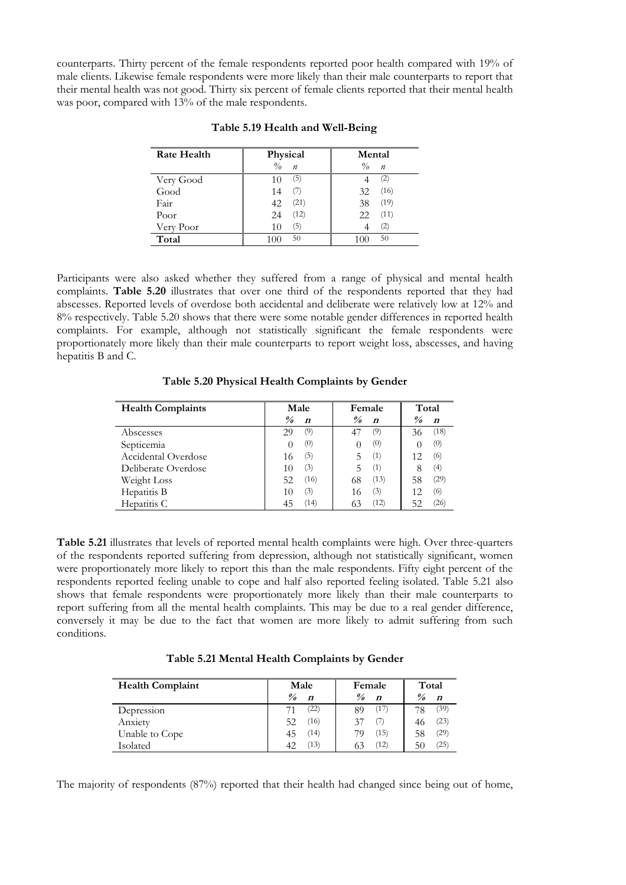counterparts. Thirty percent of the female respondents reported poor health compared with 19% of male clients. Likewise female respondents were more likely than their male counterparts to report that their mental health was not good. Thirty six percent of female clients reported that their mental health was poor, compared with 13% of the male respondents.

| <b>Rate Health</b> | Physical                          | Mental                            |
|--------------------|-----------------------------------|-----------------------------------|
|                    | $\frac{0}{a}$<br>$\boldsymbol{n}$ | $\frac{0}{a}$<br>$\boldsymbol{n}$ |
| Very Good          | (5)<br>10                         | (2)                               |
| Good               | (7)<br>14                         | (16)<br>32                        |
| Fair               | (21)<br>42                        | (19)<br>38                        |
| Poor               | (12)<br>24                        | (11)<br>22                        |
| Very Poor          | (5)<br>10                         | (2)                               |
| Total              | 50<br>1 ( ) (                     | 50                                |

#### **Table 5.19 Health and Well-Being**

Participants were also asked whether they suffered from a range of physical and mental health complaints. **Table 5.20** illustrates that over one third of the respondents reported that they had abscesses. Reported levels of overdose both accidental and deliberate were relatively low at 12% and 8% respectively. Table 5.20 shows that there were some notable gender differences in reported health complaints. For example, although not statistically significant the female respondents were proportionately more likely than their male counterparts to report weight loss, abscesses, and having hepatitis B and C.

**Table 5.20 Physical Health Complaints by Gender**

| <b>Health Complaints</b> | Male                                                   | Female                                                 | Total                                       |  |
|--------------------------|--------------------------------------------------------|--------------------------------------------------------|---------------------------------------------|--|
|                          | $\frac{\partial}{\partial \theta}$<br>$\boldsymbol{n}$ | $\frac{\partial}{\partial \theta}$<br>$\boldsymbol{n}$ | $\frac{\theta}{\theta}$<br>$\boldsymbol{n}$ |  |
| Abscesses                | (9)<br>29                                              | (9)                                                    | (18)<br>36                                  |  |
| Septicemia               | (0)<br>$\left( \right)$                                | (0)<br>$\left( \right)$                                | (0)                                         |  |
| Accidental Overdose      | (5)<br>16                                              | (1)<br>╮                                               | (6)<br>12                                   |  |
| Deliberate Overdose      | (3)<br>10                                              | (1)<br>5                                               | (4)                                         |  |
| Weight Loss              | (16)<br>52                                             | (13)<br>68                                             | (29)<br>58                                  |  |
| Hepatitis B              | (3)<br>10                                              | (3)<br>16                                              | (6)<br>12                                   |  |
| Hepatitis C              | (14)<br>45                                             | (12)                                                   | (26)<br>52                                  |  |

**Table 5.21** illustrates that levels of reported mental health complaints were high. Over three-quarters of the respondents reported suffering from depression, although not statistically significant, women were proportionately more likely to report this than the male respondents. Fifty eight percent of the respondents reported feeling unable to cope and half also reported feeling isolated. Table 5.21 also shows that female respondents were proportionately more likely than their male counterparts to report suffering from all the mental health complaints. This may be due to a real gender difference, conversely it may be due to the fact that women are more likely to admit suffering from such conditions.

**Table 5.21 Mental Health Complaints by Gender**

| <b>Health Complaint</b> | Male                                        | Female                            | Total                                |  |
|-------------------------|---------------------------------------------|-----------------------------------|--------------------------------------|--|
|                         | $\frac{\theta}{\theta}$<br>$\boldsymbol{n}$ | $\frac{9}{6}$<br>$\boldsymbol{n}$ | $\frac{\theta}{a}$<br>$\overline{p}$ |  |
| Depression              | $^{(22)}$<br>71                             | (17)<br>89                        | (39)<br>78                           |  |
| Anxiety                 | 52<br>'16)                                  |                                   | (23)<br>46                           |  |
| Unable to Cope          | (14)<br>45                                  | (15)                              | (29)<br>58                           |  |
| Isolated                | (13)<br>42                                  | (12)                              | $^{(25)}$<br>50                      |  |

The majority of respondents (87%) reported that their health had changed since being out of home,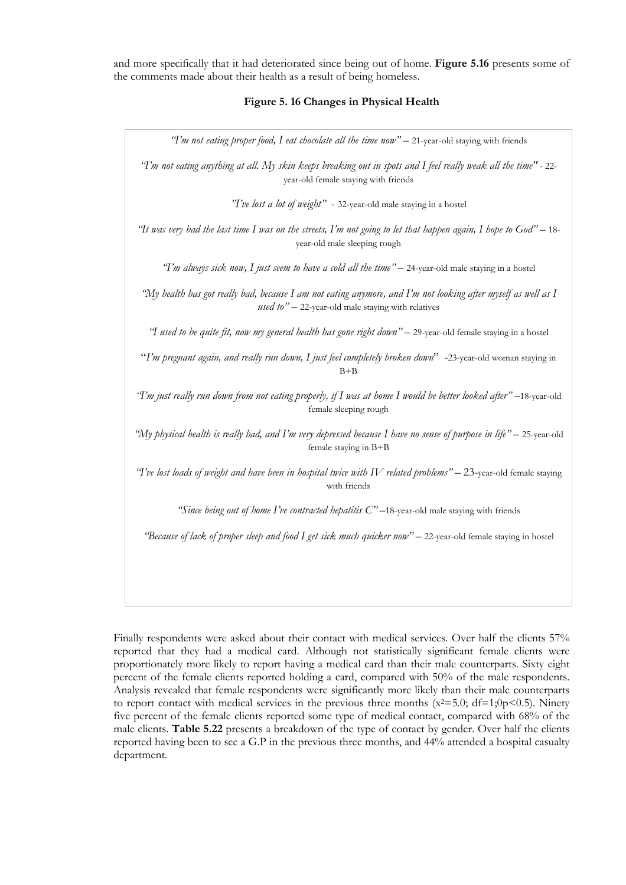and more specifically that it had deteriorated since being out of home. **Figure 5.16** presents some of the comments made about their health as a result of being homeless.

#### **Figure 5. 16 Changes in Physical Health**

*"I'm not eating proper food, I eat chocolate all the time now"* – 21-year-old staying with friends

*"I'm not eating anything at all. My skin keeps breaking out in spots and I feel really weak all the time"* - 22 year-old female staying with friends

*"I've lost a lot of weight"* - 32-year-old male staying in a hostel

*"It was very bad the last time I was on the streets, I'm not going to let that happen again, I hope to God"* – 18 year-old male sleeping rough

*"I'm always sick now, I just seem to have a cold all the time"* – 24-year-old male staying in a hostel

*"My health has got really bad, because I am not eating anymore, and I'm not looking after myself as well as I used to"* – 22-year-old male staying with relatives

*"I used to be quite fit, now my general health has gone right down"* – 29-year-old female staying in a hostel

"*I'm pregnant again, and really run down, I just feel completely broken down*" -23-year-old woman staying in  $B + B$ 

*"I'm just really run down from not eating properly, if I was at home I would be better looked after"* –18-year-old female sleeping rough

*"My physical health is really bad, and I'm very depressed because I have no sense of purpose in life"* – 25-year-old female staying in B+B

*"I've lost loads of weight and have been in hospital twice with IV related problems"* – 23-year-old female staying with friends

*"Since being out of home I've contracted hepatitis C"* –18-year-old male staying with friends

*"Because of lack of proper sleep and food I get sick much quicker now"* – 22-year-old female staying in hostel

Finally respondents were asked about their contact with medical services. Over half the clients 57% reported that they had a medical card. Although not statistically significant female clients were proportionately more likely to report having a medical card than their male counterparts. Sixty eight percent of the female clients reported holding a card, compared with 50% of the male respondents. Analysis revealed that female respondents were significantly more likely than their male counterparts to report contact with medical services in the previous three months  $(x^2=5.0; df=1;0p<0.5)$ . Ninety five percent of the female clients reported some type of medical contact, compared with 68% of the male clients. **Table 5.22** presents a breakdown of the type of contact by gender. Over half the clients reported having been to see a G.P in the previous three months, and 44% attended a hospital casualty department.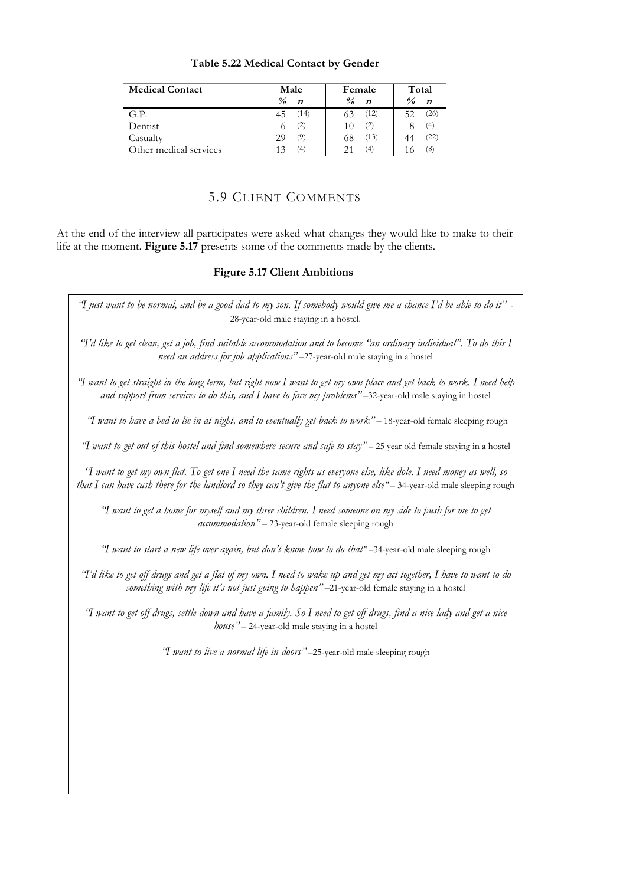|  | Table 5.22 Medical Contact by Gender |  |  |
|--|--------------------------------------|--|--|
|  |                                      |  |  |

| <b>Medical Contact</b> | Male                                                   | Female                                 | Total                             |
|------------------------|--------------------------------------------------------|----------------------------------------|-----------------------------------|
|                        | $\frac{\partial}{\partial \theta}$<br>$\boldsymbol{n}$ | $\frac{\theta}{a}$<br>$\boldsymbol{n}$ | $\frac{\theta}{a}$<br>$\mathbf n$ |
| G.P.                   | (14)<br>45                                             | (12)<br>63                             | (26)<br>52                        |
| Dentist                | (2)                                                    | (2)<br>10                              | (4)                               |
| Casualty               | (9)<br>29                                              | (13)<br>68                             | 22                                |
| Other medical services | $^{4}$                                                 | 4)                                     | (8)                               |

# 5.9 CLIENT COMMENTS

At the end of the interview all participates were asked what changes they would like to make to their life at the moment. **Figure 5.17** presents some of the comments made by the clients.

# **Figure 5.17 Client Ambitions**

| "I just want to be normal, and be a good dad to my son. If somebody would give me a chance I'd be able to do it" -<br>28-year-old male staying in a hostel.                                                                                      |
|--------------------------------------------------------------------------------------------------------------------------------------------------------------------------------------------------------------------------------------------------|
| 'T'd like to get clean, get a job, find suitable accommodation and to become "an ordinary individual". To do this I<br>need an address for job applications"-27-year-old male staying in a hostel                                                |
| 'I want to get straight in the long term, but right now I want to get my own place and get back to work. I need help<br>and support from services to do this, and I have to face my problems"-32-year-old male staying in hostel                 |
| "I want to have a bed to lie in at night, and to eventually get back to work" - 18-year-old female sleeping rough                                                                                                                                |
| "I want to get out of this hostel and find somewhere secure and safe to stay" - 25 year old female staying in a hostel                                                                                                                           |
| 'I want to get my own flat. To get one I need the same rights as everyone else, like dole. I need money as well, so<br>that I can have cash there for the landlord so they can't give the flat to anyone else" - 34-year-old male sleeping rough |
| 'I want to get a home for myself and my three children. I need someone on my side to push for me to get<br>accommodation" - 23-year-old female sleeping rough                                                                                    |
| "I want to start a new life over again, but don't know how to do that"-34-year-old male sleeping rough                                                                                                                                           |
| "I'd like to get off drugs and get a flat of my own. I need to wake up and get my act together, I have to want to do<br>something with my life it's not just going to happen"-21-year-old female staying in a hostel                             |
| 'I want to get off drugs, settle down and have a family. So I need to get off drugs, find a nice lady and get a nice<br>$house'' - 24$ -year-old male staying in a hostel                                                                        |
| "I want to live a normal life in doors"-25-year-old male sleeping rough                                                                                                                                                                          |
|                                                                                                                                                                                                                                                  |
|                                                                                                                                                                                                                                                  |
|                                                                                                                                                                                                                                                  |
|                                                                                                                                                                                                                                                  |
|                                                                                                                                                                                                                                                  |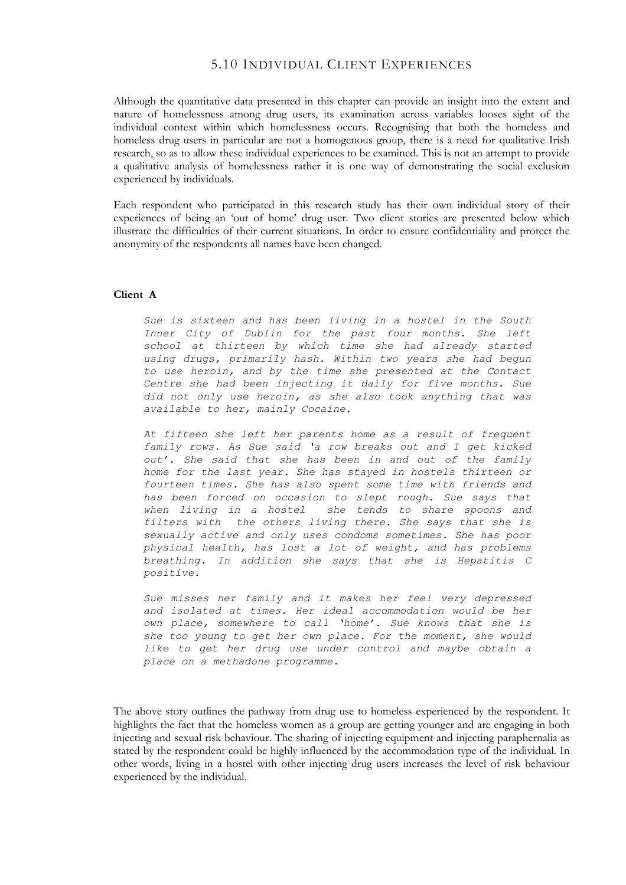# 5.10 INDIVIDUAL CLIENT EXPERIENCES

Although the quantitative data presented in this chapter can provide an insight into the extent and nature of homelessness among drug users, its examination across variables looses sight of the individual context within which homelessness occurs. Recognising that both the homeless and homeless drug users in particular are not a homogenous group, there is a need for qualitative Irish research, so as to allow these individual experiences to be examined. This is not an attempt to provide a qualitative analysis of homelessness rather it is one way of demonstrating the social exclusion experienced by individuals.

Each respondent who participated in this research study has their own individual story of their experiences of being an 'out of home' drug user. Two client stories are presented below which illustrate the difficulties of their current situations. In order to ensure confidentiality and protect the anonymity of the respondents all names have been changed.

#### **Client A**

*Sue is sixteen and has been living in a hostel in the South Inner City of Dublin for the past four months. She left school at thirteen by which time she had already started using drugs, primarily hash. Within two years she had begun to use heroin, and by the time she presented at the Contact Centre she had been injecting it daily for five months. Sue did not only use heroin, as she also took anything that was available to her, mainly Cocaine.*

*At fifteen she left her parents home as a result of frequent family rows. As Sue said 'a row breaks out and I get kicked out'. She said that she has been in and out of the family home for the last year. She has stayed in hostels thirteen or fourteen times. She has also spent some time with friends and has been forced on occasion to slept rough. Sue says that when living in a hostel she tends to share spoons and filters with the others living there. She says that she is sexually active and only uses condoms sometimes. She has poor physical health, has lost a lot of weight, and has problems breathing. In addition she says that she is Hepatitis C positive.* 

*Sue misses her family and it makes her feel very depressed and isolated at times. Her ideal accommodation would be her own place, somewhere to call 'home'. Sue knows that she is she too young to get her own place. For the moment, she would like to get her drug use under control and maybe obtain a place on a methadone programme.*

The above story outlines the pathway from drug use to homeless experienced by the respondent. It highlights the fact that the homeless women as a group are getting younger and are engaging in both injecting and sexual risk behaviour. The sharing of injecting equipment and injecting paraphernalia as stated by the respondent could be highly influenced by the accommodation type of the individual. In other words, living in a hostel with other injecting drug users increases the level of risk behaviour experienced by the individual.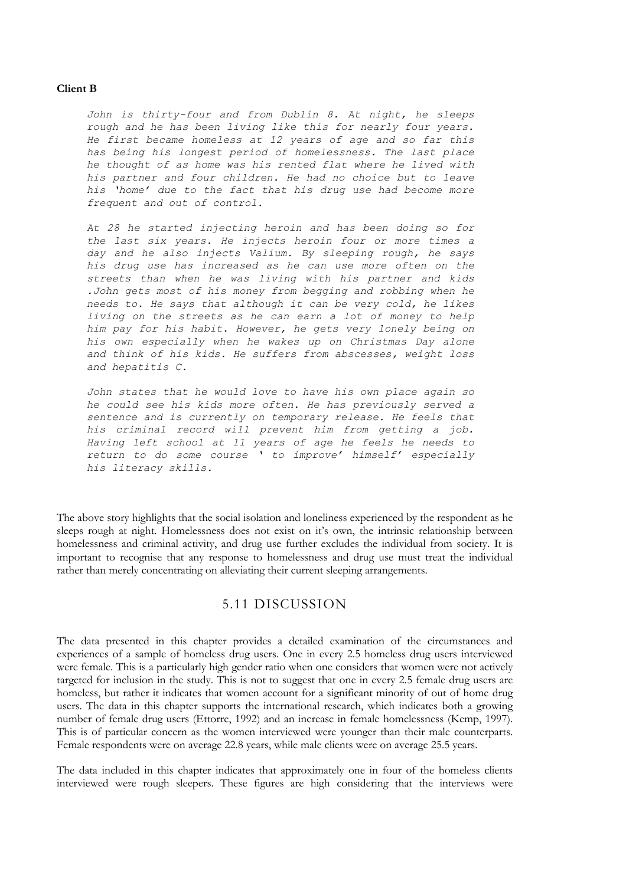#### **Client B**

*John is thirty-four and from Dublin 8. At night, he sleeps rough and he has been living like this for nearly four years. He first became homeless at 12 years of age and so far this has being his longest period of homelessness. The last place he thought of as home was his rented flat where he lived with his partner and four children. He had no choice but to leave his 'home' due to the fact that his drug use had become more frequent and out of control.* 

*At 28 he started injecting heroin and has been doing so for the last six years. He injects heroin four or more times a day and he also injects Valium. By sleeping rough, he says his drug use has increased as he can use more often on the streets than when he was living with his partner and kids .John gets most of his money from begging and robbing when he needs to. He says that although it can be very cold, he likes living on the streets as he can earn a lot of money to help him pay for his habit. However, he gets very lonely being on his own especially when he wakes up on Christmas Day alone and think of his kids. He suffers from abscesses, weight loss and hepatitis C.* 

*John states that he would love to have his own place again so he could see his kids more often. He has previously served a sentence and is currently on temporary release. He feels that his criminal record will prevent him from getting a job. Having left school at 11 years of age he feels he needs to return to do some course ' to improve' himself' especially his literacy skills.*

The above story highlights that the social isolation and loneliness experienced by the respondent as he sleeps rough at night. Homelessness does not exist on it's own, the intrinsic relationship between homelessness and criminal activity, and drug use further excludes the individual from society. It is important to recognise that any response to homelessness and drug use must treat the individual rather than merely concentrating on alleviating their current sleeping arrangements.

# 5.11 DISCUSSION

The data presented in this chapter provides a detailed examination of the circumstances and experiences of a sample of homeless drug users. One in every 2.5 homeless drug users interviewed were female. This is a particularly high gender ratio when one considers that women were not actively targeted for inclusion in the study. This is not to suggest that one in every 2.5 female drug users are homeless, but rather it indicates that women account for a significant minority of out of home drug users. The data in this chapter supports the international research, which indicates both a growing number of female drug users (Ettorre, 1992) and an increase in female homelessness (Kemp, 1997). This is of particular concern as the women interviewed were younger than their male counterparts. Female respondents were on average 22.8 years, while male clients were on average 25.5 years.

The data included in this chapter indicates that approximately one in four of the homeless clients interviewed were rough sleepers. These figures are high considering that the interviews were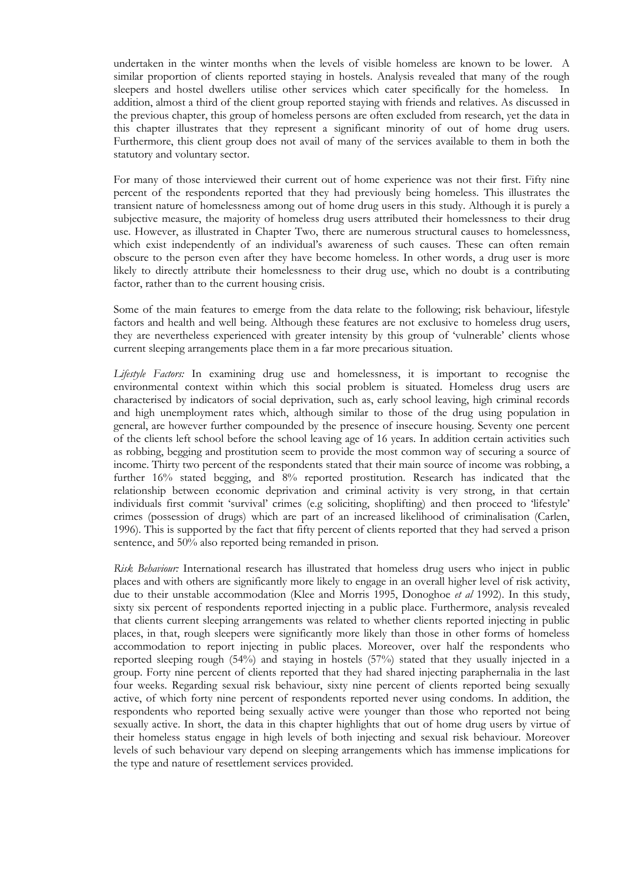undertaken in the winter months when the levels of visible homeless are known to be lower. A similar proportion of clients reported staying in hostels. Analysis revealed that many of the rough sleepers and hostel dwellers utilise other services which cater specifically for the homeless. In addition, almost a third of the client group reported staying with friends and relatives. As discussed in the previous chapter, this group of homeless persons are often excluded from research, yet the data in this chapter illustrates that they represent a significant minority of out of home drug users. Furthermore, this client group does not avail of many of the services available to them in both the statutory and voluntary sector.

For many of those interviewed their current out of home experience was not their first. Fifty nine percent of the respondents reported that they had previously being homeless. This illustrates the transient nature of homelessness among out of home drug users in this study. Although it is purely a subjective measure, the majority of homeless drug users attributed their homelessness to their drug use. However, as illustrated in Chapter Two, there are numerous structural causes to homelessness, which exist independently of an individual's awareness of such causes. These can often remain obscure to the person even after they have become homeless. In other words, a drug user is more likely to directly attribute their homelessness to their drug use, which no doubt is a contributing factor, rather than to the current housing crisis.

Some of the main features to emerge from the data relate to the following; risk behaviour, lifestyle factors and health and well being. Although these features are not exclusive to homeless drug users, they are nevertheless experienced with greater intensity by this group of 'vulnerable' clients whose current sleeping arrangements place them in a far more precarious situation.

*Lifestyle Factors:* In examining drug use and homelessness, it is important to recognise the environmental context within which this social problem is situated. Homeless drug users are characterised by indicators of social deprivation, such as, early school leaving, high criminal records and high unemployment rates which, although similar to those of the drug using population in general, are however further compounded by the presence of insecure housing. Seventy one percent of the clients left school before the school leaving age of 16 years. In addition certain activities such as robbing, begging and prostitution seem to provide the most common way of securing a source of income. Thirty two percent of the respondents stated that their main source of income was robbing, a further 16% stated begging, and 8% reported prostitution. Research has indicated that the relationship between economic deprivation and criminal activity is very strong, in that certain individuals first commit 'survival' crimes (e.g soliciting, shoplifting) and then proceed to 'lifestyle' crimes (possession of drugs) which are part of an increased likelihood of criminalisation (Carlen, 1996). This is supported by the fact that fifty percent of clients reported that they had served a prison sentence, and 50% also reported being remanded in prison.

*Risk Behaviour:* International research has illustrated that homeless drug users who inject in public places and with others are significantly more likely to engage in an overall higher level of risk activity, due to their unstable accommodation (Klee and Morris 1995, Donoghoe *et al* 1992). In this study, sixty six percent of respondents reported injecting in a public place. Furthermore, analysis revealed that clients current sleeping arrangements was related to whether clients reported injecting in public places, in that, rough sleepers were significantly more likely than those in other forms of homeless accommodation to report injecting in public places. Moreover, over half the respondents who reported sleeping rough (54%) and staying in hostels (57%) stated that they usually injected in a group. Forty nine percent of clients reported that they had shared injecting paraphernalia in the last four weeks. Regarding sexual risk behaviour, sixty nine percent of clients reported being sexually active, of which forty nine percent of respondents reported never using condoms. In addition, the respondents who reported being sexually active were younger than those who reported not being sexually active. In short, the data in this chapter highlights that out of home drug users by virtue of their homeless status engage in high levels of both injecting and sexual risk behaviour. Moreover levels of such behaviour vary depend on sleeping arrangements which has immense implications for the type and nature of resettlement services provided.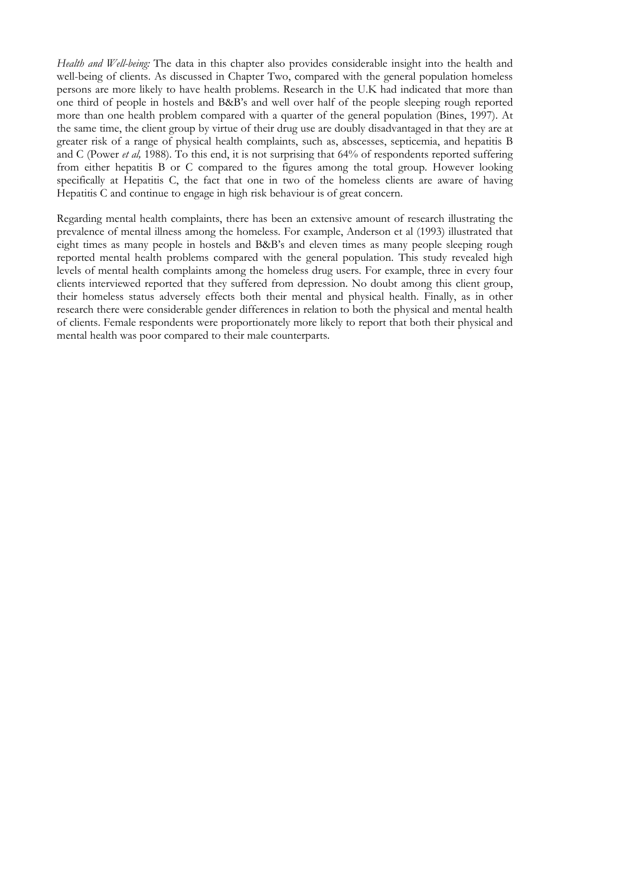*Health and Well-being:* The data in this chapter also provides considerable insight into the health and well-being of clients. As discussed in Chapter Two, compared with the general population homeless persons are more likely to have health problems. Research in the U.K had indicated that more than one third of people in hostels and B&B's and well over half of the people sleeping rough reported more than one health problem compared with a quarter of the general population (Bines, 1997). At the same time, the client group by virtue of their drug use are doubly disadvantaged in that they are at greater risk of a range of physical health complaints, such as, abscesses, septicemia, and hepatitis B and C (Power *et al,* 1988). To this end, it is not surprising that 64% of respondents reported suffering from either hepatitis B or C compared to the figures among the total group. However looking specifically at Hepatitis C, the fact that one in two of the homeless clients are aware of having Hepatitis C and continue to engage in high risk behaviour is of great concern.

Regarding mental health complaints, there has been an extensive amount of research illustrating the prevalence of mental illness among the homeless. For example, Anderson et al (1993) illustrated that eight times as many people in hostels and B&B's and eleven times as many people sleeping rough reported mental health problems compared with the general population. This study revealed high levels of mental health complaints among the homeless drug users. For example, three in every four clients interviewed reported that they suffered from depression. No doubt among this client group, their homeless status adversely effects both their mental and physical health. Finally, as in other research there were considerable gender differences in relation to both the physical and mental health of clients. Female respondents were proportionately more likely to report that both their physical and mental health was poor compared to their male counterparts.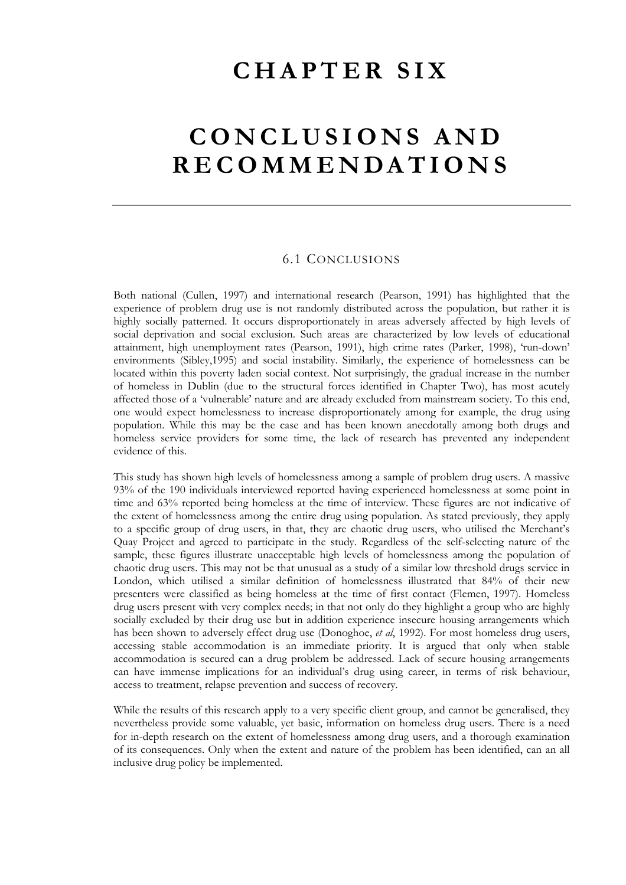### **CHAPTER SIX**

# **CONCLUSIONS AND RECOMMENDATIONS**

### 6.1 CONCLUSIONS

Both national (Cullen, 1997) and international research (Pearson, 1991) has highlighted that the experience of problem drug use is not randomly distributed across the population, but rather it is highly socially patterned. It occurs disproportionately in areas adversely affected by high levels of social deprivation and social exclusion. Such areas are characterized by low levels of educational attainment, high unemployment rates (Pearson, 1991), high crime rates (Parker, 1998), 'run-down' environments (Sibley,1995) and social instability. Similarly, the experience of homelessness can be located within this poverty laden social context. Not surprisingly, the gradual increase in the number of homeless in Dublin (due to the structural forces identified in Chapter Two), has most acutely affected those of a 'vulnerable' nature and are already excluded from mainstream society. To this end, one would expect homelessness to increase disproportionately among for example, the drug using population. While this may be the case and has been known anecdotally among both drugs and homeless service providers for some time, the lack of research has prevented any independent evidence of this.

This study has shown high levels of homelessness among a sample of problem drug users. A massive 93% of the 190 individuals interviewed reported having experienced homelessness at some p[oin](#page-74-0)t in time and 63% reported being homeless at the time of interview. These figures are not indicative of the extent of homelessness among the entire drug using population. As stated previously, they apply to a specific group of drug users, in that, they are chaotic drug users, who utilised the Merchant's Quay Project and agreed to participate in the study. Regardless of the self-selecting nature of the sample, these figures illustrate unacceptable high levels of homelessness among the population of chaotic drug users. This may not be that unusual as a study of a similar low threshold drugs service in London, which utilised a similar definition of homelessness illustrated that 84% of their new presenters were classified as being homeless at the time of first contact (Flemen, 1997). Homeless drug users present with very complex needs; in that not only do they highlight a group who are highly socially excluded by their drug use but in addition experience insecure housing arrangements which has been shown to adversely effect drug use (Donoghoe, *et al*, 1992). For most homeless drug users, accessing stable accommodation is an immediate priority. It is argued that only when stable accommodation is secured can a drug problem be addressed. Lack of secure housing arrangements can have immense implications for an individual's drug using career, in terms of risk behaviour, access to treatment, relapse prevention and success of recovery.

<span id="page-74-0"></span>While the results of this research apply to a very specific client group, and cannot be generalised, they nevertheless provide some valuable, yet basic, information on homeless drug users. There is a need for in-depth research on the extent of homelessness among drug users, and a thorough examination of its consequences. Only when the extent and nature of the problem has been identified, can an all inclusive drug policy be implemented.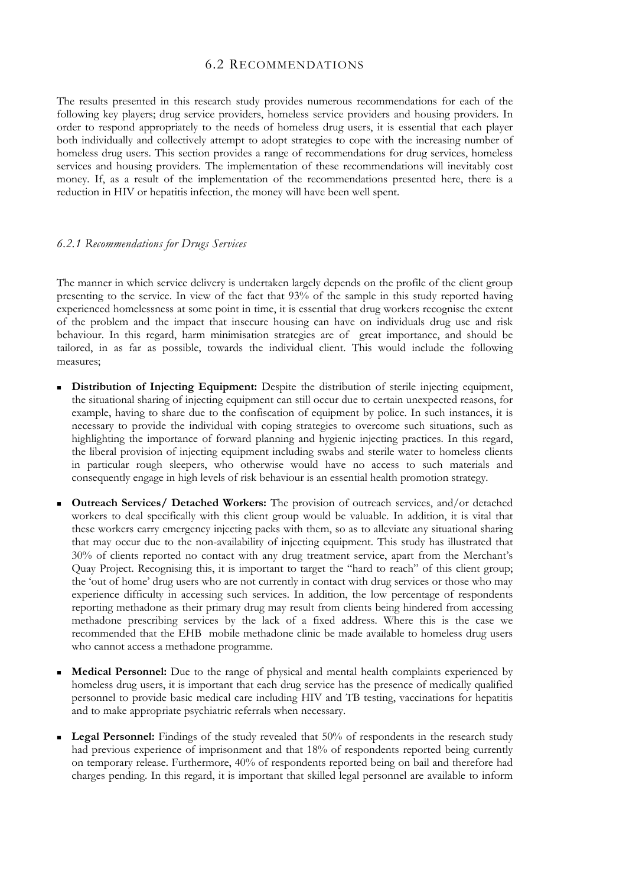#### 6.2 RECOMMENDATIONS

The results presented in this research study provides numerous recommendations for each of the following key players; drug service providers, homeless service providers and housing providers. In order to respond appropriately to the needs of homeless drug users, it is essential that each player both individually and collectively attempt to adopt strategies to cope with the increasing number of homeless drug users. This section provides a range of recommendations for drug services, homeless services and housing providers. The implementation of these recommendations will inevitably cost money. If, as a result of the implementation of the recommendations presented here, there is a reduction in HIV or hepatitis infection, the money will have been well spent.

#### *6.2.1 Recommendations for Drugs Services*

The manner in which service delivery is undertaken largely depends on the profile of the client group presenting to the service. In view of the fact that 93% of the sample in this study reported having experienced homelessness at some point in time, it is essential that drug workers recognise the extent of the problem and the impact that insecure housing can have on individuals drug use and risk behaviour. In this regard, harm minimisation strategies are of great importance, and should be tailored, in as far as possible, towards the individual client. This would include the following measures;

- **Distribution of Injecting Equipment:** Despite the distribution of sterile injecting equipment, the situational sharing of injecting equipment can still occur due to certain unexpected reasons, for example, having to share due to the confiscation of equipment by police. In such instances, it is necessary to provide the individual with coping strategies to overcome such situations, such as highlighting the importance of forward planning and hygienic injecting practices. In this regard, the liberal provision of injecting equipment including swabs and sterile water to homeless clients in particular rough sleepers, who otherwise would have no access to such materials and consequently engage in high levels of risk behaviour is an essential health promotion strategy.
- **Outreach Services/ Detached Workers:** The provision of outreach services, and/or detached workers to deal specifically with this client group would be valuable. In addition, it is vital that these workers carry emergency injecting packs with them, so as to alleviate any situational sharing that may occur due to the non-availability of injecting equipment. This study has illustrated that 30% of clients reported no contact with any drug treatment service, apart from the Merchant's Quay Project. Recognising this, it is important to target the "hard to reach" of this client group; the 'out of home' drug users who are not currently in contact with drug services or those who may experience difficulty in accessing such services. In addition, the low percentage of respondents reporting methadone as their primary drug may result from clients being hindered from accessing methadone prescribing services by the lack of a fixed address. Where this is the case we recommended that the EHB mobile methadone clinic be made available to homeless drug users who cannot access a methadone programme.
- **Medical Personnel:** Due to the range of physical and mental health complaints experienced by homeless drug users, it is important that each drug service has the presence of medically qualified personnel to provide basic medical care including HIV and TB testing, vaccinations for hepatitis and to make appropriate psychiatric referrals when necessary.
- **Legal Personnel:** Findings of the study revealed that 50% of respondents in the research study had previous experience of imprisonment and that 18% of respondents reported being currently on temporary release. Furthermore, 40% of respondents reported being on bail and therefore had charges pending. In this regard, it is important that skilled legal personnel are available to inform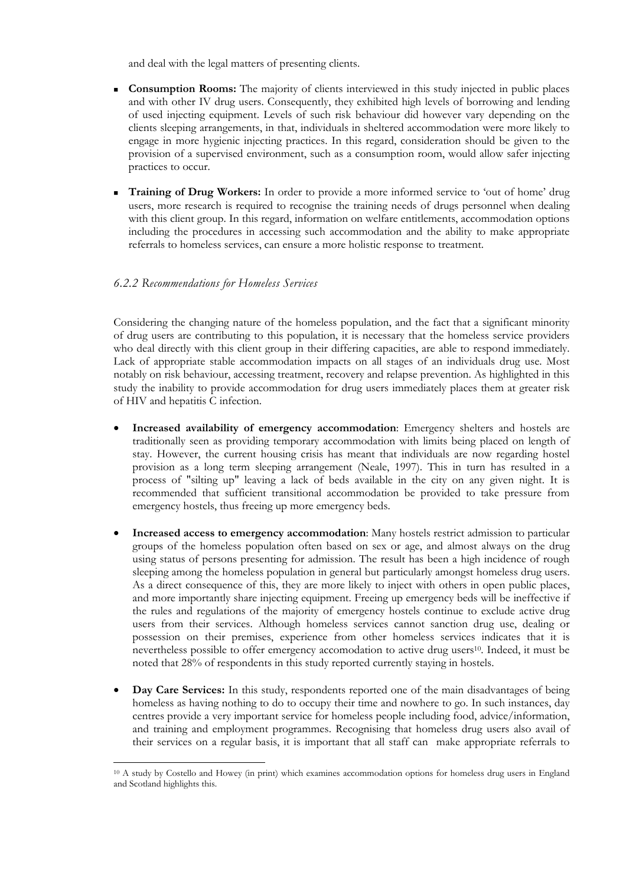and deal with the legal matters of presenting clients.

- **Consumption Rooms:** The majority of clients interviewed in this study injected in public places and with other IV drug users. Consequently, they exhibited high levels of borrowing and lending of used injecting equipment. Levels of such risk behaviour did however vary depending on the clients sleeping arrangements, in that, individuals in sheltered accommodation were more likely to engage in more hygienic injecting practices. In this regard, consideration should be given to the provision of a supervised environment, such as a consumption room, would allow safer injecting practices to occur.
- **Training of Drug Workers:** In order to provide a more informed service to 'out of home' drug users, more research is required to recognise the training needs of drugs personnel when dealing with this client group. In this regard, information on welfare entitlements, accommodation options including the procedures in accessing such accommodation and the ability to make appropriate referrals to homeless services, can ensure a more holistic response to treatment.

#### *6.2.2 Recommendations for Homeless Services*

 $\overline{a}$ 

Considering the changing nature of the homeless population, and the fact that a significant minority of drug users are contributing to this population, it is necessary that the homeless service providers who deal directly with this client group in their differing capacities, are able to respond immediately. Lack of appropriate stable accommodation impacts on all stages of an individuals drug use. Most notably on risk behaviour, accessing treatment, recovery and relapse prevention. As highlighted in this study the inability to provide accommodation for drug users immediately places them at greater risk of HIV and hepatitis C infection.

- **Increased availability of emergency accommodation**: Emergency shelters and hostels are traditionally seen as providing temporary accommodation with limits being placed on length of stay. However, the current housing crisis has meant that individuals are now regarding hostel provision as a long term sleeping arrangement (Neale, 1997). This in turn has resulted in a process of "silting up" leaving a lack of beds available in the city on any given night. It is recommended that sufficient transitional accommodation be provided to take pressure from emergency hostels, thus freeing up more emergency beds.
- **Increased access to emergency accommodation**: Many hostels restrict admission to particular groups of the homeless population often based on sex or age, and almost always on the drug using status of persons presenting for admission. The result has been a high incidence of rough sleeping among the homeless population in general but particularly amongst homeless drug users. As a direct consequence of this, they are more likely to inject with others in open public places, and more importantly share injecting equipment. Freeing up emergency beds will be ineffective if the rules and regulations of the majority of emergency hostels continue to exclude active drug users from their services. Although homeless services cannot sanction drug use, dealing or possession on their premises, experience from other homeless services indicates that it is nevertheless possible to offer emergency accomodation to active drug users10. Indeed, it must be noted that 28% of respondents in this study reported currently staying in hostels.
- **Day Care Services:** In this study, respondents reported one of the main disadvantages of being homeless as having nothing to do to occupy their time and nowhere to go. In such instances, day centres provide a very important service for homeless people including food, advice/information, and training and employment programmes. Recognising that homeless drug users also avail of their services on a regular basis, it is important that all staff can make appropriate referrals to

<sup>10</sup> A study by Costello and Howey (in print) which examines accommodation options for homeless drug users in England and Scotland highlights this.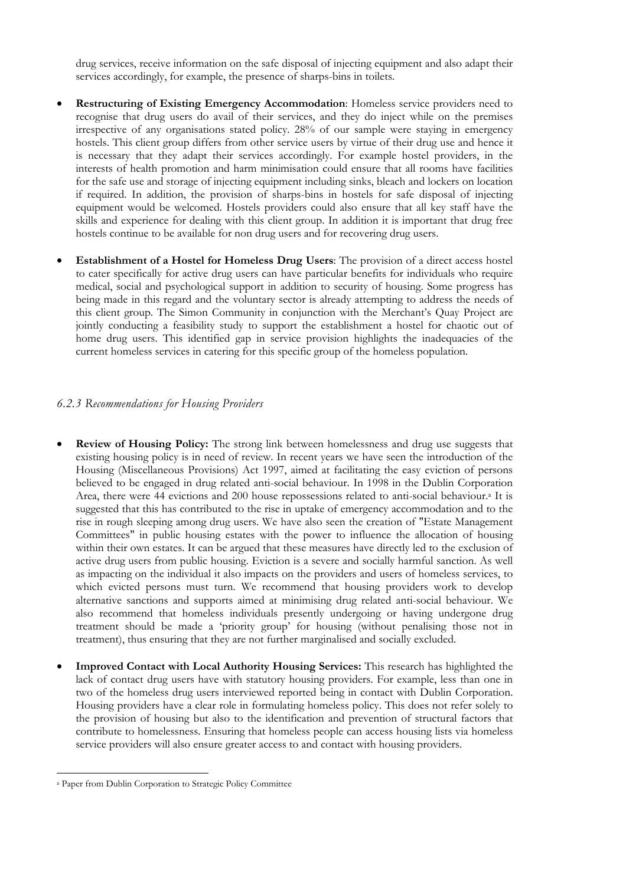drug services, receive information on the safe disposal of injecting equipment and also adapt their services accordingly, for example, the presence of sharps-bins in toilets.

- **Restructuring of Existing Emergency Accommodation**: Homeless service providers need to recognise that drug users do avail of their services, and they do inject while on the premises irrespective of any organisations stated policy. 28% of our sample were staying in emergency hostels. This client group differs from other service users by virtue of their drug use and hence it is necessary that they adapt their services accordingly. For example hostel providers, in the interests of health promotion and harm minimisation could ensure that all rooms have facilities for the safe use and storage of injecting equipment including sinks, bleach and lockers on location if required. In addition, the provision of sharps-bins in hostels for safe disposal of injecting equipment would be welcomed. Hostels providers could also ensure that all key staff have the skills and experience for dealing with this client group. In addition it is important that drug free hostels continue to be available for non drug users and for recovering drug users.
- **Establishment of a Hostel for Homeless Drug Users**: The provision of a direct access hostel to cater specifically for active drug users can have particular benefits for individuals who require medical, social and psychological support in addition to security of housing. Some progress has being made in this regard and the voluntary sector is already attempting to address the needs of this client group. The Simon Community in conjunction with the Merchant's Quay Project are jointly conducting a feasibility study to support the establishment a hostel for chaotic out of home drug users. This identified gap in service provision highlights the inadequacies of the current homeless services in catering for this specific group of the homeless population.

#### *6.2.3 Recommendations for Housing Providers*

- **Review of Housing Policy:** The strong link between homelessness and drug use suggests that existing housing policy is in need of review. In recent years we have seen the introduction of the Housing (Miscellaneous Provisions) Act 1997, aimed at facilitating the easy eviction of persons believed to be engaged in drug related anti-social behaviour. In 1998 in the Dublin Corporation Area, there were 44 evictions and 200 house repossessions related to anti-social behaviour.<sup>a</sup> It is suggested that this has contributed to the rise in uptake of emergency accommodation and to the rise in rough sleeping among drug users. We have also seen the creation of "Estate Management Committees" in public housing estates with the power to influence the allocation of housing within their own estates. It can be argued that these measures have directly led to the exclusion of active drug users from public housing. Eviction is a severe and socially harmful sanction. As well as impacting on the individual it also impacts on the providers and users of homeless services, to which evicted persons must turn. We recommend that housing providers work to develop alternative sanctions and supports aimed at minimising drug related anti-social behaviour. We also recommend that homeless individuals presently undergoing or having undergone drug treatment should be made a 'priority group' for housing (without penalising those not in treatment), thus ensuring that they are not further marginalised and socially excluded.
- **Improved Contact with Local Authority Housing Services:** This research has highlighted the lack of contact drug users have with statutory housing providers. For example, less than one in two of the homeless drug users interviewed reported being in contact with Dublin Corporation. Housing providers have a clear role in formulating homeless policy. This does not refer solely to the provision of housing but also to the identification and prevention of structural factors that contribute to homelessness. Ensuring that homeless people can access housing lists via homeless service providers will also ensure greater access to and contact with housing providers.

 $\overline{a}$ <sup>a</sup> Paper from Dublin Corporation to Strategic Policy Committee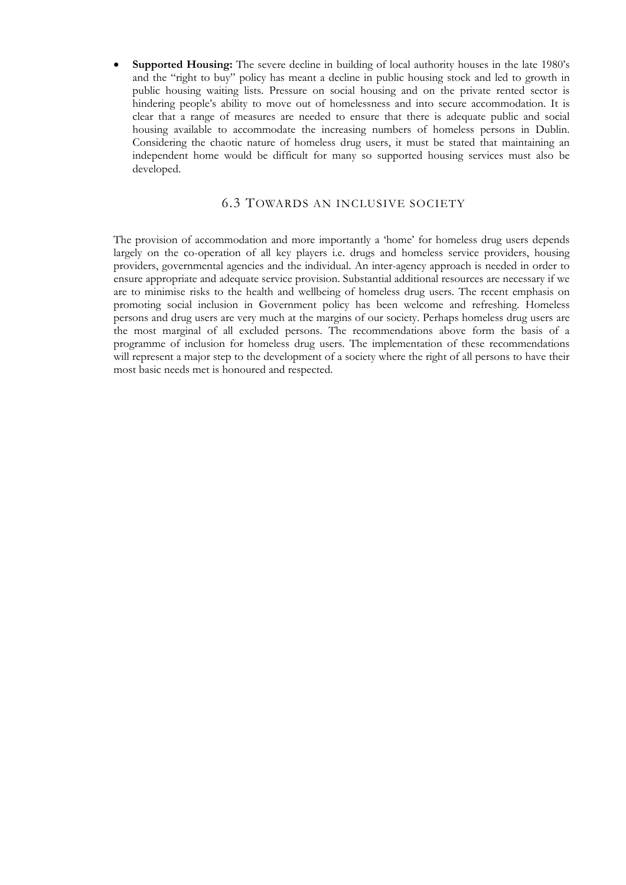• **Supported Housing:** The severe decline in building of local authority houses in the late 1980's and the "right to buy" policy has meant a decline in public housing stock and led to growth in public housing waiting lists. Pressure on social housing and on the private rented sector is hindering people's ability to move out of homelessness and into secure accommodation. It is clear that a range of measures are needed to ensure that there is adequate public and social housing available to accommodate the increasing numbers of homeless persons in Dublin. Considering the chaotic nature of homeless drug users, it must be stated that maintaining an independent home would be difficult for many so supported housing services must also be developed.

#### 6.3 TOWARDS AN INCLUSIVE SOCIETY

The provision of accommodation and more importantly a 'home' for homeless drug users depends largely on the co-operation of all key players i.e. drugs and homeless service providers, housing providers, governmental agencies and the individual. An inter-agency approach is needed in order to ensure appropriate and adequate service provision. Substantial additional resources are necessary if we are to minimise risks to the health and wellbeing of homeless drug users. The recent emphasis on promoting social inclusion in Government policy has been welcome and refreshing. Homeless persons and drug users are very much at the margins of our society. Perhaps homeless drug users are the most marginal of all excluded persons. The recommendations above form the basis of a programme of inclusion for homeless drug users. The implementation of these recommendations will represent a major step to the development of a society where the right of all persons to have their most basic needs met is honoured and respected.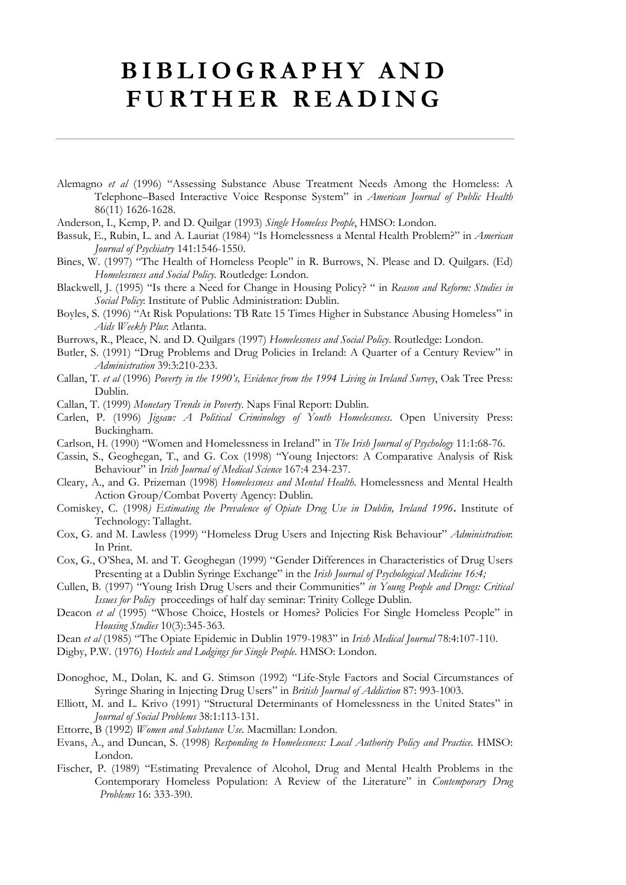# **BIBLIOGRAPHY AND FURTHER READING**

- Alemagno *et al* (1996) "Assessing Substance Abuse Treatment Needs Among the Homeless: A Telephone–Based Interactive Voice Response System" in *American Journal of Public Health* 86(11) 1626-1628.
- Anderson, I., Kemp, P. and D. Quilgar (1993) *Single Homeless People*, HMSO: London.
- Bassuk, E., Rubin, L. and A. Lauriat (1984) "Is Homelessness a Mental Health Problem?" in *American Journal of Psychiatry* 141:1546-1550.
- Bines, W. (1997) "The Health of Homeless People" in R. Burrows, N. Please and D. Quilgars. (Ed) *Homelessness and Social Policy.* Routledge: London.
- Blackwell, J. (1995) "Is there a Need for Change in Housing Policy? " in *Reason and Reform: Studies in Social Policy*: Institute of Public Administration: Dublin.
- Boyles, S. (1996) "At Risk Populations: TB Rate 15 Times Higher in Substance Abusing Homeless" in *Aids Weekly Plus*: Atlanta.
- Burrows, R., Pleace, N. and D. Quilgars (1997) *Homelessness and Social Policy*. Routledge: London.
- Butler, S. (1991) "Drug Problems and Drug Policies in Ireland: A Quarter of a Century Review" in *Administration* 39:3:210-233.
- Callan, T. *et al* (1996) *Poverty in the 1990's, Evidence from the 1994 Living in Ireland Survey*, Oak Tree Press: Dublin.
- Callan, T. (1999) *Monetary Trends in Poverty*. Naps Final Report: Dublin.
- Carlen, P. (1996) *Jigsaw: A Political Criminology of Youth Homelessness*. Open University Press: Buckingham.
- Carlson, H. (1990) "Women and Homelessness in Ireland" in *The Irish Journal of Psychology* 11:1:68-76.
- Cassin, S., Geoghegan, T., and G. Cox (1998) "Young Injectors: A Comparative Analysis of Risk Behaviour" in *Irish Journal of Medical Science* 167:4 234-237.
- Cleary, A., and G. Prizeman (1998) *Homelessness and Mental Health*. Homelessness and Mental Health Action Group/Combat Poverty Agency: Dublin.
- Comiskey, C. (1998*) Estimating the Prevalence of Opiate Drug Use in Dublin, Ireland 1996***.** Institute of Technology: Tallaght.
- Cox, G. and M. Lawless (1999) "Homeless Drug Users and Injecting Risk Behaviour" *Administration*: In Print.
- Cox, G., O'Shea, M. and T. Geoghegan (1999) "Gender Differences in Characteristics of Drug Users Presenting at a Dublin Syringe Exchange" in the *Irish Journal of Psychological Medicine 16:4;*
- Cullen, B. (1997) "Young Irish Drug Users and their Communities" *in Young People and Drugs: Critical Issues for Policy* proceedings of half day seminar: Trinity College Dublin.
- Deacon *et al* (1995) "Whose Choice, Hostels or Homes? Policies For Single Homeless People" in *Housing Studies* 10(3):345-363.
- Dean *et al* (1985) "The Opiate Epidemic in Dublin 1979-1983" in *Irish Medical Journal* 78:4:107-110.
- Digby, P.W. (1976) *Hostels and Lodgings for Single People*. HMSO: London.
- Donoghoe, M., Dolan, K. and G. Stimson (1992) "Life-Style Factors and Social Circumstances of Syringe Sharing in Injecting Drug Users" in *British Journal of Addiction* 87: 993-1003.
- Elliott, M. and L. Krivo (1991) "Structural Determinants of Homelessness in the United States" in *Journal of Social Problems* 38:1:113-131.
- Ettorre, B (1992) *Women and Substance Use.* Macmillan: London.
- Evans, A., and Duncan, S. (1998) *Responding to Homelessness: Local Authority Policy and Practice.* HMSO: London.
- Fischer, P. (1989) "Estimating Prevalence of Alcohol, Drug and Mental Health Problems in the Contemporary Homeless Population: A Review of the Literature" in *Contemporary Drug Problems* 16: 333-390.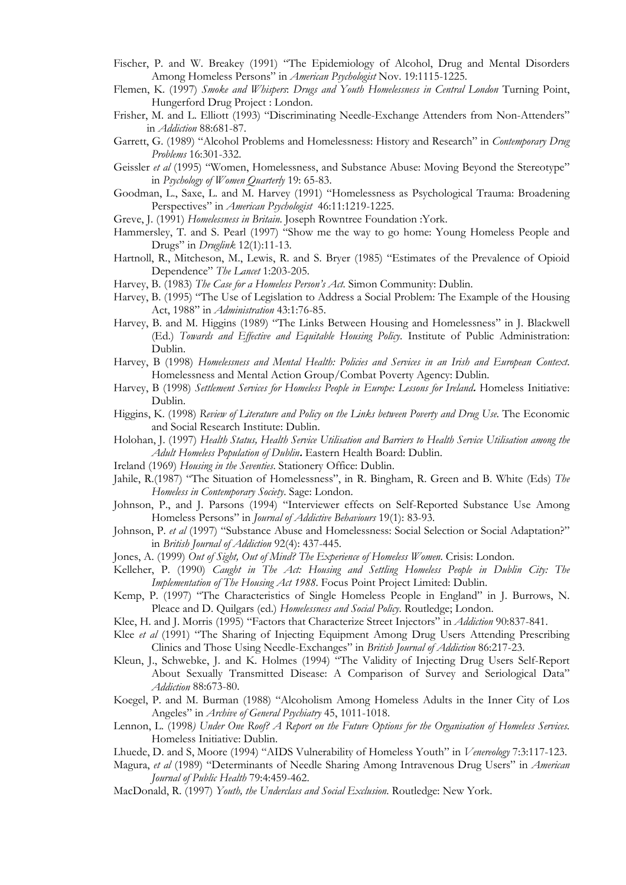- Fischer, P. and W. Breakey (1991) "The Epidemiology of Alcohol, Drug and Mental Disorders Among Homeless Persons" in *American Psychologist* Nov. 19:1115-1225.
- Flemen, K. (1997) *Smoke and Whispers*: *Drugs and Youth Homelessness in Central London* Turning Point, Hungerford Drug Project : London.
- Frisher, M. and L. Elliott (1993) "Discriminating Needle-Exchange Attenders from Non-Attenders" in *Addiction* 88:681-87.
- Garrett, G. (1989) "Alcohol Problems and Homelessness: History and Research" in *Contemporary Drug Problems* 16:301-332.
- Geissler *et al* (1995) "Women, Homelessness, and Substance Abuse: Moving Beyond the Stereotype" in *Psychology of Women Quarterly* 19: 65-83.
- Goodman, L., Saxe, L. and M. Harvey (1991) "Homelessness as Psychological Trauma: Broadening Perspectives" in *American Psychologist* 46:11:1219-1225.
- Greve, J. (1991) *Homelessness in Britain*. Joseph Rowntree Foundation :York.
- Hammersley, T. and S. Pearl (1997) "Show me the way to go home: Young Homeless People and Drugs" in *Druglink* 12(1):11-13.
- Hartnoll, R., Mitcheson, M., Lewis, R. and S. Bryer (1985) "Estimates of the Prevalence of Opioid Dependence" *The Lancet* 1:203-205.
- Harvey, B. (1983) *The Case for a Homeless Person's Act*. Simon Community: Dublin.
- Harvey, B. (1995) "The Use of Legislation to Address a Social Problem: The Example of the Housing Act, 1988" in *Administration* 43:1:76-85.
- Harvey, B. and M. Higgins (1989) "The Links Between Housing and Homelessness" in J. Blackwell (Ed.) *Towards and Effective and Equitable Housing Policy*. Institute of Public Administration: Dublin.
- Harvey, B (1998) *Homelessness and Mental Health: Policies and Services in an Irish and European Context*. Homelessness and Mental Action Group/Combat Poverty Agency: Dublin.
- Harvey, B (1998) *Settlement Services for Homeless People in Europe: Lessons for Ireland***.** Homeless Initiative: Dublin.
- Higgins, K. (1998) *Review of Literature and Policy on the Links between Poverty and Drug Use.* The Economic and Social Research Institute: Dublin.
- Holohan, J. (1997) *Health Status, Health Service Utilisation and Barriers to Health Service Utilisation among the Adult Homeless Population of Dublin***.** Eastern Health Board: Dublin.
- Ireland (1969) *Housing in the Seventies*. Stationery Office: Dublin.
- Jahile, R.(1987) "The Situation of Homelessness", in R. Bingham, R. Green and B. White (Eds) *The Homeless in Contemporary Society*. Sage: London.
- Johnson, P., and J. Parsons (1994) "Interviewer effects on Self-Reported Substance Use Among Homeless Persons" in *Journal of Addictive Behaviours* 19(1): 83-93.
- Johnson, P. *et al* (1997) "Substance Abuse and Homelessness: Social Selection or Social Adaptation?" in *British Journal of Addiction* 92(4): 437-445.
- Jones, A. (1999) *Out of Sight, Out of Mind? The Experience of Homeless Women*. Crisis: London.
- Kelleher, P. (1990) *Caught in The Act: Housing and Settling Homeless People in Dublin City: The Implementation of The Housing Act 1988*. Focus Point Project Limited: Dublin.
- Kemp, P. (1997) "The Characteristics of Single Homeless People in England" in J. Burrows, N. Pleace and D. Quilgars (ed.) *Homelessness and Social Policy*. Routledge; London.
- Klee, H. and J. Morris (1995) "Factors that Characterize Street Injectors" in *Addiction* 90:837-841.
- Klee *et al* (1991) "The Sharing of Injecting Equipment Among Drug Users Attending Prescribing Clinics and Those Using Needle-Exchanges" in *British Journal of Addiction* 86:217-23.
- Kleun, J., Schwebke, J. and K. Holmes (1994) "The Validity of Injecting Drug Users Self-Report About Sexually Transmitted Disease: A Comparison of Survey and Seriological Data" *Addiction* 88:673-80.
- Koegel, P. and M. Burman (1988) "Alcoholism Among Homeless Adults in the Inner City of Los Angeles" in *Archive of General Psychiatry* 45, 1011-1018.
- Lennon, L. (1998*) Under One Roof? A Report on the Future Options for the Organisation of Homeless Services.* Homeless Initiative: Dublin.
- Lhuede, D. and S, Moore (1994) "AIDS Vulnerability of Homeless Youth" in *Venereology* 7:3:117-123.
- Magura, *et al* (1989) "Determinants of Needle Sharing Among Intravenous Drug Users" in *American Journal of Public Health* 79:4:459-462.
- MacDonald, R. (1997) *Youth, the Underclass and Social Exclusion*. Routledge: New York.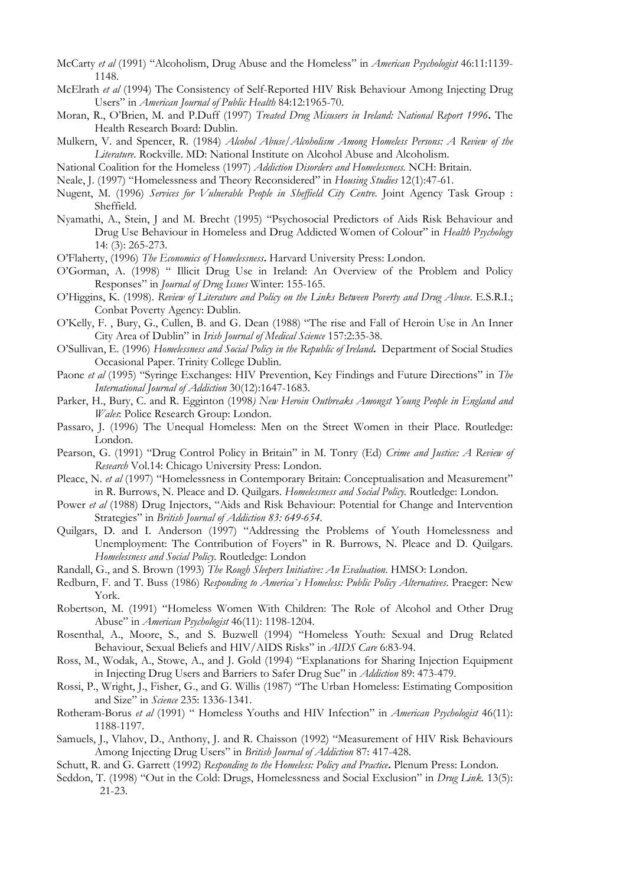- McCarty *et al* (1991) "Alcoholism, Drug Abuse and the Homeless" in *American Psychologist* 46:11:1139- 1148.
- McElrath *et al* (1994) The Consistency of Self-Reported HIV Risk Behaviour Among Injecting Drug Users" in *American Journal of Public Health* 84:12:1965-70.
- Moran, R., O'Brien, M. and P.Duff (1997) *Treated Drug Misusers in Ireland: National Report 1996***.** The Health Research Board: Dublin.
- Mulkern, V. and Spencer, R. (1984) *Alcohol Abuse/Alcoholism Among Homeless Persons: A Review of the Literature*. Rockville. MD: National Institute on Alcohol Abuse and Alcoholism.
- National Coalition for the Homeless (1997) *Addiction Disorders and Homelessness.* NCH: Britain.
- Neale, J. (1997) "Homelessness and Theory Reconsidered" in *Housing Studies* 12(1):47-61.
- Nugent, M. (1996) *Services for Vulnerable People in Sheffield City Centre*. Joint Agency Task Group : Sheffield.
- Nyamathi, A., Stein, J and M. Brecht (1995) "Psychosocial Predictors of Aids Risk Behaviour and Drug Use Behaviour in Homeless and Drug Addicted Women of Colour" in *Health Psychology* 14: (3): 265-273.
- O'Flaherty, (1996) *The Economics of Homelessness***.** Harvard University Press: London.
- O'Gorman, A. (1998) " Illicit Drug Use in Ireland: An Overview of the Problem and Policy Responses" in *Journal of Drug Issues* Winter: 155-165.
- O'Higgins, K. (1998). *Review of Literature and Policy on the Links Between Poverty and Drug Abuse*. E.S.R.I.; Conbat Poverty Agency: Dublin.
- O'Kelly, F. , Bury, G., Cullen, B. and G. Dean (1988) "The rise and Fall of Heroin Use in An Inner City Area of Dublin" in *Irish Journal of Medical Science* 157:2:35-38.
- O'Sullivan, E. (1996) *Homelessness and Social Policy in the Republic of Ireland***.** Department of Social Studies Occasional Paper. Trinity College Dublin.
- Paone *et al* (1995) "Syringe Exchanges: HIV Prevention, Key Findings and Future Directions" in *The International Journal of Addiction* 30(12):1647-1683.
- Parker, H., Bury, C. and R. Egginton (1998*) New Heroin Outbreaks Amongst Young People in England and Wales*: Police Research Group: London.
- Passaro, J. (1996) The Unequal Homeless: Men on the Street Women in their Place. Routledge: London.
- Pearson, G. (1991) "Drug Control Policy in Britain" in M. Tonry (Ed) *Crime and Justice: A Review of Research* Vol.14: Chicago University Press: London.
- Pleace, N. *et al* (1997) "Homelessness in Contemporary Britain: Conceptualisation and Measurement" in R. Burrows, N. Pleace and D. Quilgars. *Homelessness and Social Policy.* Routledge: London*.*
- Power *et al* (1988) Drug Injectors, "Aids and Risk Behaviour: Potential for Change and Intervention Strategies" in *British Journal of Addiction 83: 649-654.*
- Quilgars, D. and I. Anderson (1997) "Addressing the Problems of Youth Homelessness and Unemployment: The Contribution of Foyers" in R. Burrows, N. Pleace and D. Quilgars. *Homelessness and Social Policy.* Routledge: London
- Randall, G., and S. Brown (1993) *The Rough Sleepers Initiative: An Evaluation.* HMSO: London.
- Redburn, F. and T. Buss (1986) *Responding to America`s Homeless: Public Policy Alternatives*. Praeger: New York.
- Robertson, M. (1991) "Homeless Women With Children: The Role of Alcohol and Other Drug Abuse" in *American Psychologist* 46(11): 1198-1204.
- Rosenthal, A., Moore, S., and S. Buzwell (1994) "Homeless Youth: Sexual and Drug Related Behaviour, Sexual Beliefs and HIV/AIDS Risks" in *AIDS Care* 6:83-94.
- Ross, M., Wodak, A., Stowe, A., and J. Gold (1994) "Explanations for Sharing Injection Equipment in Injecting Drug Users and Barriers to Safer Drug Sue" in *Addiction* 89: 473-479.
- Rossi, P., Wright, J., Fisher, G., and G. Willis (1987) "The Urban Homeless: Estimating Composition and Size" in *Science* 235: 1336-1341.
- Rotheram-Borus *et al* (1991) " Homeless Youths and HIV Infection" in *American Psychologist* 46(11): 1188-1197.
- Samuels, J., Vlahov, D., Anthony, J. and R. Chaisson (1992) "Measurement of HIV Risk Behaviours Among Injecting Drug Users" in *British Journal of Addiction* 87: 417-428.
- Schutt, R. and G. Garrett (1992) *Responding to the Homeless: Policy and Practice***.** Plenum Press: London.
- Seddon, T. (1998) "Out in the Cold: Drugs, Homelessness and Social Exclusion" in *Drug Link.* 13(5): 21-23.